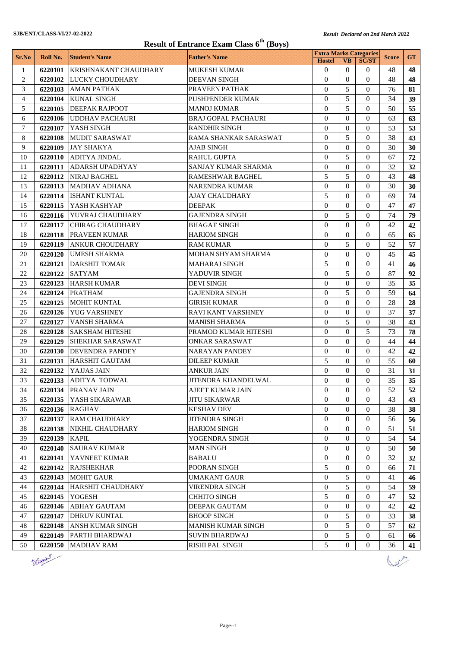| <b>Result of Entrance Exam Class 6th (Boys)</b> |          |                              |                            |                                                |                  |                  |              |                 |
|-------------------------------------------------|----------|------------------------------|----------------------------|------------------------------------------------|------------------|------------------|--------------|-----------------|
| Sr.No                                           | Roll No. | <b>Student's Name</b>        | <b>Father's Name</b>       | <b>Extra Marks Categories</b><br><b>Hostel</b> | <b>VB</b>        | <b>SC/ST</b>     | <b>Score</b> | <b>GT</b>       |
| 1                                               | 6220101  | <b>KRISHNAKANT CHAUDHARY</b> | <b>MUKESH KUMAR</b>        | $\mathbf{0}$                                   | $\Omega$         | $\theta$         | 48           | 48              |
| $\mathbf{2}$                                    | 6220102  | <b>LUCKY CHOUDHARY</b>       | <b>DEEVAN SINGH</b>        | $\Omega$                                       | $\Omega$         | $\Omega$         | 48           | 48              |
| 3                                               | 6220103  | <b>AMAN PATHAK</b>           | PRAVEEN PATHAK             | $\Omega$                                       | 5                | $\Omega$         | 76           | 81              |
| $\overline{4}$                                  | 6220104  | <b>KUNAL SINGH</b>           | <b>PUSHPENDER KUMAR</b>    | $\Omega$                                       | 5                | $\theta$         | 34           | 39              |
| 5                                               | 6220105  | <b>DEEPAK RAJPOOT</b>        | <b>MANOJ KUMAR</b>         | $\theta$                                       | 5                | $\Omega$         | 50           | 55              |
| 6                                               | 6220106  | <b>UDDHAV PACHAURI</b>       | <b>BRAJ GOPAL PACHAURI</b> | $\Omega$                                       | $\theta$         | $\Omega$         | 63           | 63              |
| $\tau$                                          | 6220107  | YASH SINGH                   | <b>RANDHIR SINGH</b>       | $\theta$                                       | $\theta$         | $\theta$         | 53           | 53              |
| 8                                               | 6220108  | <b>MUDIT SARASWAT</b>        | RAMA SHANKAR SARASWAT      | $\Omega$                                       | 5                | $\Omega$         | 38           | 43              |
| 9                                               | 6220109  | <b>JAY SHAKYA</b>            | AJAB SINGH                 | $\Omega$                                       | $\theta$         | $\Omega$         | 30           | 30              |
| 10                                              | 6220110  | <b>ADITYA JINDAL</b>         | <b>RAHUL GUPTA</b>         | $\Omega$                                       | 5                | $\Omega$         | 67           | 72              |
| 11                                              | 6220111  | <b>ADARSH UPADHYAY</b>       | SANJAY KUMAR SHARMA        | $\theta$                                       | $\Omega$         | $\mathbf{0}$     | 32           | 32              |
| 12                                              | 6220112  | <b>NIRAJ BAGHEL</b>          | <b>RAMESHWAR BAGHEL</b>    | 5                                              | 5                | $\theta$         | 43           | 48              |
| 13                                              | 6220113  | <b>MADHAV ADHANA</b>         | <b>NARENDRA KUMAR</b>      | $\Omega$                                       | $\Omega$         | $\theta$         | 30           | 30              |
| 14                                              | 6220114  | <b>ISHANT KUNTAL</b>         | AJAY CHAUDHARY             | 5                                              | $\Omega$         | $\theta$         | 69           | 74              |
| 15                                              | 6220115  | YASH KASHYAP                 | <b>DEEPAK</b>              | $\theta$                                       | $\theta$         | $\theta$         | 47           | 47              |
| 16                                              | 6220116  | <b>YUVRAJ CHAUDHARY</b>      | <b>GAJENDRA SINGH</b>      | $\Omega$                                       | 5                | $\Omega$         | 74           | 79              |
| 17                                              | 6220117  | <b>CHIRAG CHAUDHARY</b>      | <b>BHAGAT SINGH</b>        | $\theta$                                       | $\theta$         | $\theta$         | 42           | 42              |
| 18                                              | 6220118  | <b>PRAVEEN KUMAR</b>         | <b>HARIOM SINGH</b>        | $\Omega$                                       | $\Omega$         | $\Omega$         | 65           | 65              |
| 19                                              | 6220119  | <b>ANKUR CHOUDHARY</b>       | <b>RAM KUMAR</b>           | $\Omega$                                       | 5                | $\Omega$         | 52           | 57              |
| 20                                              | 6220120  | <b>UMESH SHARMA</b>          | MOHAN SHYAM SHARMA         | $\Omega$                                       | $\Omega$         | $\theta$         | 45           | 45              |
| 21                                              | 6220121  | <b>DARSHIT TOMAR</b>         | <b>MAHARAJ SINGH</b>       | 5                                              | $\Omega$         | $\Omega$         | 41           | 46              |
| 22                                              | 6220122  | <b>SATYAM</b>                | YADUVIR SINGH              | $\theta$                                       | 5                | $\theta$         | 87           | 92              |
| 23                                              | 6220123  | <b>HARSH KUMAR</b>           | <b>DEVI SINGH</b>          | $\Omega$                                       | $\Omega$         | $\theta$         | 35           | 35              |
| 24                                              | 6220124  | <b>PRATHAM</b>               | <b>GAJENDRA SINGH</b>      | $\Omega$                                       | 5                | $\theta$         | 59           | 64              |
| 25                                              | 6220125  | <b>MOHIT KUNTAL</b>          | <b>GIRISH KUMAR</b>        | $\theta$                                       | $\Omega$         | $\Omega$         | 28           | 28              |
| 26                                              | 6220126  | <b>YUG VARSHNEY</b>          | <b>RAVI KANT VARSHNEY</b>  | $\theta$                                       | $\theta$         | $\Omega$         | 37           | 37              |
| 27                                              | 6220127  | <b>VANSH SHARMA</b>          | <b>MANISH SHARMA</b>       | $\Omega$                                       | 5                | $\Omega$         | 38           | 43              |
| 28                                              | 6220128  | <b>SAKSHAM HITESHI</b>       | PRAMOD KUMAR HITESHI       | $\Omega$                                       | $\Omega$         | 5                | 73           | 78              |
| 29                                              | 6220129  | <b>SHEKHAR SARASWAT</b>      | ONKAR SARASWAT             | $\Omega$                                       | $\Omega$         | $\theta$         | 44           | 44              |
| 30                                              | 6220130  | <b>DEVENDRA PANDEY</b>       | <b>NARAYAN PANDEY</b>      | $\Omega$                                       | $\Omega$         | $\Omega$         | 42           | 42              |
| 31                                              | 6220131  | <b>HARSHIT GAUTAM</b>        | <b>DILEEP KUMAR</b>        | 5                                              | $\Omega$         | $\Omega$         | 55           | 60              |
| 32                                              |          | 6220132 YAJJAS JAIN          | <b>ANKUR JAIN</b>          | $\mathbf{0}$                                   | $\overline{0}$   | $\overline{0}$   | 31           | 31              |
| 33                                              |          | 6220133 ADITYA TODWAL        | JITENDRA KHANDELWAL        | $\boldsymbol{0}$                               | $\boldsymbol{0}$ | $\boldsymbol{0}$ | 35           | 35 <sup>5</sup> |
| 34                                              | 6220134  | PRANAV JAIN                  | <b>AJEET KUMAR JAIN</b>    | $\Omega$                                       | $\theta$         | $\Omega$         | 52           | 52              |
| 35                                              | 6220135  | YASH SIKARAWAR               | <b>JITU SIKARWAR</b>       | $\Omega$                                       | $\Omega$         | $\Omega$         | 43           | 43              |
| 36                                              | 6220136  | <b>RAGHAV</b>                | <b>KESHAV DEV</b>          | $\mathbf{0}$                                   | $\mathbf{0}$     | $\mathbf{0}$     | 38           | 38              |
| 37                                              | 6220137  | <b>RAM CHAUDHARY</b>         | JITENDRA SINGH             | $\Omega$                                       | $\overline{0}$   | $\Omega$         | 56           | 56              |
| 38                                              | 6220138  | NIKHIL CHAUDHARY             | <b>HARIOM SINGH</b>        | $\overline{0}$                                 | $\overline{0}$   | $\mathbf{0}$     | 51           | 51              |
| 39                                              | 6220139  | <b>KAPIL</b>                 | YOGENDRA SINGH             | $\mathbf{0}$                                   | $\overline{0}$   | $\mathbf{0}$     | 54           | 54              |
| 40                                              | 6220140  | <b>SAURAV KUMAR</b>          | <b>MAN SINGH</b>           | $\overline{0}$                                 | $\Omega$         | $\theta$         | 50           | 50              |
| 41                                              | 6220141  | YAVNEET KUMAR                | <b>BABALU</b>              | $\overline{0}$                                 | $\bf{0}$         | $\theta$         | 32           | 32              |
| 42                                              | 6220142  | <b>RAJSHEKHAR</b>            | POORAN SINGH               | 5                                              | $\overline{0}$   | $\overline{0}$   | 66           | 71              |
| 43                                              | 6220143  | <b>MOHIT GAUR</b>            | <b>UMAKANT GAUR</b>        | $\mathbf{0}$                                   | 5                | $\Omega$         | 41           | 46              |
| 44                                              | 6220144  | HARSHIT CHAUDHARY            | VIRENDRA SINGH             | $\mathbf{0}$                                   | 5                | $\overline{0}$   | 54           | 59              |
| 45                                              | 6220145  | <b>YOGESH</b>                | <b>CHHITO SINGH</b>        | 5                                              | $\Omega$         | $\Omega$         | 47           | 52              |
| 46                                              | 6220146  | <b>ABHAY GAUTAM</b>          | DEEPAK GAUTAM              | $\mathbf{0}$                                   | $\mathbf{0}$     | $\mathbf{0}$     | 42           | 42              |
| 47                                              | 6220147  | <b>DHRUV KUNTAL</b>          | <b>BHOOP SINGH</b>         | $\Omega$                                       | 5                | $\overline{0}$   | 33           | 38              |
| 48                                              | 6220148  | <b>ANSH KUMAR SINGH</b>      | MANISH KUMAR SINGH         | $\overline{0}$                                 | 5                | $\Omega$         | 57           | 62              |
| 49                                              | 6220149  | <b>PARTH BHARDWAJ</b>        | SUVIN BHARDWAJ             | $\boldsymbol{0}$                               | 5                | 0                | 61           | 66              |
| 50                                              | 6220150  | <b>MADHAV RAM</b>            | <b>RISHI PAL SINGH</b>     | 5                                              | $\overline{0}$   | $\overline{0}$   | 36           | 41              |
|                                                 |          |                              |                            |                                                |                  |                  |              |                 |



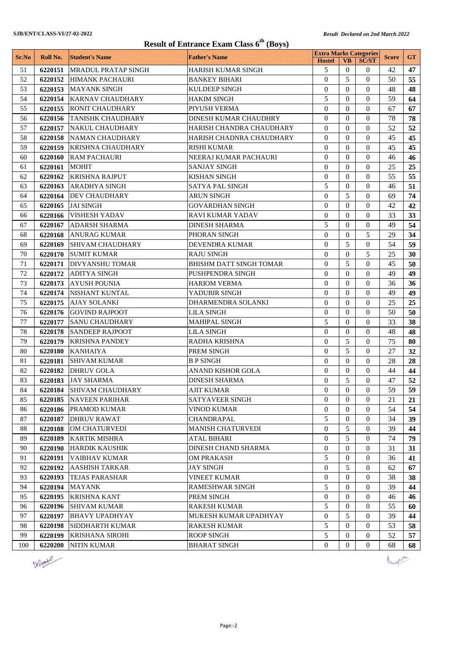| <b>Result of Entrance Exam Class 6th (Boys)</b> |          |                            |                                |                                                |                                    |                                  |              |           |
|-------------------------------------------------|----------|----------------------------|--------------------------------|------------------------------------------------|------------------------------------|----------------------------------|--------------|-----------|
| Sr.No                                           | Roll No. | <b>Student's Name</b>      | <b>Father's Name</b>           | <b>Extra Marks Categories</b><br><b>Hostel</b> | <b>VB</b>                          | <b>SC/ST</b>                     | <b>Score</b> | <b>GT</b> |
| 51                                              | 6220151  | <b>MRADUL PRATAP SINGH</b> | <b>HARISH KUMAR SINGH</b>      | 5                                              | $\Omega$                           | $\theta$                         | 42           | 47        |
| 52                                              | 6220152  | <b>HIMANK PACHAURI</b>     | <b>BANKEY BIHARI</b>           | $\Omega$                                       | 5                                  | $\Omega$                         | 50           | 55        |
| 53                                              | 6220153  | <b>MAYANK SINGH</b>        | <b>KULDEEP SINGH</b>           | $\Omega$                                       | $\Omega$                           | $\theta$                         | 48           | 48        |
| 54                                              | 6220154  | <b>KARNAV CHAUDHARY</b>    | <b>HAKIM SINGH</b>             | 5                                              | $\theta$                           | $\theta$                         | 59           | 64        |
| 55                                              | 6220155  | <b>RONIT CHAUDHARY</b>     | PIYUSH VERMA                   | $\theta$                                       | $\Omega$                           | $\Omega$                         | 67           | 67        |
| 56                                              | 6220156  | <b>TANISHK CHAUDHARY</b>   | <b>DINESH KUMAR CHAUDHRY</b>   | $\Omega$                                       | $\Omega$                           | $\Omega$                         | 78           | 78        |
| 57                                              | 6220157  | NAKUL CHAUDHARY            | HARISH CHANDRA CHAUDHARY       | $\theta$                                       | $\theta$                           | $\theta$                         | 52           | 52        |
| 58                                              | 6220158  | NAMAN CHAUDHARY            | HARISH CHADNRA CHAUDHARY       | $\Omega$                                       | $\Omega$                           | $\Omega$                         | 45           | 45        |
| 59                                              | 6220159  | KRISHNA CHAUDHARY          | RISHI KUMAR                    | $\Omega$                                       | $\Omega$                           | $\Omega$                         | 45           | 45        |
| 60                                              | 6220160  | <b>RAM PACHAURI</b>        | NEERAJ KUMAR PACHAURI          | $\Omega$                                       | $\Omega$                           | $\Omega$                         | 46           | 46        |
| 61                                              | 6220161  | <b>MOHIT</b>               | <b>SANJAY SINGH</b>            | $\theta$                                       | $\Omega$                           | $\mathbf{0}$                     | 25           | 25        |
| 62                                              | 6220162  | <b>KRISHNA RAJPUT</b>      | <b>KISHAN SINGH</b>            | $\overline{0}$                                 | $\theta$                           | $\theta$                         | 55           | 55        |
| 63                                              | 6220163  | <b>ARADHYA SINGH</b>       | <b>SATYA PAL SINGH</b>         | 5                                              | $\Omega$                           | $\theta$                         | 46           | 51        |
| 64                                              | 6220164  | <b>DEV CHAUDHARY</b>       | <b>ARUN SINGH</b>              | $\Omega$                                       | 5                                  | $\theta$                         | 69           | 74        |
| 65                                              | 6220165  | <b>JAI SINGH</b>           | <b>GOVARDHAN SINGH</b>         | $\theta$                                       | $\theta$                           | $\theta$                         | 42           | 42        |
| 66                                              | 6220166  | <b>VISHESH YADAV</b>       | <b>RAVI KUMAR YADAV</b>        | $\theta$                                       | $\theta$                           | $\Omega$                         | 33           | 33        |
| 67                                              | 6220167  | <b>ADARSH SHARMA</b>       | <b>DINESH SHARMA</b>           | 5                                              | $\theta$                           | $\theta$                         | 49           | 54        |
| 68                                              | 6220168  | <b>ANURAG KUMAR</b>        | PHORAN SINGH                   | $\theta$                                       | $\Omega$                           | 5                                | 29           | 34        |
| 69                                              | 6220169  | <b>SHIVAM CHAUDHARY</b>    | <b>DEVENDRA KUMAR</b>          | $\Omega$                                       | 5                                  | $\Omega$                         | 54           | 59        |
| 70                                              | 6220170  | <b>SUMIT KUMAR</b>         | <b>RAJU SINGH</b>              | $\Omega$                                       | $\Omega$                           | 5                                | 25           | 30        |
| 71                                              | 6220171  | <b>DIVYANSHU TOMAR</b>     | <b>BHISHM DATT SINGH TOMAR</b> | $\overline{0}$                                 | 5                                  | $\theta$                         | 45           | 50        |
| 72                                              | 6220172  | <b>ADITYA SINGH</b>        | PUSHPENDRA SINGH               | $\theta$                                       | $\theta$                           | $\theta$                         | 49           | 49        |
| 73                                              | 6220173  | <b>AYUSH POUNIA</b>        | <b>HARIOM VERMA</b>            | $\Omega$                                       | $\Omega$                           | $\theta$                         | 36           | 36        |
| 74                                              | 6220174  | NISHANT KUNTAL             | YADUBIR SINGH                  | $\Omega$                                       | $\Omega$                           | $\theta$                         | 49           | 49        |
| 75                                              | 6220175  | <b>AJAY SOLANKI</b>        | <b>DHARMENDRA SOLANKI</b>      | $\theta$                                       | $\Omega$                           | $\theta$                         | 25           | 25        |
| 76                                              | 6220176  | <b>GOVIND RAJPOOT</b>      | <b>LILA SINGH</b>              | $\theta$                                       | $\Omega$                           | $\Omega$                         | 50           | 50        |
| 77                                              | 6220177  | <b>SANU CHAUDHARY</b>      | <b>MAHIPAL SINGH</b>           | 5                                              | $\theta$                           | $\theta$                         | 33           | 38        |
| 78                                              | 6220178  | <b>SANDEEP RAJPOOT</b>     | <b>LILA SINGH</b>              | $\theta$                                       | $\Omega$                           | $\Omega$                         | 48           | 48        |
| 79                                              | 6220179  | <b>KRISHNA PANDEY</b>      | <b>RADHA KRISHNA</b>           | $\theta$                                       | 5                                  | $\Omega$                         | 75           | 80        |
| 80                                              | 6220180  | <b>KANHAIYA</b>            | PREM SINGH                     | $\Omega$                                       | 5                                  | $\Omega$                         | 27           | 32        |
| 81                                              | 6220181  | <b>SHIVAM KUMAR</b>        | <b>B P SINGH</b>               | $\theta$                                       | $\Omega$                           | $\Omega$                         | 28           | 28        |
| 82                                              | 6220182  | <b>DHRUV GOLA</b>          | <b>ANAND KISHOR GOLA</b>       | $\overline{0}$                                 | $\overline{0}$                     | $\overline{0}$                   | 44           | 44        |
| 83                                              |          | 6220183 JAY SHARMA         | <b>DINESH SHARMA</b>           | $\boldsymbol{0}$                               | 5                                  | $\boldsymbol{0}$                 | $47\,$       | 52        |
| 84                                              | 6220184  | SHIVAM CHAUDHARY           | <b>AJIT KUMAR</b>              | $\Omega$                                       | $\theta$                           | $\Omega$                         | 59           | 59        |
| 85                                              | 6220185  | <b>NAVEEN PARIHAR</b>      | SATYAVEER SINGH                | $\Omega$                                       | $\Omega$                           | $\Omega$                         | 21           | 21        |
| 86                                              | 6220186  | <b>PRAMOD KUMAR</b>        | <b>VINOD KUMAR</b>             | $\mathbf{0}$                                   | $\mathbf{0}$                       | $\mathbf{0}$                     | 54           | 54        |
| 87                                              | 6220187  | <b>DHRUV RAWAT</b>         | CHANDRAPAL                     | 5                                              | $\overline{0}$                     | $\Omega$                         | 34           | 39        |
| 88                                              | 6220188  | OM CHATURVEDI              | <b>MANISH CHATURVEDI</b>       | $\mathbf{0}$                                   | 5                                  | $\Omega$                         | 39           | 44        |
| 89                                              | 6220189  | <b>KARTIK MISHRA</b>       | ATAL BIHARI                    | $\boldsymbol{0}$                               | 5                                  | $\theta$                         | 74           | 79        |
| 90                                              | 6220190  | <b>HARDIK KAUSHIK</b>      | DINESH CHAND SHARMA            | $\overline{0}$                                 | $\Omega$                           | $\theta$                         | 31           | 31        |
| 91                                              | 6220191  | <b>VAIBHAV KUMAR</b>       | OM PRAKASH                     | 5                                              | $\bf{0}$                           | 0                                | 36           | 41        |
| 92                                              | 6220192  | <b>AASHISH TARKAR</b>      | <b>JAY SINGH</b>               | $\mathbf{0}$                                   | 5                                  | $\overline{0}$                   | 62           | 67        |
| 93                                              | 6220193  | TEJAS PARASHAR             | <b>VINEET KUMAR</b>            | $\mathbf{0}$                                   | $\overline{0}$                     | $\Omega$                         | 38           | 38        |
| 94                                              | 6220194  | MAYANK                     | RAMESHWAR SINGH                | 5                                              | $\overline{0}$                     | $\theta$                         | 39           | 44        |
| 95                                              | 6220195  | <b>KRISHNA KANT</b>        | PREM SINGH                     | $\Omega$                                       | $\Omega$                           | $\Omega$                         | 46           | 46        |
| 96                                              | 6220196  | <b>SHIVAM KUMAR</b>        | <b>RAKESH KUMAR</b>            | 5                                              | $\mathbf{0}$                       | $\mathbf{0}$                     | 55           | 60        |
| 97                                              | 6220197  | <b>BHAVY UPADHYAY</b>      | MUKESH KUMAR UPADHYAY          | $\mathbf{0}$                                   | 5                                  | $\Omega$                         | 39           | 44        |
| 98<br>99                                        | 6220198  | <b>SIDDHARTH KUMAR</b>     | <b>RAKESH KUMAR</b>            | 5                                              | $\overline{0}$                     | $\Omega$                         | 53           | 58        |
|                                                 | 6220199  | <b>KRISHANA SIROHI</b>     | <b>ROOP SINGH</b>              | 5<br>$\mathbf{0}$                              | $\boldsymbol{0}$<br>$\overline{0}$ | $\overline{0}$<br>$\overline{0}$ | 52<br>68     | 57        |
| 100                                             | 6220200  | <b>NITIN KUMAR</b>         | <b>BHARAT SINGH</b>            |                                                |                                    |                                  |              | 68        |



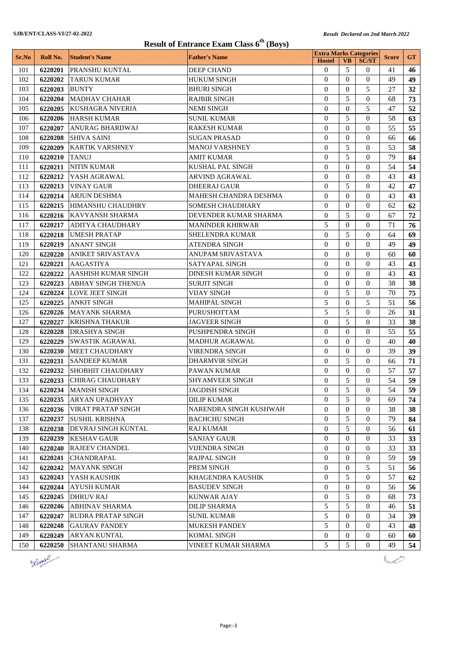|       | Result of Entrance Exam Class 6 <sup>th</sup> (Boys) |                             |                           |                                                |                |                  |              |           |
|-------|------------------------------------------------------|-----------------------------|---------------------------|------------------------------------------------|----------------|------------------|--------------|-----------|
| Sr.No | Roll No.                                             | <b>Student's Name</b>       | <b>Father's Name</b>      | <b>Extra Marks Categories</b><br><b>Hostel</b> | <b>VB</b>      | <b>SC/ST</b>     | <b>Score</b> | <b>GT</b> |
| 101   | 6220201                                              | PRANSHU KUNTAL              | <b>DEEP CHAND</b>         | $\overline{0}$                                 | 5              | $\overline{0}$   | 41           | 46        |
| 102   | 6220202                                              | <b>TARUN KUMAR</b>          | <b>HUKUM SINGH</b>        | $\theta$                                       | $\Omega$       | $\theta$         | 49           | 49        |
| 103   | 6220203                                              | <b>BUNTY</b>                | <b>BHURI SINGH</b>        | $\Omega$                                       | $\Omega$       | 5                | 27           | 32        |
| 104   | 6220204                                              | <b>MADHAV CHAHAR</b>        | <b>RAJBIR SINGH</b>       | $\Omega$                                       | 5              | $\theta$         | 68           | 73        |
| 105   |                                                      | 6220205 KUSHAGRA NIVERIA    | <b>NEMI SINGH</b>         | $\theta$                                       | $\theta$       | 5                | 47           | 52        |
| 106   |                                                      | 6220206 HARSH KUMAR         | <b>SUNIL KUMAR</b>        | $\theta$                                       | 5              | $\theta$         | 58           | 63        |
| 107   | 6220207                                              | <b>ANURAG BHARDWAJ</b>      | <b>RAKESH KUMAR</b>       | $\theta$                                       | $\theta$       | $\theta$         | 55           | 55        |
| 108   | 6220208                                              | <b>SHIVA SAINI</b>          | <b>SUGAN PRASAD</b>       | $\Omega$                                       | $\Omega$       | $\Omega$         | 66           | 66        |
| 109   | 6220209                                              | <b>KARTIK VARSHNEY</b>      | <b>MANOJ VARSHNEY</b>     | $\theta$                                       | 5              | $\mathbf{0}$     | 53           | 58        |
| 110   | 6220210                                              | <b>TANUJ</b>                | AMIT KUMAR                | $\theta$                                       | 5              | $\Omega$         | 79           | 84        |
| 111   | 6220211                                              | <b>NITIN KUMAR</b>          | KUSHAL PAL SINGH          | $\mathbf{0}$                                   | $\theta$       | $\mathbf{0}$     | 54           | 54        |
| 112   | 6220212                                              | YASH AGRAWAL                | ARVIND AGRAWAL            | $\overline{0}$                                 | $\theta$       | $\overline{0}$   | 43           | 43        |
| 113   | 6220213                                              | <b>VINAY GAUR</b>           | <b>DHEERAJ GAUR</b>       | $\overline{0}$                                 | 5              | $\Omega$         | 42           | 47        |
| 114   | 6220214                                              | <b>ARJUN DESHMA</b>         | MAHESH CHANDRA DESHMA     | $\theta$                                       | $\theta$       | $\theta$         | 43           | 43        |
| 115   |                                                      | 6220215 HIMANSHU CHAUDHRY   | <b>SOMESH CHAUDHARY</b>   | $\theta$                                       | $\theta$       | $\theta$         | 62           | 62        |
| 116   |                                                      | 6220216 KAVYANSH SHARMA     | DEVENDER KUMAR SHARMA     | $\theta$                                       | 5              | $\theta$         | 67           | 72        |
| 117   | 6220217                                              | <b>ADITYA CHAUDHARY</b>     | <b>MANINDER KHIRWAR</b>   | 5                                              | $\theta$       | $\theta$         | 71           | 76        |
| 118   | 6220218                                              | <b>UMESH PRATAP</b>         | SHELENDRA KUMAR           | $\theta$                                       | 5              | $\Omega$         | 64           | 69        |
| 119   | 6220219                                              | <b>ANANT SINGH</b>          | ATENDRA SINGH             | $\Omega$                                       | $\theta$       | $\Omega$         | 49           | 49        |
| 120   | 6220220                                              | <b>ANIKET SRIVASTAVA</b>    | ANUPAM SRIVASTAVA         | $\theta$                                       | $\Omega$       | $\Omega$         | 60           | 60        |
| 121   | 6220221                                              | <b>AAGASTIYA</b>            | SATYAPAL SINGH            | $\mathbf{0}$                                   | $\theta$       | $\mathbf{0}$     | 43           | 43        |
| 122   | 6220222                                              | <b>AASHISH KUMAR SINGH</b>  | <b>DINESH KUMAR SINGH</b> | $\overline{0}$                                 | $\Omega$       | $\theta$         | 43           | 43        |
| 123   |                                                      | 6220223 ABHAY SINGH THENUA  | <b>SURJIT SINGH</b>       | $\Omega$                                       | $\Omega$       | $\Omega$         | 38           | 38        |
| 124   |                                                      | 6220224 LOVE JEET SINGH     | <b>VIJAY SINGH</b>        | $\overline{0}$                                 | 5              | $\theta$         | 70           | 75        |
| 125   |                                                      | 6220225 ANKIT SINGH         | <b>MAHIPAL SINGH</b>      | 5                                              | $\theta$       | 5                | 51           | 56        |
| 126   |                                                      | 6220226   MAYANK SHARMA     | <b>PURUSHOTTAM</b>        | 5                                              | 5              | $\Omega$         | 26           | 31        |
| 127   | 6220227                                              | <b>KRISHNA THAKUR</b>       | <b>JAGVEER SINGH</b>      | $\theta$                                       | 5              | $\theta$         | 33           | 38        |
| 128   | 6220228                                              | <b>DRASHYA SINGH</b>        | PUSHPENDRA SINGH          | $\Omega$                                       | $\Omega$       | $\Omega$         | 55           | 55        |
| 129   | 6220229                                              | <b>SWASTIK AGRAWAL</b>      | <b>MADHUR AGRAWAL</b>     | $\theta$                                       | $\theta$       | $\mathbf{0}$     | 40           | 40        |
| 130   | 6220230                                              | <b>MEET CHAUDHARY</b>       | VIRENDRA SINGH            | $\Omega$                                       | $\Omega$       | $\Omega$         | 39           | 39        |
| 131   | 6220231                                              | <b>SANDEEP KUMAR</b>        | DHARMVIR SINGH            | $\mathbf{0}$                                   | 5              | $\mathbf{0}$     | 66           | 71        |
| 132   |                                                      | 6220232 SHOBHIT CHAUDHARY   | <b>PAWAN KUMAR</b>        | $\overline{0}$                                 | $\theta$       | $\overline{0}$   | 57           | 57        |
| 133   |                                                      | 6220233 CHIRAG CHAUDHARY    | SHYAMVEER SINGH           | $\boldsymbol{0}$                               | 5              | $\boldsymbol{0}$ | 54           | 59        |
| 134   |                                                      | 6220234   MANISH SINGH      | <b>JAGDISH SINGH</b>      | $\Omega$                                       | 5              | $\Omega$         | 54           | 59        |
| 135   |                                                      | 6220235 ARYAN UPADHYAY      | <b>DILIP KUMAR</b>        | $\Omega$                                       | 5              | $\Omega$         | 69           | 74        |
| 136   | 6220236                                              | VIRAT PRATAP SINGH          | NARENDRA SINGH KUSHWAH    | $\overline{0}$                                 | $\mathbf{0}$   | $\overline{0}$   | 38           | 38        |
| 137   |                                                      | 6220237 SUSHIL KRISHNA      | <b>BACHCHU SINGH</b>      | $\overline{0}$                                 | 5              | $\Omega$         | 79           | 84        |
| 138   |                                                      | 6220238 DEVRAJ SINGH KUNTAL | <b>RAJ KUMAR</b>          | $\overline{0}$                                 | 5              | $\overline{0}$   | 56           | 61        |
| 139   | 6220239                                              | <b>KESHAV GAUR</b>          | <b>SANJAY GAUR</b>        | $\mathbf{0}$                                   | $\overline{0}$ | $\overline{0}$   | 33           | 33        |
| 140   | 6220240                                              | <b>RAJEEV CHANDEL</b>       | VIJENDRA SINGH            | $\overline{0}$                                 | $\Omega$       | $\overline{0}$   | 33           | 33        |
| 141   | 6220241                                              | <b>CHANDRAPAL</b>           | <b>RAJPAL SINGH</b>       | $\overline{0}$                                 | $\theta$       | $\mathbf{0}$     | 59           | 59        |
| 142   | 6220242                                              | <b>MAYANK SINGH</b>         | PREM SINGH                | $\overline{0}$                                 | $\overline{0}$ | 5                | 51           | 56        |
| 143   | 6220243                                              | YASH KAUSHIK                | KHAGENDRA KAUSHIK         | $\overline{0}$                                 | 5              | 0                | 57           | 62        |
| 144   | 6220244                                              | <b>AYUSH KUMAR</b>          | <b>BASUDEV SINGH</b>      | $\overline{0}$                                 | $\overline{0}$ | 0                | 56           | 56        |
|       |                                                      | 6220245 DHRUV RAJ           |                           | $\Omega$                                       | 5              | $\Omega$         | 68           |           |
| 145   |                                                      |                             | <b>KUNWAR AJAY</b>        |                                                | 5              |                  |              | 73        |
| 146   | 6220246                                              | <b>ABHINAV SHARMA</b>       | <b>DILIP SHARMA</b>       | 5<br>5                                         |                | $\overline{0}$   | 46           | 51        |
| 147   |                                                      | 6220247 RUDRA PRATAP SINGH  | <b>SUNIL KUMAR</b>        |                                                | $\overline{0}$ | $\overline{0}$   | 34           | 39        |
| 148   | 6220248                                              | <b>GAURAV PANDEY</b>        | MUKESH PANDEY             | 5                                              | $\overline{0}$ | $\Omega$         | 43           | 48        |
| 149   | 6220249                                              | <b>ARYAN KUNTAL</b>         | <b>KOMAL SINGH</b>        | $\mathbf{0}$                                   | $\overline{0}$ | $\overline{0}$   | 60           | 60        |
| 150   | 6220250                                              | <b>SHANTANU SHARMA</b>      | VINEET KUMAR SHARMA       | 5                                              | 5              | $\overline{0}$   | 49           | 54        |

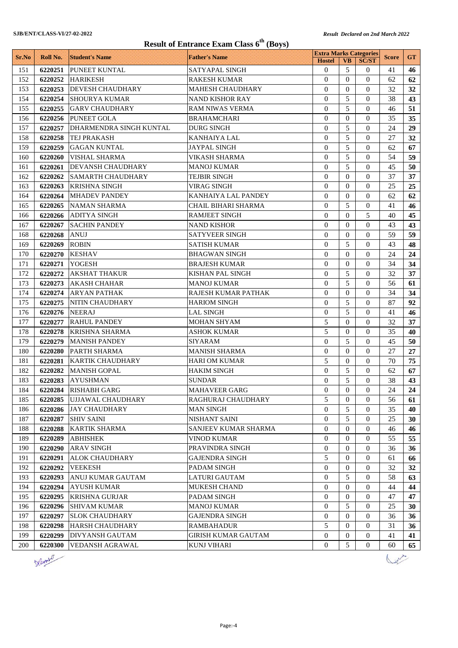| <b>Result of Entrance Exam Class 6<sup>th</sup> (Boys)</b> |          |                          |                            |                                                |                |                  |              |           |
|------------------------------------------------------------|----------|--------------------------|----------------------------|------------------------------------------------|----------------|------------------|--------------|-----------|
| Sr.No                                                      | Roll No. | <b>Student's Name</b>    | <b>Father's Name</b>       | <b>Extra Marks Categories</b><br><b>Hostel</b> | <b>VB</b>      | <b>SC/ST</b>     | <b>Score</b> | <b>GT</b> |
| 151                                                        | 6220251  | PUNEET KUNTAL            | SATYAPAL SINGH             | $\theta$                                       | 5              | 0                | 41           | 46        |
| 152                                                        | 6220252  | <b>HARIKESH</b>          | <b>RAKESH KUMAR</b>        | $\Omega$                                       | $\Omega$       | $\overline{0}$   | 62           | 62        |
| 153                                                        | 6220253  | DEVESH CHAUDHARY         | <b>MAHESH CHAUDHARY</b>    | $\theta$                                       | $\Omega$       | $\Omega$         | 32           | 32        |
| 154                                                        | 6220254  | <b>SHOURYA KUMAR</b>     | NAND KISHOR RAY            | $\theta$                                       | 5              | 0                | 38           | 43        |
| 155                                                        | 6220255  | <b>GARV CHAUDHARY</b>    | <b>RAM NIWAS VERMA</b>     | $\theta$                                       | 5              | $\Omega$         | 46           | 51        |
| 156                                                        | 6220256  | <b>PUNEET GOLA</b>       | BRAHAMCHARI                | $\theta$                                       | $\Omega$       | 0                | 35           | 35        |
| 157                                                        | 6220257  | DHARMENDRA SINGH KUNTAL  | <b>DURG SINGH</b>          | $\theta$                                       | 5              | $\overline{0}$   | 24           | 29        |
| 158                                                        | 6220258  | TEJ PRAKASH              | <b>KANHAIYA LAL</b>        | $\overline{0}$                                 | 5              | $\Omega$         | 27           | 32        |
| 159                                                        | 6220259  | <b>GAGAN KUNTAL</b>      | JAYPAL SINGH               | $\theta$                                       | 5              | 0                | 62           | 67        |
| 160                                                        | 6220260  | VISHAL SHARMA            | VIKASH SHARMA              | $\theta$                                       | 5              | 0                | 54           | 59        |
| 161                                                        | 6220261  | <b>DEVANSH CHAUDHARY</b> | <b>MANOJ KUMAR</b>         | $\overline{0}$                                 | 5              | 0                | 45           | 50        |
| 162                                                        | 6220262  | <b>SAMARTH CHAUDHARY</b> | <b>TEJBIR SINGH</b>        | $\overline{0}$                                 | $\Omega$       | $\overline{0}$   | 37           | 37        |
| 163                                                        | 6220263  | <b>KRISHNA SINGH</b>     | <b>VIRAG SINGH</b>         | $\theta$                                       | $\Omega$       | $\Omega$         | 25           | 25        |
| 164                                                        | 6220264  | <b>MHADEV PANDEY</b>     | KANHAIYA LAL PANDEY        | $\overline{0}$                                 | 0              | $\Omega$         | 62           | 62        |
| 165                                                        | 6220265  | <b>NAMAN SHARMA</b>      | <b>CHAIL BIHARI SHARMA</b> | $\theta$                                       | 5              | $\Omega$         | 41           | 46        |
| 166                                                        | 6220266  | <b>ADITYA SINGH</b>      | <b>RAMJEET SINGH</b>       | $\theta$                                       | $\Omega$       | 5                | 40           | 45        |
| 167                                                        | 6220267  | <b>SACHIN PANDEY</b>     | <b>NAND KISHOR</b>         | $\theta$                                       | $\Omega$       | $\Omega$         | 43           | 43        |
| 168                                                        | 6220268  | <b>ANUJ</b>              | <b>SATYVEER SINGH</b>      | $\theta$                                       | $\Omega$       | $\Omega$         | 59           | 59        |
| 169                                                        | 6220269  | <b>ROBIN</b>             | SATISH KUMAR               | $\overline{0}$                                 | 5              | 0                | 43           | 48        |
| 170                                                        | 6220270  | <b>KESHAV</b>            | BHAGWAN SINGH              | $\theta$                                       | $\Omega$       | 0                | 24           | 24        |
| 171                                                        | 6220271  | <b>YOGESH</b>            | <b>BRAJESH KUMAR</b>       | $\mathbf{0}$                                   | $\Omega$       | $\Omega$         | 34           | 34        |
| 172                                                        | 6220272  | <b>AKSHAT THAKUR</b>     | <b>KISHAN PAL SINGH</b>    | $\overline{0}$                                 | 5              | $\overline{0}$   | 32           | 37        |
| 173                                                        | 6220273  | <b>AKASH CHAHAR</b>      | <b>MANOJ KUMAR</b>         | $\Omega$                                       | 5              | 0                | 56           | 61        |
| 174                                                        | 6220274  | <b>ARYAN PATHAK</b>      | RAJESH KUMAR PATHAK        | $\overline{0}$                                 | $\Omega$       | $\Omega$         | 34           | 34        |
| 175                                                        | 6220275  | NITIN CHAUDHARY          | HARIOM SINGH               | $\theta$                                       | 5              | $\Omega$         | 87           | 92        |
| 176                                                        | 6220276  | <b>NEERAJ</b>            | <b>LAL SINGH</b>           | $\theta$                                       | 5              | 0                | 41           | 46        |
| 177                                                        | 6220277  | <b>RAHUL PANDEY</b>      | <b>MOHAN SHYAM</b>         | 5                                              | $\theta$       | $\overline{0}$   | 32           | 37        |
| 178                                                        | 6220278  | <b>KRISHNA SHARMA</b>    | <b>ASHOK KUMAR</b>         | 5                                              | $\Omega$       | 0                | 35           | 40        |
| 179                                                        | 6220279  | <b>MANISH PANDEY</b>     | SIYARAM                    | $\theta$                                       | 5              | 0                | 45           | 50        |
| 180                                                        | 6220280  | <b>PARTH SHARMA</b>      | <b>MANISH SHARMA</b>       | $\theta$                                       | $\Omega$       | 0                | 27           | 27        |
| 181                                                        | 6220281  | <b>KARTIK CHAUDHARY</b>  | <b>HARI OM KUMAR</b>       | 5                                              | $\Omega$       | 0                | 70           | 75        |
| 182                                                        | 6220282  | <b>MANISH GOPAL</b>      | <b>HAKIM SINGH</b>         | $\boldsymbol{0}$                               | 5              | $\overline{0}$   | 62           | 67        |
| 183                                                        |          | 6220283 AYUSHMAN         | SUNDAR                     | $\boldsymbol{0}$                               | 5              | $\boldsymbol{0}$ | 38           | 43        |
| 184                                                        | 6220284  | <b>RISHABH GARG</b>      | MAHAVEER GARG              | $\overline{0}$                                 | $\Omega$       | 0                | 24           | 24        |
| 185                                                        | 6220285  | <b>UJJAWAL CHAUDHARY</b> | RAGHURAJ CHAUDHARY         | 5                                              | 0              | 0                | 56           | 61        |
| 186                                                        | 6220286  | <b>JAY CHAUDHARY</b>     | <b>MAN SINGH</b>           | $\overline{0}$                                 | 5              | $\overline{0}$   | 35           | 40        |
| 187                                                        | 6220287  | <b>SHIV SAINI</b>        | NISHANT SAINI              | $\overline{0}$                                 | 5              | $\Omega$         | 25           | 30        |
| 188                                                        | 6220288  | <b>KARTIK SHARMA</b>     | SANJEEV KUMAR SHARMA       | $\overline{0}$                                 | $\overline{0}$ | 0                | 46           | 46        |
| 189                                                        | 6220289  | <b>ABHISHEK</b>          | VINOD KUMAR                | 0                                              | $\overline{0}$ | 0                | 55           | 55        |
| 190                                                        | 6220290  | <b>ARAV SINGH</b>        | PRAVINDRA SINGH            | $\overline{0}$                                 | $\Omega$       | 0                | 36           | 36        |
| 191                                                        | 6220291  | <b>ALOK CHAUDHARY</b>    | <b>GAJENDRA SINGH</b>      | 5                                              | $\theta$       | 0                | 61           | 66        |
| 192                                                        | 6220292  | <b>VEEKESH</b>           | PADAM SINGH                | $\overline{0}$                                 | $\overline{0}$ | 0                | 32           | 32        |
| 193                                                        | 6220293  | ANUJ KUMAR GAUTAM        | LATURI GAUTAM              | $\overline{0}$                                 | 5              | 0                | 58           | 63        |
| 194                                                        | 6220294  | <b>AYUSH KUMAR</b>       | MUKESH CHAND               | $\overline{0}$                                 | 0              | 0                | 44           | 44        |
| 195                                                        | 6220295  | <b>KRISHNA GURJAR</b>    | PADAM SINGH                | $\overline{0}$                                 | $\Omega$       | 0                | 47           | 47        |
| 196                                                        | 6220296  | <b>SHIVAM KUMAR</b>      | MANOJ KUMAR                | $\overline{0}$                                 | 5              | $\overline{0}$   | 25           | 30        |
| 197                                                        | 6220297  | <b>SLOK CHAUDHARY</b>    | <b>GAJENDRA SINGH</b>      | $\overline{0}$                                 | $\Omega$       | $\Omega$         | 36           | 36        |
| 198                                                        | 6220298  | <b>HARSH CHAUDHARY</b>   | <b>RAMBAHADUR</b>          | 5                                              | $\overline{0}$ | $\Omega$         | 31           | 36        |
| 199                                                        | 6220299  | DIVYANSH GAUTAM          | GIRISH KUMAR GAUTAM        | $\overline{0}$                                 | 0              | 0                | 41           | 41        |
| 200                                                        | 6220300  | VEDANSH AGRAWAL          | KUNJ VIHARI                | $\boldsymbol{0}$                               | 5              | 0                | 60           | 65        |

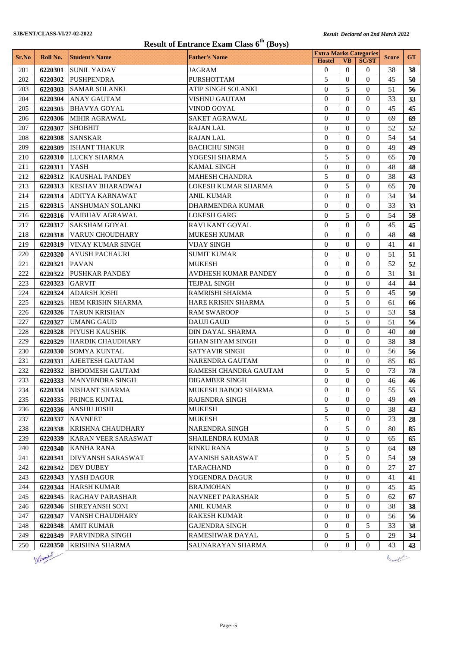| <b>Result of Entrance Exam Class 6<sup>th</sup> (Boys)</b> |                |                           |                         |                                                |                  |                  |              |           |
|------------------------------------------------------------|----------------|---------------------------|-------------------------|------------------------------------------------|------------------|------------------|--------------|-----------|
| Sr.No                                                      | Roll No.       | <b>Student's Name</b>     | <b>Father's Name</b>    | <b>Extra Marks Categories</b><br><b>Hostel</b> | <b>VB</b>        | <b>SC/ST</b>     | <b>Score</b> | <b>GT</b> |
| 201                                                        | 6220301        | <b>SUNIL YADAV</b>        | <b>JAGRAM</b>           | $\theta$                                       | $\Omega$         | $\sigma$         | 38           | 38        |
| 202                                                        | 6220302        | <b>PUSHPENDRA</b>         | <b>PURSHOTTAM</b>       | 5                                              | $\Omega$         | $\Omega$         | 45           | 50        |
| 203                                                        | 6220303        | <b>SAMAR SOLANKI</b>      | ATIP SINGH SOLANKI      | $\mathbf{0}$                                   | 5                | $\Omega$         | 51           | 56        |
| 204                                                        | 6220304        | <b>ANAY GAUTAM</b>        | <b>VISHNU GAUTAM</b>    | $\Omega$                                       | $\Omega$         | $\Omega$         | 33           | 33        |
| 205                                                        | 6220305        | <b>BHAVYA GOYAL</b>       | VINOD GOYAL             | $\theta$                                       | $\Omega$         | $\Omega$         | 45           | 45        |
| 206                                                        | 6220306        | <b>MIHIR AGRAWAL</b>      | <b>SAKET AGRAWAL</b>    | $\theta$                                       | $\Omega$         | $\Omega$         | 69           | 69        |
| 207                                                        | 6220307        | <b>SHOBHIT</b>            | <b>RAJAN LAL</b>        | $\Omega$                                       | $\Omega$         | $\Omega$         | 52           | 52        |
| 208                                                        | 6220308        | <b>SANSKAR</b>            | <b>RAJAN LAL</b>        | $\theta$                                       | $\Omega$         | $\Omega$         | 54           | 54        |
| 209                                                        | 6220309        | <b>ISHANT THAKUR</b>      | <b>BACHCHU SINGH</b>    | $\theta$                                       | $\Omega$         | $\Omega$         | 49           | 49        |
| 210                                                        | <b>6220310</b> | <b>LUCKY SHARMA</b>       | YOGESH SHARMA           | 5                                              | 5                | $\Omega$         | 65           | 70        |
| 211                                                        | 6220311        | YASH                      | KAMAL SINGH             | $\theta$                                       | $\Omega$         | $\Omega$         | 48           | 48        |
| 212                                                        | 6220312        | <b>KAUSHAL PANDEY</b>     | <b>MAHESH CHANDRA</b>   | 5                                              | $\Omega$         | $\Omega$         | 38           | 43        |
| 213                                                        | 6220313        | <b>KESHAV BHARADWAJ</b>   | LOKESH KUMAR SHARMA     | $\mathbf{0}$                                   | 5                | $\Omega$         | 65           | 70        |
| 214                                                        | 6220314        | <b>ADITYA KARNAWAT</b>    | <b>ANIL KUMAR</b>       | $\Omega$                                       | $\Omega$         | $\Omega$         | 34           | 34        |
| 215                                                        |                | 6220315 ANSHUMAN SOLANKI  | <b>DHARMENDRA KUMAR</b> | $\theta$                                       | $\mathbf{0}$     | $\Omega$         | 33           | 33        |
| 216                                                        |                | 6220316 VAIBHAV AGRAWAL   | <b>LOKESH GARG</b>      | $\theta$                                       | 5                | $\Omega$         | 54           | 59        |
| 217                                                        |                | 6220317 SAKSHAM GOYAL     | RAVI KANT GOYAL         | $\theta$                                       | $\Omega$         | $\Omega$         | 45           | 45        |
| 218                                                        | 6220318        | VARUN CHOUDHARY           | <b>MUKESH KUMAR</b>     | $\theta$                                       | $\Omega$         | $\Omega$         | 48           | 48        |
| 219                                                        | 6220319        | <b>VINAY KUMAR SINGH</b>  | <b>VIJAY SINGH</b>      | $\theta$                                       | $\Omega$         | $\Omega$         | 41           | 41        |
| 220                                                        | <b>6220320</b> | <b>AYUSH PACHAURI</b>     | <b>SUMIT KUMAR</b>      | $\Omega$                                       | $\Omega$         | $\Omega$         | 51           | 51        |
| 221                                                        | 6220321        | <b>PAVAN</b>              | MUKESH                  | $\theta$                                       | $\Omega$         | $\Omega$         | 52           | 52        |
| 222                                                        | 6220322        | <b>PUSHKAR PANDEY</b>     | AVDHESH KUMAR PANDEY    | $\Omega$                                       | $\Omega$         | $\Omega$         | 31           | 31        |
| 223                                                        | 6220323        | <b>GARVIT</b>             | <b>TEJPAL SINGH</b>     | $\Omega$                                       | $\Omega$         | $\Omega$         | 44           | 44        |
| 224                                                        | 6220324        | <b>ADARSH JOSHI</b>       | RAMRISHI SHARMA         | $\Omega$                                       | 5                | $\Omega$         | 45           | 50        |
| 225                                                        | 6220325        | <b>HEM KRISHN SHARMA</b>  | HARE KRISHN SHARMA      | $\Omega$                                       | 5                | $\Omega$         | 61           | 66        |
| 226                                                        | 6220326        | <b>TARUN KRISHAN</b>      | <b>RAM SWAROOP</b>      | $\Omega$                                       | 5                | $\Omega$         | 53           | 58        |
| 227                                                        | 6220327        | <b>UMANG GAUD</b>         | <b>DAUJI GAUD</b>       | $\Omega$                                       | 5                | $\Omega$         | 51           | 56        |
| 228                                                        | 6220328        | <b>PIYUSH KAUSHIK</b>     | DIN DAYAL SHARMA        | $\Omega$                                       | $\Omega$         | $\Omega$         | 40           | 40        |
| 229                                                        | 6220329        | <b>HARDIK CHAUDHARY</b>   | <b>GHAN SHYAM SINGH</b> | $\Omega$                                       | $\Omega$         | $\Omega$         | 38           | 38        |
| 230                                                        | 6220330        | SOMYA KUNTAL              | <b>SATYAVIR SINGH</b>   | $\theta$                                       | $\mathbf{0}$     | $\Omega$         | 56           | 56        |
| 231                                                        | 6220331        | AJEETESH GAUTAM           | NARENDRA GAUTAM         | $\Omega$                                       | $\Omega$         | $\Omega$         | 85           | 85        |
| 232                                                        | 6220332        | <b>BHOOMESH GAUTAM</b>    | RAMESH CHANDRA GAUTAM   | $\mathbf{0}$                                   | 5                | $\theta$         | 73           | 78        |
| 233                                                        |                | 6220333   MANVENDRA SINGH | DIGAMBER SINGH          | $\boldsymbol{0}$                               | $\boldsymbol{0}$ | $\boldsymbol{0}$ | $46\,$       | 46        |
| 234                                                        |                | 6220334   NISHANT SHARMA  | MUKESH BABOO SHARMA     | $\overline{0}$                                 | $\Omega$         | $\Omega$         | 55           | 55        |
| 235                                                        | 6220335        | <b>PRINCE KUNTAL</b>      | RAJENDRA SINGH          | $\overline{0}$                                 | $\bf{0}$         | $\Omega$         | 49           | 49        |
| 236                                                        | 6220336        | <b>ANSHU JOSHI</b>        | <b>MUKESH</b>           | 5                                              | $\mathbf{0}$     | $\theta$         | 38           | 43        |
| 237                                                        |                | 6220337 NAVNEET           | <b>MUKESH</b>           | 5                                              | $\mathbf{0}$     | $\theta$         | 23           | 28        |
| 238                                                        | 6220338        | <b>KRISHNA CHAUDHARY</b>  | <b>NARENDRA SINGH</b>   | $\mathbf{0}$                                   | 5                | $\theta$         | 80           | 85        |
| 239                                                        | 6220339        | KARAN VEER SARASWAT       | <b>SHAILENDRA KUMAR</b> | $\overline{0}$                                 | $\overline{0}$   | $\theta$         | 65           | 65        |
| 240                                                        | 6220340        | <b>KANHA RANA</b>         | RINKU RANA              | $\boldsymbol{0}$                               | 5                | 0                | 64           | 69        |
| 241                                                        | 6220341        | <b>DIVYANSH SARASWAT</b>  | AVANISH SARASWAT        | $\theta$                                       | 5                | 0                | 54           | 59        |
| 242                                                        | 6220342        | <b>DEV DUBEY</b>          | TARACHAND               | $\mathbf{0}$                                   | $\mathbf{0}$     | $\theta$         | 27           | 27        |
| 243                                                        | 6220343        | YASH DAGUR                | YOGENDRA DAGUR          | $\overline{0}$                                 | $\mathbf{0}$     | $\theta$         | 41           | 41        |
| 244                                                        | 6220344        | <b>HARSH KUMAR</b>        | <b>BRAJMOHAN</b>        | $\overline{0}$                                 | $\mathbf{0}$     | $\theta$         | 45           | 45        |
| 245                                                        | 6220345        | <b>RAGHAV PARASHAR</b>    | NAVNEET PARASHAR        | $\theta$                                       | 5                | $\theta$         | 62           | 67        |
| 246                                                        | 6220346        | <b>SHREYANSH SONI</b>     | <b>ANIL KUMAR</b>       | $\mathbf{0}$                                   | $\overline{0}$   | $\theta$         | 38           | 38        |
| 247                                                        | 6220347        | VANSH CHAUDHARY           | <b>RAKESH KUMAR</b>     | $\mathbf{0}$                                   | $\mathbf{0}$     | $\theta$         | 56           | 56        |
| 248                                                        | 6220348        | <b>AMIT KUMAR</b>         | GAJENDRA SINGH          | $\overline{0}$                                 | $\overline{0}$   | 5                | 33           | 38        |
| 249                                                        | 6220349        | <b>PARVINDRA SINGH</b>    | RAMESHWAR DAYAL         | $\boldsymbol{0}$                               | 5                | $\overline{0}$   | 29           | 34        |
| 250                                                        | 6220350        | <b>KRISHNA SHARMA</b>     | SAUNARAYAN SHARMA       | $\mathbf{0}$                                   | $\mathbf{0}$     | 0                | 43           | 43        |



 $\sqrt{2\pi}$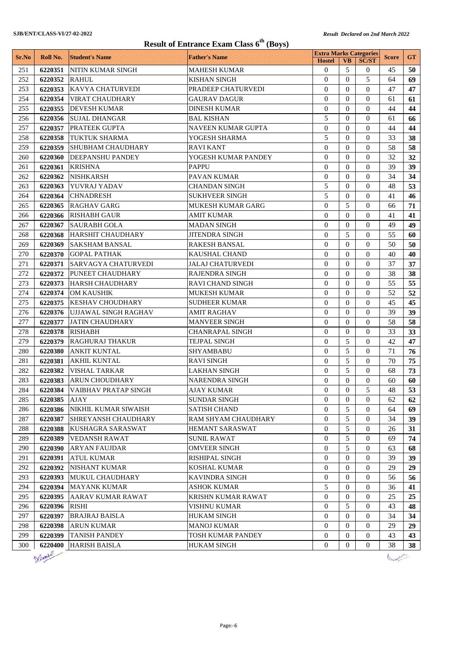|            | <b>Result of Entrance Exam Class 6<sup>th</sup> (Boys)</b> |                                            |                                            |                                  |                      |                      |              |           |  |
|------------|------------------------------------------------------------|--------------------------------------------|--------------------------------------------|----------------------------------|----------------------|----------------------|--------------|-----------|--|
| Sr.No      | Roll No.                                                   | <b>Student's Name</b>                      | <b>Father's Name</b>                       | <b>Extra Marks Categories</b>    |                      |                      | <b>Score</b> | <b>GT</b> |  |
|            |                                                            |                                            |                                            | <b>Hostel</b>                    | <b>VB</b>            | <b>SC/ST</b>         |              |           |  |
| 251        | 6220351                                                    | NITIN KUMAR SINGH                          | <b>MAHESH KUMAR</b>                        | $\Omega$                         | 5                    | $\Omega$             | 45           | 50        |  |
| 252        | 6220352                                                    | <b>RAHUL</b>                               | <b>KISHAN SINGH</b>                        | $\theta$                         | $\Omega$             | 5                    | 64           | 69        |  |
| 253        | 6220353                                                    | <b>KAVYA CHATURVEDI</b>                    | PRADEEP CHATURVEDI                         | $\theta$                         | $\Omega$             | $\Omega$             | 47           | 47        |  |
| 254        | 6220354                                                    | <b>VIRAT CHAUDHARY</b>                     | GAURAV DAGUR                               | $\theta$                         | $\Omega$             | $\Omega$             | 61           | 61        |  |
| 255        | 6220355                                                    | <b>DEVESH KUMAR</b>                        | <b>DINESH KUMAR</b>                        | $\theta$                         | $\Omega$             | $\Omega$             | 44           | 44        |  |
| 256        | 6220356                                                    | <b>SUJAL DHANGAR</b>                       | <b>BAL KISHAN</b>                          | 5                                | $\Omega$             | $\Omega$             | 61           | 66        |  |
| 257        | 6220357                                                    | PRATEEK GUPTA                              | NAVEEN KUMAR GUPTA                         | $\theta$                         | $\Omega$             | $\Omega$             | 44           | 44        |  |
| 258        | 6220358                                                    | <b>TUKTUK SHARMA</b>                       | YOGESH SHARMA                              | 5                                | $\Omega$             | $\Omega$             | 33           | 38        |  |
| 259        | 6220359                                                    | <b>SHUBHAM CHAUDHARY</b>                   | RAVI KANT                                  | $\overline{0}$                   | $\Omega$             | $\Omega$             | 58           | 58        |  |
| 260        | 6220360                                                    | <b>DEEPANSHU PANDEY</b>                    | YOGESH KUMAR PANDEY                        | $\theta$                         | $\Omega$             | $\Omega$             | 32           | 32        |  |
| 261        | 6220361                                                    | <b>KRISHNA</b>                             | <b>PAPPU</b>                               | $\theta$                         | $\Omega$             | $\Omega$             | 39           | 39        |  |
| 262        | 6220362                                                    | <b>NISHKARSH</b>                           | PAVAN KUMAR                                | $\theta$                         | $\Omega$             | $\Omega$             | 34           | 34        |  |
| 263        | 6220363                                                    | YUVRAJ YADAV                               | <b>CHANDAN SINGH</b>                       | 5                                | $\Omega$             | $\Omega$             | 48           | 53        |  |
| 264        | 6220364                                                    | <b>CHNADRESH</b>                           | <b>SUKHVEER SINGH</b>                      | 5<br>$\theta$                    | $\Omega$             | $\Omega$             | 41           | 46        |  |
| 265        | 6220365                                                    | <b>RAGHAV GARG</b>                         | MUKESH KUMAR GARG                          |                                  | 5                    | $\Omega$             | 66           | 71        |  |
| 266        | 6220366                                                    | <b>RISHABH GAUR</b>                        | <b>AMIT KUMAR</b>                          | $\theta$                         | $\Omega$             | $\Omega$             | 41           | 41        |  |
| 267        | 6220367                                                    | <b>SAURABH GOLA</b>                        | MADAN SINGH                                | $\overline{0}$                   | $\theta$             | $\Omega$             | 49           | 49        |  |
| 268        | 6220368                                                    | <b>HARSHIT CHAUDHARY</b>                   | JITENDRA SINGH                             | $\theta$                         | 5                    | $\Omega$             | 55           | 60        |  |
| 269        | 6220369                                                    | <b>SAKSHAM BANSAL</b>                      | RAKESH BANSAL                              | $\mathbf{0}$                     | $\mathbf{0}$         | $\theta$             | 50           | 50        |  |
| 270        | 6220370                                                    | <b>GOPAL PATHAK</b>                        | <b>KAUSHAL CHAND</b>                       | $\Omega$                         | $\Omega$             | $\Omega$             | 40           | 40        |  |
| 271        | 6220371                                                    | <b>SARVAGYA CHATURVEDI</b>                 | <b>JALAJ CHATURVEDI</b>                    | $\theta$                         | $\Omega$<br>$\Omega$ | $\Omega$<br>$\theta$ | 37<br>38     | 37        |  |
| 272<br>273 | 6220372                                                    | PUNEET CHAUDHARY<br><b>HARSH CHAUDHARY</b> | RAJENDRA SINGH<br>RAVI CHAND SINGH         | $\overline{0}$<br>$\overline{0}$ | $\Omega$             | $\Omega$             | 55           | 38        |  |
|            | 6220373                                                    |                                            |                                            |                                  |                      |                      |              | 55        |  |
| 274        | 6220374                                                    | <b>OM KAUSHIK</b>                          | <b>MUKESH KUMAR</b>                        | $\overline{0}$<br>$\theta$       | $\Omega$<br>$\Omega$ | $\Omega$<br>$\Omega$ | 52<br>45     | 52        |  |
| 275        | 6220375                                                    | <b>KESHAV CHOUDHARY</b>                    | <b>SUDHEER KUMAR</b><br><b>AMIT RAGHAV</b> | $\theta$                         | $\Omega$             | $\Omega$             | 39           | 45        |  |
| 276        | 6220376                                                    | UJJAWAL SINGH RAGHAV                       |                                            | $\theta$                         | $\Omega$             | $\Omega$             | 58           | 39<br>58  |  |
| 277<br>278 | 6220377<br>6220378                                         | <b>JATIN CHAUDHARY</b><br><b>RISHABH</b>   | MANVEER SINGH<br><b>CHANRAPAL SINGH</b>    | $\Omega$                         | $\Omega$             | $\Omega$             | 33           | 33        |  |
| 279        |                                                            | <b>RAGHURAJ THAKUR</b>                     | <b>TEJPAL SINGH</b>                        | $\overline{0}$                   | 5                    | $\Omega$             | 42           | 47        |  |
| 280        | 6220379<br>6220380                                         |                                            |                                            | $\Omega$                         | 5                    | $\Omega$             | 71           | 76        |  |
| 281        | 6220381                                                    | <b>ANKIT KUNTAL</b><br><b>AKHIL KUNTAL</b> | SHYAMBABU<br><b>RAVI SINGH</b>             | $\mathbf{0}$                     | 5                    | $\Omega$             | 70           | 75        |  |
| 282        | 6220382                                                    | <b>VISHAL TARKAR</b>                       | LAKHAN SINGH                               | $\mathbf{0}$                     | 5                    | $\theta$             | 68           | 73        |  |
| 283        | 6220383                                                    | <b>ARUN CHOUDHARY</b>                      | NARENDRA SINGH                             | $\overline{0}$                   | $\theta$             | $\Omega$             | 60           | 60        |  |
| 284        | 6220384                                                    | <b>VAIBHAV PRATAP SINGH</b>                | AJAY KUMAR                                 | $\overline{0}$                   | $\overline{0}$       | 5                    | 48           | 53        |  |
| 285        | 6220385                                                    | <b>AJAY</b>                                | <b>SUNDAR SINGH</b>                        | $\Omega$                         | $\Omega$             | $\Omega$             | 62           | 62        |  |
| 286        | 6220386                                                    | NIKHIL KUMAR SIWAISH                       | <b>SATISH CHAND</b>                        | $\overline{0}$                   | 5                    | $\theta$             | 64           | 69        |  |
| 287        | 6220387                                                    | SHREYANSH CHAUDHARY                        | RAM SHYAM CHAUDHARY                        | $\mathbf{0}$                     | 5                    | 0                    | 34           | 39        |  |
| 288        | 6220388                                                    | KUSHAGRA SARASWAT                          | HEMANT SARASWAT                            | $\overline{0}$                   | 5                    | $\theta$             | 26           | 31        |  |
| 289        | 6220389                                                    | <b>VEDANSH RAWAT</b>                       | <b>SUNIL RAWAT</b>                         | $\overline{0}$                   | 5                    | $\overline{0}$       | 69           | 74        |  |
| 290        | 6220390                                                    | <b>ARYAN FAUJDAR</b>                       | <b>OMVEER SINGH</b>                        | $\overline{0}$                   | 5                    | $\theta$             | 63           | 68        |  |
| 291        | 6220391                                                    | <b>ATUL KUMAR</b>                          | RISHIPAL SINGH                             | $\overline{0}$                   | $\mathbf{0}$         | $\theta$             | 39           | 39        |  |
| 292        | 6220392                                                    | NISHANT KUMAR                              | <b>KOSHAL KUMAR</b>                        | $\overline{0}$                   | $\mathbf{0}$         | $\theta$             | 29           | 29        |  |
| 293        | 6220393                                                    | MUKUL CHAUDHARY                            | KAVINDRA SINGH                             | $\overline{0}$                   | $\Omega$             | $\theta$             | 56           | 56        |  |
| 294        | 6220394                                                    | <b>MAYANK KUMAR</b>                        | <b>ASHOK KUMAR</b>                         | 5                                | $\mathbf{0}$         | $\theta$             | 36           | 41        |  |
| 295        | 6220395                                                    | <b>AARAV KUMAR RAWAT</b>                   | KRISHN KUMAR RAWAT                         | $\overline{0}$                   | $\Omega$             | $\Omega$             | 25           | 25        |  |
| 296        | 6220396                                                    | <b>RISHI</b>                               | VISHNU KUMAR                               | $\overline{0}$                   | 5                    | 0                    | 43           | 48        |  |
| 297        | 6220397                                                    | <b>BRAJRAJ BAISLA</b>                      | HUKAM SINGH                                | 0                                | $\mathbf{0}$         | 0                    | 34           | 34        |  |
| 298        | 6220398                                                    | <b>ARUN KUMAR</b>                          | <b>MANOJ KUMAR</b>                         | $\overline{0}$                   | $\Omega$             | $\theta$             | 29           | 29        |  |
| 299        | 6220399                                                    | <b>TANISH PANDEY</b>                       | TOSH KUMAR PANDEY                          | $\boldsymbol{0}$                 | $\overline{0}$       | $\boldsymbol{0}$     | 43           | 43        |  |
| 300        | 6220400                                                    | <b>HARISH BAISLA</b>                       | <b>HUKAM SINGH</b>                         | $\mathbf{0}$                     | $\overline{0}$       | $\overline{0}$       | 38           | 38        |  |



Live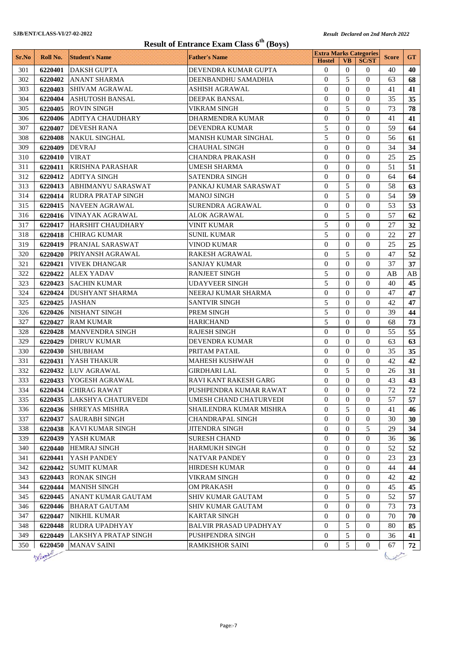## **SJB/ENT/CLASS-VI/27-02-2022** *Result Declared on 2nd March 2022 Result Declared on 2nd March 2022* **Result of Entrance Exam Class 6th (Boys)**

| <b>Result of Entrance Exam Class 6<sup>th</sup></b> (Boys)<br><b>Extra Marks Categories</b> |          |                           |                               |                |              |                |              |           |
|---------------------------------------------------------------------------------------------|----------|---------------------------|-------------------------------|----------------|--------------|----------------|--------------|-----------|
| Sr.No                                                                                       | Roll No. | <b>Student's Name</b>     | <b>Father's Name</b>          | <b>Hostel</b>  | <b>VB</b>    | <b>SC/ST</b>   | <b>Score</b> | <b>GT</b> |
| 301                                                                                         | 6220401  | <b>DAKSH GUPTA</b>        | DEVENDRA KUMAR GUPTA          | $\mathbf{0}$   | $\mathbf{0}$ | $\Omega$       | 40           | 40        |
| 302                                                                                         | 6220402  | <b>ANANT SHARMA</b>       | DEENBANDHU SAMADHIA           | $\Omega$       | 5            | $\Omega$       | 63           | 68        |
| 303                                                                                         | 6220403  | <b>SHIVAM AGRAWAL</b>     | <b>ASHISH AGRAWAL</b>         | $\Omega$       | $\Omega$     | $\Omega$       | 41           | 41        |
| 304                                                                                         | 6220404  | <b>ASHUTOSH BANSAL</b>    | DEEPAK BANSAL                 | $\overline{0}$ | $\Omega$     | $\Omega$       | 35           | 35        |
| 305                                                                                         | 6220405  | <b>ROVIN SINGH</b>        | <b>VIKRAM SINGH</b>           | $\theta$       | 5            | $\theta$       | 73           | 78        |
| 306                                                                                         | 6220406  | <b>ADITYA CHAUDHARY</b>   | DHARMENDRA KUMAR              | $\theta$       | $\Omega$     | $\Omega$       | 41           | 41        |
| 307                                                                                         | 6220407  | <b>DEVESH RANA</b>        | <b>DEVENDRA KUMAR</b>         | 5              | $\Omega$     | $\theta$       | 59           | 64        |
| 308                                                                                         | 6220408  | NAKUL SINGHAL             | MANISH KUMAR SINGHAL          | 5              | $\theta$     | $\Omega$       | 56           | 61        |
| 309                                                                                         | 6220409  | <b>DEVRAJ</b>             | <b>CHAUHAL SINGH</b>          | $\overline{0}$ | $\Omega$     | $\Omega$       | 34           | 34        |
| 310                                                                                         | 6220410  | <b>VIRAT</b>              | <b>CHANDRA PRAKASH</b>        | $\theta$       | $\Omega$     | $\Omega$       | 25           | 25        |
| 311                                                                                         | 6220411  | <b>KRISHNA PARASHAR</b>   | <b>UMESH SHARMA</b>           | $\theta$       | $\Omega$     | $\Omega$       | 51           | 51        |
| 312                                                                                         | 6220412  | <b>ADITYA SINGH</b>       | SATENDRA SINGH                | $\theta$       | $\Omega$     | $\theta$       | 64           | 64        |
| 313                                                                                         | 6220413  | ABHIMANYU SARASWAT        | PANKAJ KUMAR SARASWAT         | $\Omega$       | 5            | $\Omega$       | 58           | 63        |
| 314                                                                                         | 6220414  | <b>RUDRA PRATAP SINGH</b> | <b>MANOJ SINGH</b>            | 0              | 5            | $\Omega$       | 54           | 59        |
| 315                                                                                         | 6220415  | <b>NAVEEN AGRAWAL</b>     | <b>SURENDRA AGRAWAL</b>       | $\Omega$       | $\Omega$     | $\Omega$       | 53           | 53        |
| 316                                                                                         | 6220416  | <b>VINAYAK AGRAWAL</b>    | <b>ALOK AGRAWAL</b>           | $\theta$       | 5            | $\Omega$       | 57           | 62        |
| 317                                                                                         | 6220417  | <b>HARSHIT CHAUDHARY</b>  | <b>VINIT KUMAR</b>            | 5              | $\Omega$     | $\theta$       | 27           | 32        |
| 318                                                                                         | 6220418  | <b>CHIRAG KUMAR</b>       | <b>SUNIL KUMAR</b>            | 5              | $\Omega$     | $\Omega$       | 22           | 27        |
| 319                                                                                         | 6220419  | PRANJAL SARASWAT          | <b>VINOD KUMAR</b>            | $\overline{0}$ | $\Omega$     | $\Omega$       | 25           | 25        |
| 320                                                                                         | 6220420  | PRIYANSH AGRAWAL          | <b>RAKESH AGRAWAL</b>         | $\theta$       | 5            | $\Omega$       | 47           | 52        |
| 321                                                                                         | 6220421  | <b>VIVEK DHANGAR</b>      | <b>SANJAY KUMAR</b>           | $\theta$       | $\Omega$     | $\Omega$       | 37           | 37        |
| 322                                                                                         | 6220422  | <b>ALEX YADAV</b>         | <b>RANJEET SINGH</b>          | 5              | $\theta$     | $\theta$       | AB           | AB        |
| 323                                                                                         | 6220423  | <b>SACHIN KUMAR</b>       | <b>UDAYVEER SINGH</b>         | 5              | $\Omega$     | $\Omega$       | 40           | 45        |
| 324                                                                                         | 6220424  | <b>DUSHYANT SHARMA</b>    | NEERAJ KUMAR SHARMA           | $\overline{0}$ | $\Omega$     | $\Omega$       | 47           | 47        |
| 325                                                                                         | 6220425  | <b>JASHAN</b>             | <b>SANTVIR SINGH</b>          | 5              | $\Omega$     | $\theta$       | 42           | 47        |
| 326                                                                                         | 6220426  | NISHANT SINGH             | PREM SINGH                    | 5              | $\Omega$     | $\Omega$       | 39           | 44        |
| 327                                                                                         | 6220427  | <b>RAM KUMAR</b>          | <b>HARICHAND</b>              | 5              | $\Omega$     | $\theta$       | 68           | 73        |
| 328                                                                                         | 6220428  | MANVENDRA SINGH           | <b>RAJESH SINGH</b>           | $\theta$       | $\theta$     | $\Omega$       | 55           | 55        |
| 329                                                                                         | 6220429  | <b>DHRUV KUMAR</b>        | <b>DEVENDRA KUMAR</b>         | $\overline{0}$ | $\Omega$     | $\Omega$       | 63           | 63        |
| 330                                                                                         | 6220430  | <b>SHUBHAM</b>            | PRITAM PATAIL                 | $\theta$       | $\theta$     | $\Omega$       | 35           | 35        |
| 331                                                                                         | 6220431  | YASH THAKUR               | <b>MAHESH KUSHWAH</b>         | $\theta$       | $\mathbf{0}$ | $\Omega$       | 42           | 42        |
| 332                                                                                         | 6220432  | <b>LUV AGRAWAL</b>        | <b>GIRDHARI LAL</b>           | $\theta$       | 5            | $\theta$       | 26           | 31        |
| 333                                                                                         | 6220433  | YOGESH AGRAWAL            | RAVI KANT RAKESH GARG         | $\Omega$       | $\Omega$     | $\Omega$       | 43           | 43        |
| 334                                                                                         | 6220434  | <b>CHIRAG RAWAT</b>       | PUSHPENDRA KUMAR RAWAT        | 0              | $\theta$     | $\theta$       | 72           | 72        |
| 335                                                                                         | 6220435  | LAKSHYA CHATURVEDI        | UMESH CHAND CHATURVEDI        | $\Omega$       | $\Omega$     | $\Omega$       | 57           | 57        |
| 336                                                                                         | 6220436  | <b>SHREYAS MISHRA</b>     | SHAILENDRA KUMAR MISHRA       | $\overline{0}$ | 5            | 0              | 41           | 46        |
| 337                                                                                         | 6220437  | <b>SAURABH SINGH</b>      | CHANDRAPAL SINGH              | 0              | $\mathbf{0}$ | $\theta$       | 30           | 30        |
| 338                                                                                         | 6220438  | <b>KAVI KUMAR SINGH</b>   | <b>JITENDRA SINGH</b>         | 0              | $\mathbf{0}$ | 5              | 29           | 34        |
| 339                                                                                         | 6220439  | YASH KUMAR                | SURESH CHAND                  | 0              | $\mathbf{0}$ | $\mathbf{0}$   | 36           | 36        |
| 340                                                                                         | 6220440  | <b>HEMRAJ SINGH</b>       | HARMUKH SINGH                 | 0              | $\Omega$     | $\Omega$       | 52           | 52        |
| 341                                                                                         | 6220441  | YASH PANDEY               | NATVAR PANDEY                 | 0              | $\Omega$     | 0              | 23           | 23        |
| 342                                                                                         | 6220442  | <b>SUMIT KUMAR</b>        | HIRDESH KUMAR                 | $\overline{0}$ | $\Omega$     | $\Omega$       | 44           | 44        |
| 343                                                                                         | 6220443  | <b>RONAK SINGH</b>        | VIKRAM SINGH                  | 0              | $\Omega$     | $\Omega$       | 42           | 42        |
| 344                                                                                         | 6220444  | <b>MANISH SINGH</b>       | <b>OM PRAKASH</b>             | 0              | $\theta$     | 0              | 45           | 45        |
| 345                                                                                         | 6220445  | ANANT KUMAR GAUTAM        | SHIV KUMAR GAUTAM             | $\overline{0}$ | 5            | $\Omega$       | 52           | 57        |
| 346                                                                                         | 6220446  | <b>BHARAT GAUTAM</b>      | <b>SHIV KUMAR GAUTAM</b>      | $\overline{0}$ | $\Omega$     | 0              | 73           | 73        |
| 347                                                                                         | 6220447  | <b>NIKHIL KUMAR</b>       | <b>KARTAR SINGH</b>           | 0              | $\theta$     | $\theta$       | 70           | 70        |
| 348                                                                                         | 6220448  | RUDRA UPADHYAY            | <b>BALVIR PRASAD UPADHYAY</b> | 0              | 5            | $\Omega$       | 80           | 85        |
| 349                                                                                         | 6220449  | LAKSHYA PRATAP SINGH      | PUSHPENDRA SINGH              | 0              | 5            | $\overline{0}$ | 36           | 41        |
| 350                                                                                         | 6220450  | <b>MANAV SAINI</b>        | <b>RAMKISHOR SAINI</b>        | 0              | 5            | $\overline{0}$ | 67           | 72        |
|                                                                                             | Defamily |                           |                               |                |              |                |              |           |

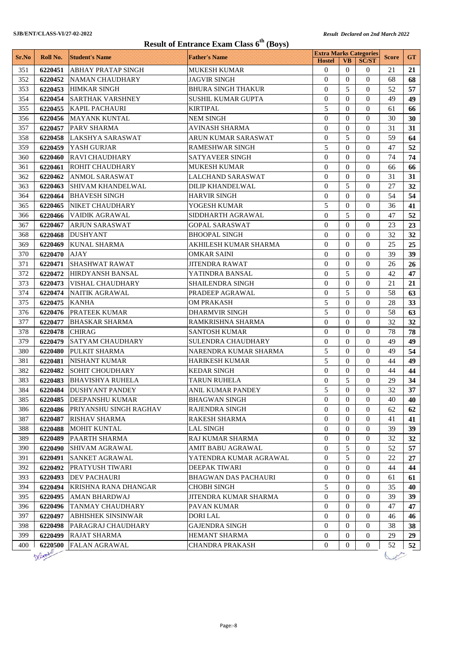| <b>Extra Marks Categories</b><br><b>GT</b><br><b>Father's Name</b><br>Sr.No<br>Roll No.<br><b>Student's Name</b><br><b>Score</b><br><b>Hostel</b><br><b>VB</b><br><b>SC/ST</b><br>351<br>6220451<br><b>ABHAY PRATAP SINGH</b><br><b>MUKESH KUMAR</b><br>$\theta$<br>$\Omega$<br>21<br>21<br>$\sigma$<br>$\Omega$<br>$\Omega$<br>352<br>6220452<br><b>NAMAN CHAUDHARY</b><br><b>JAGVIR SINGH</b><br>$\Omega$<br>68<br>68<br>5<br>353<br><b>HIMKAR SINGH</b><br><b>BHURA SINGH THAKUR</b><br>$\mathbf{0}$<br>$\Omega$<br>52<br>6220453<br>57<br>$\Omega$<br>$\Omega$<br>$\Omega$<br>49<br>354<br>6220454<br><b>SARTHAK VARSHNEY</b><br><b>SUSHIL KUMAR GUPTA</b><br>49<br>355<br>KAPIL PACHAURI<br>5<br><b>KIRTIPAL</b><br>$\Omega$<br>$\Omega$<br>61<br>6220455<br>66<br>$\Omega$<br>$\Omega$<br>$\Omega$<br>30<br>356<br>6220456<br><b>MAYANK KUNTAL</b><br><b>NEM SINGH</b><br>30<br>$\Omega$<br>31<br>$\Omega$<br>$\Omega$<br>357<br>6220457<br><b>PARV SHARMA</b><br><b>AVINASH SHARMA</b><br>31<br>$\overline{0}$<br>5<br>59<br>358<br><b>LAKSHYA SARASWAT</b><br><b>ARUN KUMAR SARASWAT</b><br>$\Omega$<br>64<br>6220458<br>5<br>52<br>359<br><b>YASH GURJAR</b><br><b>RAMESHWAR SINGH</b><br>$\Omega$<br>47<br>6220459<br>$\Omega$<br>$\Omega$<br>74<br>360<br><b>RAVI CHAUDHARY</b><br>SATYAVEER SINGH<br>$\Omega$<br>$\Omega$<br>74<br>6220460<br>$\Omega$<br>$\Omega$<br>361<br>6220461<br><b>ROHIT CHAUDHARY</b><br><b>MUKESH KUMAR</b><br>$\Omega$<br>66<br>66<br>$\theta$<br>$\Omega$<br>$\Omega$<br>31<br>362<br>6220462<br><b>ANMOL SARASWAT</b><br><b>LALCHAND SARASWAT</b><br>31<br>5<br><b>SHIVAM KHANDELWAL</b><br><b>DILIP KHANDELWAL</b><br>$\mathbf{0}$<br>$\theta$<br>27<br>363<br>6220463<br>32<br>54<br>364<br><b>BHAVESH SINGH</b><br><b>HARVIR SINGH</b><br>$\theta$<br>$\Omega$<br>54<br>6220464<br>$\Omega$<br>5<br>$\Omega$<br>$\Omega$<br>6220465<br>NIKET CHAUDHARY<br>YOGESH KUMAR<br>36<br>41<br>365<br>5<br>$\theta$<br>52<br><b>VAIDIK AGRAWAL</b><br>$\Omega$<br>366<br>6220466<br>SIDDHARTH AGRAWAL<br>47<br>$\theta$<br>$\Omega$<br>$\Omega$<br>23<br>367<br>6220467<br><b>ARJUN SARASWAT</b><br><b>GOPAL SARASWAT</b><br>23<br>$\theta$<br>32<br><b>DUSHYANT</b><br><b>BHOOPAL SINGH</b><br>$\Omega$<br>$\Omega$<br>368<br>32<br>6220468<br>$\theta$<br>25<br><b>KUNAL SHARMA</b><br><b>AKHILESH KUMAR SHARMA</b><br>$\Omega$<br>25<br>369<br>6220469<br>$\Omega$<br>$\Omega$<br>39<br>6220470<br>$\Omega$<br>$\Omega$<br>39<br>370<br><b>AJAY</b><br>OMKAR SAINI<br><b>SHASHWAT RAWAT</b><br>26<br>371<br>6220471<br><b>JITENDRA RAWAT</b><br>$\Omega$<br>$\Omega$<br>$\Omega$<br>26<br>5<br>$\Omega$<br>$\Omega$<br>42<br>372<br>HIRDYANSH BANSAL<br>47<br>6220472<br>YATINDRA BANSAL<br>373<br><b>VISHAL CHAUDHARY</b><br>SHAILENDRA SINGH<br>$\Omega$<br>$\Omega$<br>$\Omega$<br>21<br>6220473<br>21<br>5<br>374<br>NAITIK AGRAWAL<br>PRADEEP AGRAWAL<br>$\mathbf{0}$<br>$\Omega$<br>58<br>63<br>6220474<br>5<br>$\Omega$<br>$\Omega$<br>28<br>375<br>33<br>6220475<br><b>KANHA</b><br><b>OM PRAKASH</b><br>5<br><b>PRATEEK KUMAR</b><br>$\Omega$<br>58<br>376<br>DHARMVIR SINGH<br>$\Omega$<br>63<br>6220476<br>$\Omega$<br>$\Omega$<br>$\Omega$<br>32<br>377<br><b>BHASKAR SHARMA</b><br>RAMKRISHNA SHARMA<br>32<br>6220477<br>$\Omega$<br>78<br>378<br><b>SANTOSH KUMAR</b><br>$\Omega$<br>$\Omega$<br>78<br>6220478<br><b>CHIRAG</b><br>$\Omega$<br>379<br><b>SATYAM CHAUDHARY</b><br>SULENDRA CHAUDHARY<br>$\Omega$<br>$\Omega$<br>49<br>49<br>6220479<br>5<br>PULKIT SHARMA<br>$\Omega$<br>$\Omega$<br>49<br>54<br>380<br>6220480<br>NARENDRA KUMAR SHARMA<br>5<br>381<br>6220481<br>NISHANT KUMAR<br><b>HARIKESH KUMAR</b><br>$\Omega$<br>$\Omega$<br>44<br>49<br>382<br><b>SOHIT CHOUDHARY</b><br>6220482<br><b>KEDAR SINGH</b><br>$\mathbf{0}$<br>$\overline{0}$<br>$\theta$<br>44<br>44<br>5<br>29<br>383<br>6220483 BHAVISHYA RUHELA<br>$\boldsymbol{0}$<br>$\boldsymbol{0}$<br>34<br>TARUN RUHELA<br><b>DUSHYANT PANDEY</b><br>ANIL KUMAR PANDEY<br>5<br>384<br>$\overline{0}$<br>$\overline{0}$<br>32<br>37<br>6220484<br>$\overline{0}$<br>$\overline{0}$<br>385<br><b>DEEPANSHU KUMAR</b><br>0<br>40<br>6220485<br>BHAGWAN SINGH<br>40<br>$\mathbf{0}$<br>386<br><b>PRIYANSHU SINGH RAGHAV</b><br>0<br>$\theta$<br>62<br>62<br>6220486<br>RAJENDRA SINGH<br>387<br>$\mathbf{0}$<br><b>RISHAV SHARMA</b><br>RAKESH SHARMA<br>0<br>$\theta$<br>41<br>41<br>6220487<br>$\mathbf{0}$<br>0<br>$\theta$<br>39<br>388<br>6220488<br><b>MOHIT KUNTAL</b><br><b>LAL SINGH</b><br>39<br>389<br><b>PAARTH SHARMA</b><br>RAJ KUMAR SHARMA<br>$\theta$<br>32<br>32<br>6220489<br>0<br>0<br>5<br>$\boldsymbol{0}$<br>52<br>6220490<br>0<br>57<br>390<br> SHIVAM AGRAWAL<br>AMIT BABU AGRAWAL<br>5<br>391<br><b>SANKET AGRAWAL</b><br>YATENDRA KUMAR AGRAWAL<br>$\boldsymbol{0}$<br>22<br>6220491<br>0<br>27<br>DEEPAK TIWARI<br>392<br><b>PRATYUSH TIWARI</b><br>$\boldsymbol{0}$<br>0<br>$\overline{0}$<br>44<br>44<br>6220492<br>$\overline{0}$<br>0<br>$\overline{0}$<br>393<br>6220493<br><b>DEV PACHAURI</b><br><b>BHAGWAN DAS PACHAURI</b><br>61<br>61<br><b>KRISHNA RANA DHANGAR</b><br>5<br>394<br>6220494<br><b>CHOBH SINGH</b><br>0<br>$\overline{0}$<br>35<br>40<br>$\overline{0}$<br>$\theta$<br>39<br>395<br>6220495<br>AMAN BHARDWAJ<br>JITENDRA KUMAR SHARMA<br>0<br>39<br>396<br><b>TANMAY CHAUDHARY</b><br>PAVAN KUMAR<br>$\theta$<br>0<br>$\theta$<br>47<br>6220496<br>47<br>397<br>$\mathbf{0}$<br>6220497<br><b>ABHISHEK SINSINWAR</b><br>DORI LAL<br>$\mathbf{0}$<br>$\theta$<br>46<br>46<br>$\mathbf{0}$<br><b>GAJENDRA SINGH</b><br>$\overline{0}$<br>38<br>398<br>6220498<br>PARAGRAJ CHAUDHARY<br>0<br>38<br>399<br>29<br>29<br><b>RAJAT SHARMA</b><br>HEMANT SHARMA<br>$\boldsymbol{0}$<br>6220499<br>0<br>$\sigma$<br>$\boldsymbol{0}$<br>52<br>52<br>6220500<br><b>FALAN AGRAWAL</b><br><b>CHANDRA PRAKASH</b><br>0<br>0<br>400 | <b>Result of Entrance Exam Class 6<sup>th</sup> (Boys)</b> |  |  |  |  |  |  |  |
|---------------------------------------------------------------------------------------------------------------------------------------------------------------------------------------------------------------------------------------------------------------------------------------------------------------------------------------------------------------------------------------------------------------------------------------------------------------------------------------------------------------------------------------------------------------------------------------------------------------------------------------------------------------------------------------------------------------------------------------------------------------------------------------------------------------------------------------------------------------------------------------------------------------------------------------------------------------------------------------------------------------------------------------------------------------------------------------------------------------------------------------------------------------------------------------------------------------------------------------------------------------------------------------------------------------------------------------------------------------------------------------------------------------------------------------------------------------------------------------------------------------------------------------------------------------------------------------------------------------------------------------------------------------------------------------------------------------------------------------------------------------------------------------------------------------------------------------------------------------------------------------------------------------------------------------------------------------------------------------------------------------------------------------------------------------------------------------------------------------------------------------------------------------------------------------------------------------------------------------------------------------------------------------------------------------------------------------------------------------------------------------------------------------------------------------------------------------------------------------------------------------------------------------------------------------------------------------------------------------------------------------------------------------------------------------------------------------------------------------------------------------------------------------------------------------------------------------------------------------------------------------------------------------------------------------------------------------------------------------------------------------------------------------------------------------------------------------------------------------------------------------------------------------------------------------------------------------------------------------------------------------------------------------------------------------------------------------------------------------------------------------------------------------------------------------------------------------------------------------------------------------------------------------------------------------------------------------------------------------------------------------------------------------------------------------------------------------------------------------------------------------------------------------------------------------------------------------------------------------------------------------------------------------------------------------------------------------------------------------------------------------------------------------------------------------------------------------------------------------------------------------------------------------------------------------------------------------------------------------------------------------------------------------------------------------------------------------------------------------------------------------------------------------------------------------------------------------------------------------------------------------------------------------------------------------------------------------------------------------------------------------------------------------------------------------------------------------------------------------------------------------------------------------------------------------------------------------------------------------------------------------------------------------------------------------------------------------------------------------------------------------------------------------------------------------------------------------------------------------------------------------------------------------------------------------------------------------------------------------------------------------------------------------------------------------------------------------------------------------------------------------------------------------------------------------------------------------------------------------------------------------------------------------------------------------------------------------------------------------------------------------------------------------------------------------------------------------------------------------------------------------------------------------------------------------------------------------------------------------------------------------------------------|------------------------------------------------------------|--|--|--|--|--|--|--|
|                                                                                                                                                                                                                                                                                                                                                                                                                                                                                                                                                                                                                                                                                                                                                                                                                                                                                                                                                                                                                                                                                                                                                                                                                                                                                                                                                                                                                                                                                                                                                                                                                                                                                                                                                                                                                                                                                                                                                                                                                                                                                                                                                                                                                                                                                                                                                                                                                                                                                                                                                                                                                                                                                                                                                                                                                                                                                                                                                                                                                                                                                                                                                                                                                                                                                                                                                                                                                                                                                                                                                                                                                                                                                                                                                                                                                                                                                                                                                                                                                                                                                                                                                                                                                                                                                                                                                                                                                                                                                                                                                                                                                                                                                                                                                                                                                                                                                                                                                                                                                                                                                                                                                                                                                                                                                                                                                                                                                                                                                                                                                                                                                                                                                                                                                                                                                                                                                                         |                                                            |  |  |  |  |  |  |  |
|                                                                                                                                                                                                                                                                                                                                                                                                                                                                                                                                                                                                                                                                                                                                                                                                                                                                                                                                                                                                                                                                                                                                                                                                                                                                                                                                                                                                                                                                                                                                                                                                                                                                                                                                                                                                                                                                                                                                                                                                                                                                                                                                                                                                                                                                                                                                                                                                                                                                                                                                                                                                                                                                                                                                                                                                                                                                                                                                                                                                                                                                                                                                                                                                                                                                                                                                                                                                                                                                                                                                                                                                                                                                                                                                                                                                                                                                                                                                                                                                                                                                                                                                                                                                                                                                                                                                                                                                                                                                                                                                                                                                                                                                                                                                                                                                                                                                                                                                                                                                                                                                                                                                                                                                                                                                                                                                                                                                                                                                                                                                                                                                                                                                                                                                                                                                                                                                                                         |                                                            |  |  |  |  |  |  |  |
|                                                                                                                                                                                                                                                                                                                                                                                                                                                                                                                                                                                                                                                                                                                                                                                                                                                                                                                                                                                                                                                                                                                                                                                                                                                                                                                                                                                                                                                                                                                                                                                                                                                                                                                                                                                                                                                                                                                                                                                                                                                                                                                                                                                                                                                                                                                                                                                                                                                                                                                                                                                                                                                                                                                                                                                                                                                                                                                                                                                                                                                                                                                                                                                                                                                                                                                                                                                                                                                                                                                                                                                                                                                                                                                                                                                                                                                                                                                                                                                                                                                                                                                                                                                                                                                                                                                                                                                                                                                                                                                                                                                                                                                                                                                                                                                                                                                                                                                                                                                                                                                                                                                                                                                                                                                                                                                                                                                                                                                                                                                                                                                                                                                                                                                                                                                                                                                                                                         |                                                            |  |  |  |  |  |  |  |
|                                                                                                                                                                                                                                                                                                                                                                                                                                                                                                                                                                                                                                                                                                                                                                                                                                                                                                                                                                                                                                                                                                                                                                                                                                                                                                                                                                                                                                                                                                                                                                                                                                                                                                                                                                                                                                                                                                                                                                                                                                                                                                                                                                                                                                                                                                                                                                                                                                                                                                                                                                                                                                                                                                                                                                                                                                                                                                                                                                                                                                                                                                                                                                                                                                                                                                                                                                                                                                                                                                                                                                                                                                                                                                                                                                                                                                                                                                                                                                                                                                                                                                                                                                                                                                                                                                                                                                                                                                                                                                                                                                                                                                                                                                                                                                                                                                                                                                                                                                                                                                                                                                                                                                                                                                                                                                                                                                                                                                                                                                                                                                                                                                                                                                                                                                                                                                                                                                         |                                                            |  |  |  |  |  |  |  |
|                                                                                                                                                                                                                                                                                                                                                                                                                                                                                                                                                                                                                                                                                                                                                                                                                                                                                                                                                                                                                                                                                                                                                                                                                                                                                                                                                                                                                                                                                                                                                                                                                                                                                                                                                                                                                                                                                                                                                                                                                                                                                                                                                                                                                                                                                                                                                                                                                                                                                                                                                                                                                                                                                                                                                                                                                                                                                                                                                                                                                                                                                                                                                                                                                                                                                                                                                                                                                                                                                                                                                                                                                                                                                                                                                                                                                                                                                                                                                                                                                                                                                                                                                                                                                                                                                                                                                                                                                                                                                                                                                                                                                                                                                                                                                                                                                                                                                                                                                                                                                                                                                                                                                                                                                                                                                                                                                                                                                                                                                                                                                                                                                                                                                                                                                                                                                                                                                                         |                                                            |  |  |  |  |  |  |  |
|                                                                                                                                                                                                                                                                                                                                                                                                                                                                                                                                                                                                                                                                                                                                                                                                                                                                                                                                                                                                                                                                                                                                                                                                                                                                                                                                                                                                                                                                                                                                                                                                                                                                                                                                                                                                                                                                                                                                                                                                                                                                                                                                                                                                                                                                                                                                                                                                                                                                                                                                                                                                                                                                                                                                                                                                                                                                                                                                                                                                                                                                                                                                                                                                                                                                                                                                                                                                                                                                                                                                                                                                                                                                                                                                                                                                                                                                                                                                                                                                                                                                                                                                                                                                                                                                                                                                                                                                                                                                                                                                                                                                                                                                                                                                                                                                                                                                                                                                                                                                                                                                                                                                                                                                                                                                                                                                                                                                                                                                                                                                                                                                                                                                                                                                                                                                                                                                                                         |                                                            |  |  |  |  |  |  |  |
|                                                                                                                                                                                                                                                                                                                                                                                                                                                                                                                                                                                                                                                                                                                                                                                                                                                                                                                                                                                                                                                                                                                                                                                                                                                                                                                                                                                                                                                                                                                                                                                                                                                                                                                                                                                                                                                                                                                                                                                                                                                                                                                                                                                                                                                                                                                                                                                                                                                                                                                                                                                                                                                                                                                                                                                                                                                                                                                                                                                                                                                                                                                                                                                                                                                                                                                                                                                                                                                                                                                                                                                                                                                                                                                                                                                                                                                                                                                                                                                                                                                                                                                                                                                                                                                                                                                                                                                                                                                                                                                                                                                                                                                                                                                                                                                                                                                                                                                                                                                                                                                                                                                                                                                                                                                                                                                                                                                                                                                                                                                                                                                                                                                                                                                                                                                                                                                                                                         |                                                            |  |  |  |  |  |  |  |
|                                                                                                                                                                                                                                                                                                                                                                                                                                                                                                                                                                                                                                                                                                                                                                                                                                                                                                                                                                                                                                                                                                                                                                                                                                                                                                                                                                                                                                                                                                                                                                                                                                                                                                                                                                                                                                                                                                                                                                                                                                                                                                                                                                                                                                                                                                                                                                                                                                                                                                                                                                                                                                                                                                                                                                                                                                                                                                                                                                                                                                                                                                                                                                                                                                                                                                                                                                                                                                                                                                                                                                                                                                                                                                                                                                                                                                                                                                                                                                                                                                                                                                                                                                                                                                                                                                                                                                                                                                                                                                                                                                                                                                                                                                                                                                                                                                                                                                                                                                                                                                                                                                                                                                                                                                                                                                                                                                                                                                                                                                                                                                                                                                                                                                                                                                                                                                                                                                         |                                                            |  |  |  |  |  |  |  |
|                                                                                                                                                                                                                                                                                                                                                                                                                                                                                                                                                                                                                                                                                                                                                                                                                                                                                                                                                                                                                                                                                                                                                                                                                                                                                                                                                                                                                                                                                                                                                                                                                                                                                                                                                                                                                                                                                                                                                                                                                                                                                                                                                                                                                                                                                                                                                                                                                                                                                                                                                                                                                                                                                                                                                                                                                                                                                                                                                                                                                                                                                                                                                                                                                                                                                                                                                                                                                                                                                                                                                                                                                                                                                                                                                                                                                                                                                                                                                                                                                                                                                                                                                                                                                                                                                                                                                                                                                                                                                                                                                                                                                                                                                                                                                                                                                                                                                                                                                                                                                                                                                                                                                                                                                                                                                                                                                                                                                                                                                                                                                                                                                                                                                                                                                                                                                                                                                                         |                                                            |  |  |  |  |  |  |  |
|                                                                                                                                                                                                                                                                                                                                                                                                                                                                                                                                                                                                                                                                                                                                                                                                                                                                                                                                                                                                                                                                                                                                                                                                                                                                                                                                                                                                                                                                                                                                                                                                                                                                                                                                                                                                                                                                                                                                                                                                                                                                                                                                                                                                                                                                                                                                                                                                                                                                                                                                                                                                                                                                                                                                                                                                                                                                                                                                                                                                                                                                                                                                                                                                                                                                                                                                                                                                                                                                                                                                                                                                                                                                                                                                                                                                                                                                                                                                                                                                                                                                                                                                                                                                                                                                                                                                                                                                                                                                                                                                                                                                                                                                                                                                                                                                                                                                                                                                                                                                                                                                                                                                                                                                                                                                                                                                                                                                                                                                                                                                                                                                                                                                                                                                                                                                                                                                                                         |                                                            |  |  |  |  |  |  |  |
|                                                                                                                                                                                                                                                                                                                                                                                                                                                                                                                                                                                                                                                                                                                                                                                                                                                                                                                                                                                                                                                                                                                                                                                                                                                                                                                                                                                                                                                                                                                                                                                                                                                                                                                                                                                                                                                                                                                                                                                                                                                                                                                                                                                                                                                                                                                                                                                                                                                                                                                                                                                                                                                                                                                                                                                                                                                                                                                                                                                                                                                                                                                                                                                                                                                                                                                                                                                                                                                                                                                                                                                                                                                                                                                                                                                                                                                                                                                                                                                                                                                                                                                                                                                                                                                                                                                                                                                                                                                                                                                                                                                                                                                                                                                                                                                                                                                                                                                                                                                                                                                                                                                                                                                                                                                                                                                                                                                                                                                                                                                                                                                                                                                                                                                                                                                                                                                                                                         |                                                            |  |  |  |  |  |  |  |
|                                                                                                                                                                                                                                                                                                                                                                                                                                                                                                                                                                                                                                                                                                                                                                                                                                                                                                                                                                                                                                                                                                                                                                                                                                                                                                                                                                                                                                                                                                                                                                                                                                                                                                                                                                                                                                                                                                                                                                                                                                                                                                                                                                                                                                                                                                                                                                                                                                                                                                                                                                                                                                                                                                                                                                                                                                                                                                                                                                                                                                                                                                                                                                                                                                                                                                                                                                                                                                                                                                                                                                                                                                                                                                                                                                                                                                                                                                                                                                                                                                                                                                                                                                                                                                                                                                                                                                                                                                                                                                                                                                                                                                                                                                                                                                                                                                                                                                                                                                                                                                                                                                                                                                                                                                                                                                                                                                                                                                                                                                                                                                                                                                                                                                                                                                                                                                                                                                         |                                                            |  |  |  |  |  |  |  |
|                                                                                                                                                                                                                                                                                                                                                                                                                                                                                                                                                                                                                                                                                                                                                                                                                                                                                                                                                                                                                                                                                                                                                                                                                                                                                                                                                                                                                                                                                                                                                                                                                                                                                                                                                                                                                                                                                                                                                                                                                                                                                                                                                                                                                                                                                                                                                                                                                                                                                                                                                                                                                                                                                                                                                                                                                                                                                                                                                                                                                                                                                                                                                                                                                                                                                                                                                                                                                                                                                                                                                                                                                                                                                                                                                                                                                                                                                                                                                                                                                                                                                                                                                                                                                                                                                                                                                                                                                                                                                                                                                                                                                                                                                                                                                                                                                                                                                                                                                                                                                                                                                                                                                                                                                                                                                                                                                                                                                                                                                                                                                                                                                                                                                                                                                                                                                                                                                                         |                                                            |  |  |  |  |  |  |  |
|                                                                                                                                                                                                                                                                                                                                                                                                                                                                                                                                                                                                                                                                                                                                                                                                                                                                                                                                                                                                                                                                                                                                                                                                                                                                                                                                                                                                                                                                                                                                                                                                                                                                                                                                                                                                                                                                                                                                                                                                                                                                                                                                                                                                                                                                                                                                                                                                                                                                                                                                                                                                                                                                                                                                                                                                                                                                                                                                                                                                                                                                                                                                                                                                                                                                                                                                                                                                                                                                                                                                                                                                                                                                                                                                                                                                                                                                                                                                                                                                                                                                                                                                                                                                                                                                                                                                                                                                                                                                                                                                                                                                                                                                                                                                                                                                                                                                                                                                                                                                                                                                                                                                                                                                                                                                                                                                                                                                                                                                                                                                                                                                                                                                                                                                                                                                                                                                                                         |                                                            |  |  |  |  |  |  |  |
|                                                                                                                                                                                                                                                                                                                                                                                                                                                                                                                                                                                                                                                                                                                                                                                                                                                                                                                                                                                                                                                                                                                                                                                                                                                                                                                                                                                                                                                                                                                                                                                                                                                                                                                                                                                                                                                                                                                                                                                                                                                                                                                                                                                                                                                                                                                                                                                                                                                                                                                                                                                                                                                                                                                                                                                                                                                                                                                                                                                                                                                                                                                                                                                                                                                                                                                                                                                                                                                                                                                                                                                                                                                                                                                                                                                                                                                                                                                                                                                                                                                                                                                                                                                                                                                                                                                                                                                                                                                                                                                                                                                                                                                                                                                                                                                                                                                                                                                                                                                                                                                                                                                                                                                                                                                                                                                                                                                                                                                                                                                                                                                                                                                                                                                                                                                                                                                                                                         |                                                            |  |  |  |  |  |  |  |
|                                                                                                                                                                                                                                                                                                                                                                                                                                                                                                                                                                                                                                                                                                                                                                                                                                                                                                                                                                                                                                                                                                                                                                                                                                                                                                                                                                                                                                                                                                                                                                                                                                                                                                                                                                                                                                                                                                                                                                                                                                                                                                                                                                                                                                                                                                                                                                                                                                                                                                                                                                                                                                                                                                                                                                                                                                                                                                                                                                                                                                                                                                                                                                                                                                                                                                                                                                                                                                                                                                                                                                                                                                                                                                                                                                                                                                                                                                                                                                                                                                                                                                                                                                                                                                                                                                                                                                                                                                                                                                                                                                                                                                                                                                                                                                                                                                                                                                                                                                                                                                                                                                                                                                                                                                                                                                                                                                                                                                                                                                                                                                                                                                                                                                                                                                                                                                                                                                         |                                                            |  |  |  |  |  |  |  |
|                                                                                                                                                                                                                                                                                                                                                                                                                                                                                                                                                                                                                                                                                                                                                                                                                                                                                                                                                                                                                                                                                                                                                                                                                                                                                                                                                                                                                                                                                                                                                                                                                                                                                                                                                                                                                                                                                                                                                                                                                                                                                                                                                                                                                                                                                                                                                                                                                                                                                                                                                                                                                                                                                                                                                                                                                                                                                                                                                                                                                                                                                                                                                                                                                                                                                                                                                                                                                                                                                                                                                                                                                                                                                                                                                                                                                                                                                                                                                                                                                                                                                                                                                                                                                                                                                                                                                                                                                                                                                                                                                                                                                                                                                                                                                                                                                                                                                                                                                                                                                                                                                                                                                                                                                                                                                                                                                                                                                                                                                                                                                                                                                                                                                                                                                                                                                                                                                                         |                                                            |  |  |  |  |  |  |  |
|                                                                                                                                                                                                                                                                                                                                                                                                                                                                                                                                                                                                                                                                                                                                                                                                                                                                                                                                                                                                                                                                                                                                                                                                                                                                                                                                                                                                                                                                                                                                                                                                                                                                                                                                                                                                                                                                                                                                                                                                                                                                                                                                                                                                                                                                                                                                                                                                                                                                                                                                                                                                                                                                                                                                                                                                                                                                                                                                                                                                                                                                                                                                                                                                                                                                                                                                                                                                                                                                                                                                                                                                                                                                                                                                                                                                                                                                                                                                                                                                                                                                                                                                                                                                                                                                                                                                                                                                                                                                                                                                                                                                                                                                                                                                                                                                                                                                                                                                                                                                                                                                                                                                                                                                                                                                                                                                                                                                                                                                                                                                                                                                                                                                                                                                                                                                                                                                                                         |                                                            |  |  |  |  |  |  |  |
|                                                                                                                                                                                                                                                                                                                                                                                                                                                                                                                                                                                                                                                                                                                                                                                                                                                                                                                                                                                                                                                                                                                                                                                                                                                                                                                                                                                                                                                                                                                                                                                                                                                                                                                                                                                                                                                                                                                                                                                                                                                                                                                                                                                                                                                                                                                                                                                                                                                                                                                                                                                                                                                                                                                                                                                                                                                                                                                                                                                                                                                                                                                                                                                                                                                                                                                                                                                                                                                                                                                                                                                                                                                                                                                                                                                                                                                                                                                                                                                                                                                                                                                                                                                                                                                                                                                                                                                                                                                                                                                                                                                                                                                                                                                                                                                                                                                                                                                                                                                                                                                                                                                                                                                                                                                                                                                                                                                                                                                                                                                                                                                                                                                                                                                                                                                                                                                                                                         |                                                            |  |  |  |  |  |  |  |
|                                                                                                                                                                                                                                                                                                                                                                                                                                                                                                                                                                                                                                                                                                                                                                                                                                                                                                                                                                                                                                                                                                                                                                                                                                                                                                                                                                                                                                                                                                                                                                                                                                                                                                                                                                                                                                                                                                                                                                                                                                                                                                                                                                                                                                                                                                                                                                                                                                                                                                                                                                                                                                                                                                                                                                                                                                                                                                                                                                                                                                                                                                                                                                                                                                                                                                                                                                                                                                                                                                                                                                                                                                                                                                                                                                                                                                                                                                                                                                                                                                                                                                                                                                                                                                                                                                                                                                                                                                                                                                                                                                                                                                                                                                                                                                                                                                                                                                                                                                                                                                                                                                                                                                                                                                                                                                                                                                                                                                                                                                                                                                                                                                                                                                                                                                                                                                                                                                         |                                                            |  |  |  |  |  |  |  |
|                                                                                                                                                                                                                                                                                                                                                                                                                                                                                                                                                                                                                                                                                                                                                                                                                                                                                                                                                                                                                                                                                                                                                                                                                                                                                                                                                                                                                                                                                                                                                                                                                                                                                                                                                                                                                                                                                                                                                                                                                                                                                                                                                                                                                                                                                                                                                                                                                                                                                                                                                                                                                                                                                                                                                                                                                                                                                                                                                                                                                                                                                                                                                                                                                                                                                                                                                                                                                                                                                                                                                                                                                                                                                                                                                                                                                                                                                                                                                                                                                                                                                                                                                                                                                                                                                                                                                                                                                                                                                                                                                                                                                                                                                                                                                                                                                                                                                                                                                                                                                                                                                                                                                                                                                                                                                                                                                                                                                                                                                                                                                                                                                                                                                                                                                                                                                                                                                                         |                                                            |  |  |  |  |  |  |  |
|                                                                                                                                                                                                                                                                                                                                                                                                                                                                                                                                                                                                                                                                                                                                                                                                                                                                                                                                                                                                                                                                                                                                                                                                                                                                                                                                                                                                                                                                                                                                                                                                                                                                                                                                                                                                                                                                                                                                                                                                                                                                                                                                                                                                                                                                                                                                                                                                                                                                                                                                                                                                                                                                                                                                                                                                                                                                                                                                                                                                                                                                                                                                                                                                                                                                                                                                                                                                                                                                                                                                                                                                                                                                                                                                                                                                                                                                                                                                                                                                                                                                                                                                                                                                                                                                                                                                                                                                                                                                                                                                                                                                                                                                                                                                                                                                                                                                                                                                                                                                                                                                                                                                                                                                                                                                                                                                                                                                                                                                                                                                                                                                                                                                                                                                                                                                                                                                                                         |                                                            |  |  |  |  |  |  |  |
|                                                                                                                                                                                                                                                                                                                                                                                                                                                                                                                                                                                                                                                                                                                                                                                                                                                                                                                                                                                                                                                                                                                                                                                                                                                                                                                                                                                                                                                                                                                                                                                                                                                                                                                                                                                                                                                                                                                                                                                                                                                                                                                                                                                                                                                                                                                                                                                                                                                                                                                                                                                                                                                                                                                                                                                                                                                                                                                                                                                                                                                                                                                                                                                                                                                                                                                                                                                                                                                                                                                                                                                                                                                                                                                                                                                                                                                                                                                                                                                                                                                                                                                                                                                                                                                                                                                                                                                                                                                                                                                                                                                                                                                                                                                                                                                                                                                                                                                                                                                                                                                                                                                                                                                                                                                                                                                                                                                                                                                                                                                                                                                                                                                                                                                                                                                                                                                                                                         |                                                            |  |  |  |  |  |  |  |
|                                                                                                                                                                                                                                                                                                                                                                                                                                                                                                                                                                                                                                                                                                                                                                                                                                                                                                                                                                                                                                                                                                                                                                                                                                                                                                                                                                                                                                                                                                                                                                                                                                                                                                                                                                                                                                                                                                                                                                                                                                                                                                                                                                                                                                                                                                                                                                                                                                                                                                                                                                                                                                                                                                                                                                                                                                                                                                                                                                                                                                                                                                                                                                                                                                                                                                                                                                                                                                                                                                                                                                                                                                                                                                                                                                                                                                                                                                                                                                                                                                                                                                                                                                                                                                                                                                                                                                                                                                                                                                                                                                                                                                                                                                                                                                                                                                                                                                                                                                                                                                                                                                                                                                                                                                                                                                                                                                                                                                                                                                                                                                                                                                                                                                                                                                                                                                                                                                         |                                                            |  |  |  |  |  |  |  |
|                                                                                                                                                                                                                                                                                                                                                                                                                                                                                                                                                                                                                                                                                                                                                                                                                                                                                                                                                                                                                                                                                                                                                                                                                                                                                                                                                                                                                                                                                                                                                                                                                                                                                                                                                                                                                                                                                                                                                                                                                                                                                                                                                                                                                                                                                                                                                                                                                                                                                                                                                                                                                                                                                                                                                                                                                                                                                                                                                                                                                                                                                                                                                                                                                                                                                                                                                                                                                                                                                                                                                                                                                                                                                                                                                                                                                                                                                                                                                                                                                                                                                                                                                                                                                                                                                                                                                                                                                                                                                                                                                                                                                                                                                                                                                                                                                                                                                                                                                                                                                                                                                                                                                                                                                                                                                                                                                                                                                                                                                                                                                                                                                                                                                                                                                                                                                                                                                                         |                                                            |  |  |  |  |  |  |  |
|                                                                                                                                                                                                                                                                                                                                                                                                                                                                                                                                                                                                                                                                                                                                                                                                                                                                                                                                                                                                                                                                                                                                                                                                                                                                                                                                                                                                                                                                                                                                                                                                                                                                                                                                                                                                                                                                                                                                                                                                                                                                                                                                                                                                                                                                                                                                                                                                                                                                                                                                                                                                                                                                                                                                                                                                                                                                                                                                                                                                                                                                                                                                                                                                                                                                                                                                                                                                                                                                                                                                                                                                                                                                                                                                                                                                                                                                                                                                                                                                                                                                                                                                                                                                                                                                                                                                                                                                                                                                                                                                                                                                                                                                                                                                                                                                                                                                                                                                                                                                                                                                                                                                                                                                                                                                                                                                                                                                                                                                                                                                                                                                                                                                                                                                                                                                                                                                                                         |                                                            |  |  |  |  |  |  |  |
|                                                                                                                                                                                                                                                                                                                                                                                                                                                                                                                                                                                                                                                                                                                                                                                                                                                                                                                                                                                                                                                                                                                                                                                                                                                                                                                                                                                                                                                                                                                                                                                                                                                                                                                                                                                                                                                                                                                                                                                                                                                                                                                                                                                                                                                                                                                                                                                                                                                                                                                                                                                                                                                                                                                                                                                                                                                                                                                                                                                                                                                                                                                                                                                                                                                                                                                                                                                                                                                                                                                                                                                                                                                                                                                                                                                                                                                                                                                                                                                                                                                                                                                                                                                                                                                                                                                                                                                                                                                                                                                                                                                                                                                                                                                                                                                                                                                                                                                                                                                                                                                                                                                                                                                                                                                                                                                                                                                                                                                                                                                                                                                                                                                                                                                                                                                                                                                                                                         |                                                            |  |  |  |  |  |  |  |
|                                                                                                                                                                                                                                                                                                                                                                                                                                                                                                                                                                                                                                                                                                                                                                                                                                                                                                                                                                                                                                                                                                                                                                                                                                                                                                                                                                                                                                                                                                                                                                                                                                                                                                                                                                                                                                                                                                                                                                                                                                                                                                                                                                                                                                                                                                                                                                                                                                                                                                                                                                                                                                                                                                                                                                                                                                                                                                                                                                                                                                                                                                                                                                                                                                                                                                                                                                                                                                                                                                                                                                                                                                                                                                                                                                                                                                                                                                                                                                                                                                                                                                                                                                                                                                                                                                                                                                                                                                                                                                                                                                                                                                                                                                                                                                                                                                                                                                                                                                                                                                                                                                                                                                                                                                                                                                                                                                                                                                                                                                                                                                                                                                                                                                                                                                                                                                                                                                         |                                                            |  |  |  |  |  |  |  |
|                                                                                                                                                                                                                                                                                                                                                                                                                                                                                                                                                                                                                                                                                                                                                                                                                                                                                                                                                                                                                                                                                                                                                                                                                                                                                                                                                                                                                                                                                                                                                                                                                                                                                                                                                                                                                                                                                                                                                                                                                                                                                                                                                                                                                                                                                                                                                                                                                                                                                                                                                                                                                                                                                                                                                                                                                                                                                                                                                                                                                                                                                                                                                                                                                                                                                                                                                                                                                                                                                                                                                                                                                                                                                                                                                                                                                                                                                                                                                                                                                                                                                                                                                                                                                                                                                                                                                                                                                                                                                                                                                                                                                                                                                                                                                                                                                                                                                                                                                                                                                                                                                                                                                                                                                                                                                                                                                                                                                                                                                                                                                                                                                                                                                                                                                                                                                                                                                                         |                                                            |  |  |  |  |  |  |  |
|                                                                                                                                                                                                                                                                                                                                                                                                                                                                                                                                                                                                                                                                                                                                                                                                                                                                                                                                                                                                                                                                                                                                                                                                                                                                                                                                                                                                                                                                                                                                                                                                                                                                                                                                                                                                                                                                                                                                                                                                                                                                                                                                                                                                                                                                                                                                                                                                                                                                                                                                                                                                                                                                                                                                                                                                                                                                                                                                                                                                                                                                                                                                                                                                                                                                                                                                                                                                                                                                                                                                                                                                                                                                                                                                                                                                                                                                                                                                                                                                                                                                                                                                                                                                                                                                                                                                                                                                                                                                                                                                                                                                                                                                                                                                                                                                                                                                                                                                                                                                                                                                                                                                                                                                                                                                                                                                                                                                                                                                                                                                                                                                                                                                                                                                                                                                                                                                                                         |                                                            |  |  |  |  |  |  |  |
|                                                                                                                                                                                                                                                                                                                                                                                                                                                                                                                                                                                                                                                                                                                                                                                                                                                                                                                                                                                                                                                                                                                                                                                                                                                                                                                                                                                                                                                                                                                                                                                                                                                                                                                                                                                                                                                                                                                                                                                                                                                                                                                                                                                                                                                                                                                                                                                                                                                                                                                                                                                                                                                                                                                                                                                                                                                                                                                                                                                                                                                                                                                                                                                                                                                                                                                                                                                                                                                                                                                                                                                                                                                                                                                                                                                                                                                                                                                                                                                                                                                                                                                                                                                                                                                                                                                                                                                                                                                                                                                                                                                                                                                                                                                                                                                                                                                                                                                                                                                                                                                                                                                                                                                                                                                                                                                                                                                                                                                                                                                                                                                                                                                                                                                                                                                                                                                                                                         |                                                            |  |  |  |  |  |  |  |
|                                                                                                                                                                                                                                                                                                                                                                                                                                                                                                                                                                                                                                                                                                                                                                                                                                                                                                                                                                                                                                                                                                                                                                                                                                                                                                                                                                                                                                                                                                                                                                                                                                                                                                                                                                                                                                                                                                                                                                                                                                                                                                                                                                                                                                                                                                                                                                                                                                                                                                                                                                                                                                                                                                                                                                                                                                                                                                                                                                                                                                                                                                                                                                                                                                                                                                                                                                                                                                                                                                                                                                                                                                                                                                                                                                                                                                                                                                                                                                                                                                                                                                                                                                                                                                                                                                                                                                                                                                                                                                                                                                                                                                                                                                                                                                                                                                                                                                                                                                                                                                                                                                                                                                                                                                                                                                                                                                                                                                                                                                                                                                                                                                                                                                                                                                                                                                                                                                         |                                                            |  |  |  |  |  |  |  |
|                                                                                                                                                                                                                                                                                                                                                                                                                                                                                                                                                                                                                                                                                                                                                                                                                                                                                                                                                                                                                                                                                                                                                                                                                                                                                                                                                                                                                                                                                                                                                                                                                                                                                                                                                                                                                                                                                                                                                                                                                                                                                                                                                                                                                                                                                                                                                                                                                                                                                                                                                                                                                                                                                                                                                                                                                                                                                                                                                                                                                                                                                                                                                                                                                                                                                                                                                                                                                                                                                                                                                                                                                                                                                                                                                                                                                                                                                                                                                                                                                                                                                                                                                                                                                                                                                                                                                                                                                                                                                                                                                                                                                                                                                                                                                                                                                                                                                                                                                                                                                                                                                                                                                                                                                                                                                                                                                                                                                                                                                                                                                                                                                                                                                                                                                                                                                                                                                                         |                                                            |  |  |  |  |  |  |  |
|                                                                                                                                                                                                                                                                                                                                                                                                                                                                                                                                                                                                                                                                                                                                                                                                                                                                                                                                                                                                                                                                                                                                                                                                                                                                                                                                                                                                                                                                                                                                                                                                                                                                                                                                                                                                                                                                                                                                                                                                                                                                                                                                                                                                                                                                                                                                                                                                                                                                                                                                                                                                                                                                                                                                                                                                                                                                                                                                                                                                                                                                                                                                                                                                                                                                                                                                                                                                                                                                                                                                                                                                                                                                                                                                                                                                                                                                                                                                                                                                                                                                                                                                                                                                                                                                                                                                                                                                                                                                                                                                                                                                                                                                                                                                                                                                                                                                                                                                                                                                                                                                                                                                                                                                                                                                                                                                                                                                                                                                                                                                                                                                                                                                                                                                                                                                                                                                                                         |                                                            |  |  |  |  |  |  |  |
|                                                                                                                                                                                                                                                                                                                                                                                                                                                                                                                                                                                                                                                                                                                                                                                                                                                                                                                                                                                                                                                                                                                                                                                                                                                                                                                                                                                                                                                                                                                                                                                                                                                                                                                                                                                                                                                                                                                                                                                                                                                                                                                                                                                                                                                                                                                                                                                                                                                                                                                                                                                                                                                                                                                                                                                                                                                                                                                                                                                                                                                                                                                                                                                                                                                                                                                                                                                                                                                                                                                                                                                                                                                                                                                                                                                                                                                                                                                                                                                                                                                                                                                                                                                                                                                                                                                                                                                                                                                                                                                                                                                                                                                                                                                                                                                                                                                                                                                                                                                                                                                                                                                                                                                                                                                                                                                                                                                                                                                                                                                                                                                                                                                                                                                                                                                                                                                                                                         |                                                            |  |  |  |  |  |  |  |
|                                                                                                                                                                                                                                                                                                                                                                                                                                                                                                                                                                                                                                                                                                                                                                                                                                                                                                                                                                                                                                                                                                                                                                                                                                                                                                                                                                                                                                                                                                                                                                                                                                                                                                                                                                                                                                                                                                                                                                                                                                                                                                                                                                                                                                                                                                                                                                                                                                                                                                                                                                                                                                                                                                                                                                                                                                                                                                                                                                                                                                                                                                                                                                                                                                                                                                                                                                                                                                                                                                                                                                                                                                                                                                                                                                                                                                                                                                                                                                                                                                                                                                                                                                                                                                                                                                                                                                                                                                                                                                                                                                                                                                                                                                                                                                                                                                                                                                                                                                                                                                                                                                                                                                                                                                                                                                                                                                                                                                                                                                                                                                                                                                                                                                                                                                                                                                                                                                         |                                                            |  |  |  |  |  |  |  |
|                                                                                                                                                                                                                                                                                                                                                                                                                                                                                                                                                                                                                                                                                                                                                                                                                                                                                                                                                                                                                                                                                                                                                                                                                                                                                                                                                                                                                                                                                                                                                                                                                                                                                                                                                                                                                                                                                                                                                                                                                                                                                                                                                                                                                                                                                                                                                                                                                                                                                                                                                                                                                                                                                                                                                                                                                                                                                                                                                                                                                                                                                                                                                                                                                                                                                                                                                                                                                                                                                                                                                                                                                                                                                                                                                                                                                                                                                                                                                                                                                                                                                                                                                                                                                                                                                                                                                                                                                                                                                                                                                                                                                                                                                                                                                                                                                                                                                                                                                                                                                                                                                                                                                                                                                                                                                                                                                                                                                                                                                                                                                                                                                                                                                                                                                                                                                                                                                                         |                                                            |  |  |  |  |  |  |  |
|                                                                                                                                                                                                                                                                                                                                                                                                                                                                                                                                                                                                                                                                                                                                                                                                                                                                                                                                                                                                                                                                                                                                                                                                                                                                                                                                                                                                                                                                                                                                                                                                                                                                                                                                                                                                                                                                                                                                                                                                                                                                                                                                                                                                                                                                                                                                                                                                                                                                                                                                                                                                                                                                                                                                                                                                                                                                                                                                                                                                                                                                                                                                                                                                                                                                                                                                                                                                                                                                                                                                                                                                                                                                                                                                                                                                                                                                                                                                                                                                                                                                                                                                                                                                                                                                                                                                                                                                                                                                                                                                                                                                                                                                                                                                                                                                                                                                                                                                                                                                                                                                                                                                                                                                                                                                                                                                                                                                                                                                                                                                                                                                                                                                                                                                                                                                                                                                                                         |                                                            |  |  |  |  |  |  |  |
|                                                                                                                                                                                                                                                                                                                                                                                                                                                                                                                                                                                                                                                                                                                                                                                                                                                                                                                                                                                                                                                                                                                                                                                                                                                                                                                                                                                                                                                                                                                                                                                                                                                                                                                                                                                                                                                                                                                                                                                                                                                                                                                                                                                                                                                                                                                                                                                                                                                                                                                                                                                                                                                                                                                                                                                                                                                                                                                                                                                                                                                                                                                                                                                                                                                                                                                                                                                                                                                                                                                                                                                                                                                                                                                                                                                                                                                                                                                                                                                                                                                                                                                                                                                                                                                                                                                                                                                                                                                                                                                                                                                                                                                                                                                                                                                                                                                                                                                                                                                                                                                                                                                                                                                                                                                                                                                                                                                                                                                                                                                                                                                                                                                                                                                                                                                                                                                                                                         |                                                            |  |  |  |  |  |  |  |
|                                                                                                                                                                                                                                                                                                                                                                                                                                                                                                                                                                                                                                                                                                                                                                                                                                                                                                                                                                                                                                                                                                                                                                                                                                                                                                                                                                                                                                                                                                                                                                                                                                                                                                                                                                                                                                                                                                                                                                                                                                                                                                                                                                                                                                                                                                                                                                                                                                                                                                                                                                                                                                                                                                                                                                                                                                                                                                                                                                                                                                                                                                                                                                                                                                                                                                                                                                                                                                                                                                                                                                                                                                                                                                                                                                                                                                                                                                                                                                                                                                                                                                                                                                                                                                                                                                                                                                                                                                                                                                                                                                                                                                                                                                                                                                                                                                                                                                                                                                                                                                                                                                                                                                                                                                                                                                                                                                                                                                                                                                                                                                                                                                                                                                                                                                                                                                                                                                         |                                                            |  |  |  |  |  |  |  |
|                                                                                                                                                                                                                                                                                                                                                                                                                                                                                                                                                                                                                                                                                                                                                                                                                                                                                                                                                                                                                                                                                                                                                                                                                                                                                                                                                                                                                                                                                                                                                                                                                                                                                                                                                                                                                                                                                                                                                                                                                                                                                                                                                                                                                                                                                                                                                                                                                                                                                                                                                                                                                                                                                                                                                                                                                                                                                                                                                                                                                                                                                                                                                                                                                                                                                                                                                                                                                                                                                                                                                                                                                                                                                                                                                                                                                                                                                                                                                                                                                                                                                                                                                                                                                                                                                                                                                                                                                                                                                                                                                                                                                                                                                                                                                                                                                                                                                                                                                                                                                                                                                                                                                                                                                                                                                                                                                                                                                                                                                                                                                                                                                                                                                                                                                                                                                                                                                                         |                                                            |  |  |  |  |  |  |  |
|                                                                                                                                                                                                                                                                                                                                                                                                                                                                                                                                                                                                                                                                                                                                                                                                                                                                                                                                                                                                                                                                                                                                                                                                                                                                                                                                                                                                                                                                                                                                                                                                                                                                                                                                                                                                                                                                                                                                                                                                                                                                                                                                                                                                                                                                                                                                                                                                                                                                                                                                                                                                                                                                                                                                                                                                                                                                                                                                                                                                                                                                                                                                                                                                                                                                                                                                                                                                                                                                                                                                                                                                                                                                                                                                                                                                                                                                                                                                                                                                                                                                                                                                                                                                                                                                                                                                                                                                                                                                                                                                                                                                                                                                                                                                                                                                                                                                                                                                                                                                                                                                                                                                                                                                                                                                                                                                                                                                                                                                                                                                                                                                                                                                                                                                                                                                                                                                                                         |                                                            |  |  |  |  |  |  |  |
|                                                                                                                                                                                                                                                                                                                                                                                                                                                                                                                                                                                                                                                                                                                                                                                                                                                                                                                                                                                                                                                                                                                                                                                                                                                                                                                                                                                                                                                                                                                                                                                                                                                                                                                                                                                                                                                                                                                                                                                                                                                                                                                                                                                                                                                                                                                                                                                                                                                                                                                                                                                                                                                                                                                                                                                                                                                                                                                                                                                                                                                                                                                                                                                                                                                                                                                                                                                                                                                                                                                                                                                                                                                                                                                                                                                                                                                                                                                                                                                                                                                                                                                                                                                                                                                                                                                                                                                                                                                                                                                                                                                                                                                                                                                                                                                                                                                                                                                                                                                                                                                                                                                                                                                                                                                                                                                                                                                                                                                                                                                                                                                                                                                                                                                                                                                                                                                                                                         |                                                            |  |  |  |  |  |  |  |
|                                                                                                                                                                                                                                                                                                                                                                                                                                                                                                                                                                                                                                                                                                                                                                                                                                                                                                                                                                                                                                                                                                                                                                                                                                                                                                                                                                                                                                                                                                                                                                                                                                                                                                                                                                                                                                                                                                                                                                                                                                                                                                                                                                                                                                                                                                                                                                                                                                                                                                                                                                                                                                                                                                                                                                                                                                                                                                                                                                                                                                                                                                                                                                                                                                                                                                                                                                                                                                                                                                                                                                                                                                                                                                                                                                                                                                                                                                                                                                                                                                                                                                                                                                                                                                                                                                                                                                                                                                                                                                                                                                                                                                                                                                                                                                                                                                                                                                                                                                                                                                                                                                                                                                                                                                                                                                                                                                                                                                                                                                                                                                                                                                                                                                                                                                                                                                                                                                         |                                                            |  |  |  |  |  |  |  |
|                                                                                                                                                                                                                                                                                                                                                                                                                                                                                                                                                                                                                                                                                                                                                                                                                                                                                                                                                                                                                                                                                                                                                                                                                                                                                                                                                                                                                                                                                                                                                                                                                                                                                                                                                                                                                                                                                                                                                                                                                                                                                                                                                                                                                                                                                                                                                                                                                                                                                                                                                                                                                                                                                                                                                                                                                                                                                                                                                                                                                                                                                                                                                                                                                                                                                                                                                                                                                                                                                                                                                                                                                                                                                                                                                                                                                                                                                                                                                                                                                                                                                                                                                                                                                                                                                                                                                                                                                                                                                                                                                                                                                                                                                                                                                                                                                                                                                                                                                                                                                                                                                                                                                                                                                                                                                                                                                                                                                                                                                                                                                                                                                                                                                                                                                                                                                                                                                                         |                                                            |  |  |  |  |  |  |  |
|                                                                                                                                                                                                                                                                                                                                                                                                                                                                                                                                                                                                                                                                                                                                                                                                                                                                                                                                                                                                                                                                                                                                                                                                                                                                                                                                                                                                                                                                                                                                                                                                                                                                                                                                                                                                                                                                                                                                                                                                                                                                                                                                                                                                                                                                                                                                                                                                                                                                                                                                                                                                                                                                                                                                                                                                                                                                                                                                                                                                                                                                                                                                                                                                                                                                                                                                                                                                                                                                                                                                                                                                                                                                                                                                                                                                                                                                                                                                                                                                                                                                                                                                                                                                                                                                                                                                                                                                                                                                                                                                                                                                                                                                                                                                                                                                                                                                                                                                                                                                                                                                                                                                                                                                                                                                                                                                                                                                                                                                                                                                                                                                                                                                                                                                                                                                                                                                                                         |                                                            |  |  |  |  |  |  |  |
|                                                                                                                                                                                                                                                                                                                                                                                                                                                                                                                                                                                                                                                                                                                                                                                                                                                                                                                                                                                                                                                                                                                                                                                                                                                                                                                                                                                                                                                                                                                                                                                                                                                                                                                                                                                                                                                                                                                                                                                                                                                                                                                                                                                                                                                                                                                                                                                                                                                                                                                                                                                                                                                                                                                                                                                                                                                                                                                                                                                                                                                                                                                                                                                                                                                                                                                                                                                                                                                                                                                                                                                                                                                                                                                                                                                                                                                                                                                                                                                                                                                                                                                                                                                                                                                                                                                                                                                                                                                                                                                                                                                                                                                                                                                                                                                                                                                                                                                                                                                                                                                                                                                                                                                                                                                                                                                                                                                                                                                                                                                                                                                                                                                                                                                                                                                                                                                                                                         |                                                            |  |  |  |  |  |  |  |
|                                                                                                                                                                                                                                                                                                                                                                                                                                                                                                                                                                                                                                                                                                                                                                                                                                                                                                                                                                                                                                                                                                                                                                                                                                                                                                                                                                                                                                                                                                                                                                                                                                                                                                                                                                                                                                                                                                                                                                                                                                                                                                                                                                                                                                                                                                                                                                                                                                                                                                                                                                                                                                                                                                                                                                                                                                                                                                                                                                                                                                                                                                                                                                                                                                                                                                                                                                                                                                                                                                                                                                                                                                                                                                                                                                                                                                                                                                                                                                                                                                                                                                                                                                                                                                                                                                                                                                                                                                                                                                                                                                                                                                                                                                                                                                                                                                                                                                                                                                                                                                                                                                                                                                                                                                                                                                                                                                                                                                                                                                                                                                                                                                                                                                                                                                                                                                                                                                         |                                                            |  |  |  |  |  |  |  |
|                                                                                                                                                                                                                                                                                                                                                                                                                                                                                                                                                                                                                                                                                                                                                                                                                                                                                                                                                                                                                                                                                                                                                                                                                                                                                                                                                                                                                                                                                                                                                                                                                                                                                                                                                                                                                                                                                                                                                                                                                                                                                                                                                                                                                                                                                                                                                                                                                                                                                                                                                                                                                                                                                                                                                                                                                                                                                                                                                                                                                                                                                                                                                                                                                                                                                                                                                                                                                                                                                                                                                                                                                                                                                                                                                                                                                                                                                                                                                                                                                                                                                                                                                                                                                                                                                                                                                                                                                                                                                                                                                                                                                                                                                                                                                                                                                                                                                                                                                                                                                                                                                                                                                                                                                                                                                                                                                                                                                                                                                                                                                                                                                                                                                                                                                                                                                                                                                                         |                                                            |  |  |  |  |  |  |  |
|                                                                                                                                                                                                                                                                                                                                                                                                                                                                                                                                                                                                                                                                                                                                                                                                                                                                                                                                                                                                                                                                                                                                                                                                                                                                                                                                                                                                                                                                                                                                                                                                                                                                                                                                                                                                                                                                                                                                                                                                                                                                                                                                                                                                                                                                                                                                                                                                                                                                                                                                                                                                                                                                                                                                                                                                                                                                                                                                                                                                                                                                                                                                                                                                                                                                                                                                                                                                                                                                                                                                                                                                                                                                                                                                                                                                                                                                                                                                                                                                                                                                                                                                                                                                                                                                                                                                                                                                                                                                                                                                                                                                                                                                                                                                                                                                                                                                                                                                                                                                                                                                                                                                                                                                                                                                                                                                                                                                                                                                                                                                                                                                                                                                                                                                                                                                                                                                                                         |                                                            |  |  |  |  |  |  |  |
|                                                                                                                                                                                                                                                                                                                                                                                                                                                                                                                                                                                                                                                                                                                                                                                                                                                                                                                                                                                                                                                                                                                                                                                                                                                                                                                                                                                                                                                                                                                                                                                                                                                                                                                                                                                                                                                                                                                                                                                                                                                                                                                                                                                                                                                                                                                                                                                                                                                                                                                                                                                                                                                                                                                                                                                                                                                                                                                                                                                                                                                                                                                                                                                                                                                                                                                                                                                                                                                                                                                                                                                                                                                                                                                                                                                                                                                                                                                                                                                                                                                                                                                                                                                                                                                                                                                                                                                                                                                                                                                                                                                                                                                                                                                                                                                                                                                                                                                                                                                                                                                                                                                                                                                                                                                                                                                                                                                                                                                                                                                                                                                                                                                                                                                                                                                                                                                                                                         |                                                            |  |  |  |  |  |  |  |



Page:-8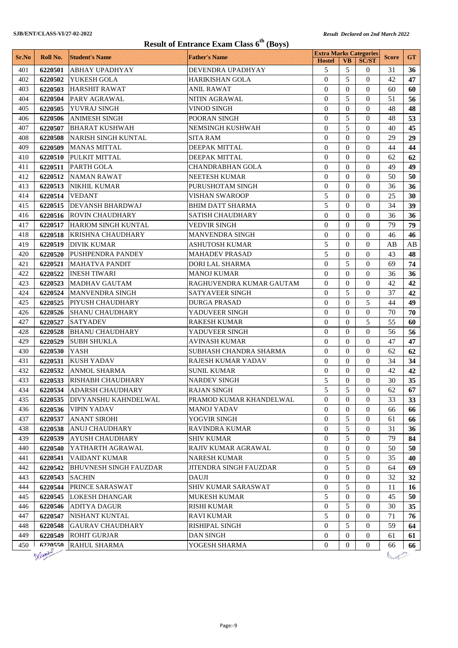|       | Result of Entrance Exam Class 6 <sup>th</sup> (Boys) |                               |                          |                                                |                |                |              |                 |
|-------|------------------------------------------------------|-------------------------------|--------------------------|------------------------------------------------|----------------|----------------|--------------|-----------------|
| Sr.No | Roll No.                                             | <b>Student's Name</b>         | <b>Father's Name</b>     | <b>Extra Marks Categories</b><br><b>Hostel</b> | <b>VB</b>      | <b>SC/ST</b>   | <b>Score</b> | <b>GT</b>       |
| 401   | 6220501                                              | <b>ABHAY UPADHYAY</b>         | DEVENDRA UPADHYAY        | 5                                              | 5              | $\Omega$       | 31           | 36              |
| 402   | 6220502                                              | YUKESH GOLA                   | HARIKISHAN GOLA          | $\overline{0}$                                 | 5              | $\Omega$       | 42           | 47              |
| 403   | 6220503                                              | <b>HARSHIT RAWAT</b>          | ANIL RAWAT               | $\Omega$                                       | $\Omega$       | $\Omega$       | 60           | 60              |
| 404   | 6220504                                              | <b>PARV AGRAWAL</b>           | NITIN AGRAWAL            | $\overline{0}$                                 | 5              | $\theta$       | 51           | 56              |
| 405   | 6220505                                              | YUVRAJ SINGH                  | <b>VINOD SINGH</b>       | $\Omega$                                       | $\Omega$       | $\theta$       | 48           | 48              |
| 406   | 6220506                                              | <b>ANIMESH SINGH</b>          | POORAN SINGH             | $\theta$                                       | 5              | $\Omega$       | 48           | 53              |
| 407   | 6220507                                              | <b>BHARAT KUSHWAH</b>         | NEMSINGH KUSHWAH         | $\theta$                                       | 5              | $\theta$       | 40           | 45              |
| 408   | 6220508                                              | NARISH SINGH KUNTAL           | SITA RAM                 | $\Omega$                                       | $\Omega$       | $\Omega$       | 29           | 29              |
| 409   | 6220509                                              | <b>MANAS MITTAL</b>           | DEEPAK MITTAL            | $\theta$                                       | $\Omega$       | $\Omega$       | 44           | 44              |
| 410   | 6220510                                              | PULKIT MITTAL                 | DEEPAK MITTAL            | $\theta$                                       | $\Omega$       | $\Omega$       | 62           | 62              |
| 411   | 6220511                                              | <b>PARTH GOLA</b>             | CHANDRABHAN GOLA         | $\theta$                                       | $\Omega$       | $\Omega$       | 49           | 49              |
| 412   | 6220512                                              | <b>NAMAN RAWAT</b>            | NEETESH KUMAR            | $\theta$                                       | $\Omega$       | $\Omega$       | 50           | 50              |
| 413   | 6220513                                              | <b>NIKHIL KUMAR</b>           | PURUSHOTAM SINGH         | $\theta$                                       | $\Omega$       | $\Omega$       | 36           | 36              |
| 414   | 6220514                                              | <b>VEDANT</b>                 | <b>VISHAN SWAROOP</b>    | 5                                              | $\theta$       | $\mathbf{0}$   | 25           | 30              |
| 415   | 6220515                                              | <b>DEVANSH BHARDWAJ</b>       | <b>BHIM DATT SHARMA</b>  | 5                                              | $\Omega$       | $\Omega$       | 34           | 39              |
| 416   | 6220516                                              | <b>ROVIN CHAUDHARY</b>        | <b>SATISH CHAUDHARY</b>  | $\theta$                                       | $\mathbf{0}$   | $\Omega$       | 36           | 36              |
| 417   |                                                      | 6220517 HARIOM SINGH KUNTAL   | VEDVIR SINGH             | $\overline{0}$                                 | $\Omega$       | $\Omega$       | 79           | 79              |
| 418   |                                                      | 6220518 KRISHNA CHAUDHARY     | <b>MANVENDRA SINGH</b>   | $\Omega$                                       | $\Omega$       | $\Omega$       | 46           | 46              |
| 419   |                                                      | 6220519 DIVIK KUMAR           | ASHUTOSH KUMAR           | 5                                              | $\Omega$       | $\Omega$       | AВ           | AB              |
| 420   | 6220520                                              | <b>PUSHPENDRA PANDEY</b>      | <b>MAHADEV PRASAD</b>    | 5                                              | $\Omega$       | $\Omega$       | 43           | 48              |
| 421   | 6220521                                              | <b>MAHATVA PANDIT</b>         | DORI LAL SHARMA          | $\theta$                                       | 5              | $\Omega$       | 69           | 74              |
| 422   | 6220522                                              | <b>INESH TIWARI</b>           | MANOJ KUMAR              | $\Omega$                                       | $\theta$       | $\Omega$       | 36           | 36              |
| 423   | 6220523                                              | <b>MADHAV GAUTAM</b>          | RAGHUVENDRA KUMAR GAUTAM | $\Omega$                                       | $\Omega$       | $\Omega$       | 42           | 42              |
| 424   | 6220524                                              | <b>MANVENDRA SINGH</b>        | SATYAVEER SINGH          | $\overline{0}$                                 | 5              | $\theta$       | 37           | 42              |
| 425   | 6220525                                              | <b>PIYUSH CHAUDHARY</b>       | <b>DURGA PRASAD</b>      | $\Omega$                                       | $\Omega$       | 5              | 44           | 49              |
| 426   | 6220526                                              | <b>SHANU CHAUDHARY</b>        | YADUVEER SINGH           | $\mathbf{0}$                                   | $\Omega$       | $\Omega$       | 70           | 70              |
| 427   | 6220527                                              | <b>SATYADEV</b>               | RAKESH KUMAR             | $\theta$                                       | $\Omega$       | 5              | 55           | 60              |
| 428   | 6220528                                              | <b>BHANU CHAUDHARY</b>        | YADUVEER SINGH           | $\Omega$                                       | $\Omega$       | $\theta$       | 56           | 56              |
| 429   | 6220529                                              | <b>SUBH SHUKLA</b>            | <b>AVINASH KUMAR</b>     | $\theta$                                       | $\Omega$       | $\Omega$       | 47           | 47              |
| 430   | 6220530                                              | <b>YASH</b>                   | SUBHASH CHANDRA SHARMA   | $\Omega$                                       | $\Omega$       | $\Omega$       | 62           | 62              |
| 431   | 6220531                                              | <b>KUSH YADAV</b>             | RAJESH KUMAR YADAV       | $\Omega$                                       | $\Omega$       | $\Omega$       | 34           | 34              |
| 432   | 6220532                                              | <b>ANMOL SHARMA</b>           | SUNIL KUMAR              | $\mathbf{0}$                                   | $\mathbf{0}$   | $\theta$       | 42           | 42              |
| 433   |                                                      | 6220533 RISHABH CHAUDHARY     | <b>NARDEV SINGH</b>      | 5                                              | $\Omega$       | $\Omega$       | 30           | 35 <sup>5</sup> |
| 434   | 6220534                                              | <b>ADARSH CHAUDHARY</b>       | <b>RAJAN SINGH</b>       | 5                                              | 5              | $\overline{0}$ | 62           | 67              |
| 435   | 6220535                                              | DIVYANSHU KAHNDELWAL          | PRAMOD KUMAR KHANDELWAL  | $\overline{0}$                                 | $\mathbf{0}$   | $\overline{0}$ | 33           | 33              |
| 436   | 6220536                                              | <b>VIPIN YADAV</b>            | <b>MANOJ YADAV</b>       | 0                                              | $\mathbf{0}$   | $\mathbf{0}$   | 66           | 66              |
| 437   | 6220537                                              | <b>ANANT SIROHI</b>           | YOGVIR SINGH             | $\overline{0}$                                 | 5              | $\mathbf{0}$   | 61           | 66              |
| 438   | 6220538                                              | <b>ANUJ CHAUDHARY</b>         | RAVINDRA KUMAR           | $\overline{0}$                                 | 5              | $\Omega$       | 31           | 36              |
| 439   | 6220539                                              | <b>AYUSH CHAUDHARY</b>        | <b>SHIV KUMAR</b>        | $\overline{0}$                                 | 5              | $\mathbf{0}$   | 79           | 84              |
| 440   | 6220540                                              | YATHARTH AGRAWAL              | RAJIV KUMAR AGRAWAL      | $\mathbf{0}$                                   | $\mathbf{0}$   | $\Omega$       | 50           | 50              |
| 441   | 6220541                                              | VAIDANT KUMAR                 | NARESH KUMAR             | 0                                              | 5              | 0              | 35           | 40              |
| 442   | 6220542                                              | <b>BHUVNESH SINGH FAUZDAR</b> | JITENDRA SINGH FAUZDAR   | $\mathbf{0}$                                   | 5              | 0              | 64           | 69              |
| 443   | 6220543                                              | <b>SACHIN</b>                 | DAUJI                    | $\overline{0}$                                 | $\mathbf{0}$   | $\mathbf{0}$   | 32           | 32              |
| 444   | 6220544                                              | <b>PRINCE SARASWAT</b>        | SHIV KUMAR SARASWAT      | $\mathbf{0}$                                   | 5              | $\overline{0}$ | 11           | 16              |
| 445   | 6220545                                              | <b>LOKESH DHANGAR</b>         | MUKESH KUMAR             | 5                                              | $\overline{0}$ | $\mathbf{0}$   | 45           | 50              |
| 446   | 6220546                                              | <b>ADITYA DAGUR</b>           | <b>RISHI KUMAR</b>       | $\boldsymbol{0}$                               | 5              | $\mathbf{0}$   | 30           | 35              |
| 447   | 6220547                                              | NISHANT KUNTAL                | RAVI KUMAR               | 5                                              | $\mathbf{0}$   | $\mathbf{0}$   | 71           | 76              |
| 448   | 6220548                                              | <b>GAURAV CHAUDHARY</b>       | RISHIPAL SINGH           | $\overline{0}$                                 | 5              | $\Omega$       | 59           | 64              |
| 449   | 6220549                                              | <b>ROHIT GURJAR</b>           | DAN SINGH                | $\boldsymbol{0}$                               | $\overline{0}$ | $\overline{0}$ | 61           | 61              |
| 450   | 6220550                                              | <b>RAHUL SHARMA</b>           | YOGESH SHARMA            | $\overline{0}$                                 | $\overline{0}$ | $\overline{0}$ | 66           | 66              |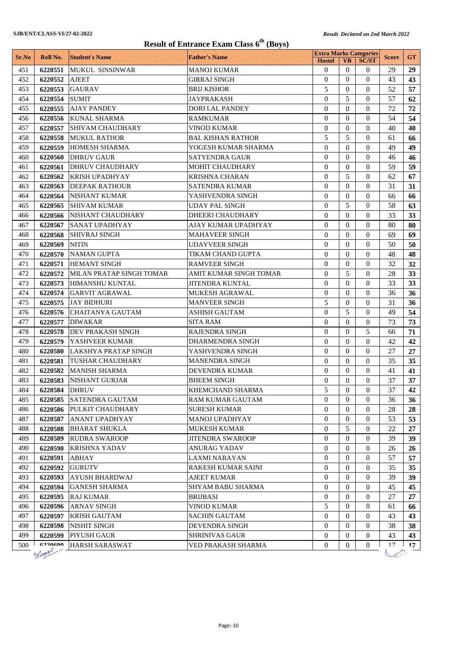|            | <b>Result of Entrance Exam Class 6<sup>th</sup> (Boys)</b> |                                                 |                                           |                                                |                          |                      |              |             |
|------------|------------------------------------------------------------|-------------------------------------------------|-------------------------------------------|------------------------------------------------|--------------------------|----------------------|--------------|-------------|
| Sr.No      | Roll No.                                                   | <b>Student's Name</b>                           | <b>Father's Name</b>                      | <b>Extra Marks Categories</b><br><b>Hostel</b> | <b>VB</b>                | <b>SC/ST</b>         | <b>Score</b> | <b>GT</b>   |
| 451        | 6220551                                                    | <b>MUKUL SINSINWAR</b>                          | MANOJ KUMAR                               | $\theta$                                       | $\Omega$                 | $\Omega$             | 29           | 29          |
| 452        | 6220552                                                    | <b>AJEET</b>                                    | <b>GIRRAJ SINGH</b>                       | $\theta$                                       | $\Omega$                 | $\Omega$             | 43           | 43          |
| 453        | 6220553                                                    | <b>GAURAV</b>                                   | <b>BRIJ KISHOR</b>                        | 5                                              | $\mathbf{0}$             | $\Omega$             | 52           | 57          |
| 454        | 6220554                                                    | <b>SUMIT</b>                                    | <b>JAYPRAKASH</b>                         | $\theta$                                       | 5                        | $\theta$             | 57           | 62          |
| 455        | 6220555                                                    | <b>AJAY PANDEY</b>                              | <b>DORI LAL PANDEY</b>                    | 0                                              | $\Omega$                 | $\Omega$             | 72           | 72          |
| 456        | 6220556                                                    | <b>KUNAL SHARMA</b>                             | <b>RAMKUMAR</b>                           | $\theta$                                       | $\theta$                 | $\theta$             | 54           | 54          |
| 457        | 6220557                                                    | <b>SHIVAM CHAUDHARY</b>                         | <b>VINOD KUMAR</b>                        | $\overline{0}$                                 | $\Omega$                 | $\Omega$             | 40           | 40          |
| 458        | 6220558                                                    | <b>MUKUL RATHOR</b>                             | <b>BAL KISHAN RATHOR</b>                  | 5                                              | 5                        | $\Omega$             | 61           | 66          |
| 459        | 6220559                                                    | <b>HOMESH SHARMA</b>                            | YOGESH KUMAR SHARMA                       | $\theta$                                       | $\Omega$                 | $\theta$             | 49           | 49          |
| 460        | 6220560                                                    | <b>DHRUV GAUR</b>                               | <b>SATYENDRA GAUR</b>                     | $\overline{0}$                                 | $\Omega$                 | $\Omega$             | 46           | 46          |
| 461        | 6220561                                                    | <b>DHRUV CHAUDHARY</b>                          | MOHIT CHAUDHARY                           | $\overline{0}$                                 | $\theta$                 | $\Omega$             | 59           | 59          |
| 462        | 6220562                                                    | <b>KRISH UPADHYAY</b>                           | <b>KRISHNA CHARAN</b>                     | $\theta$                                       | 5                        | $\Omega$             | 62           | 67          |
| 463        | 6220563                                                    | <b>DEEPAK RATHOUR</b>                           | <b>SATENDRA KUMAR</b>                     | $\theta$                                       | $\Omega$                 | $\Omega$             | 31           | 31          |
| 464        | 6220564                                                    | <b>NISHANT KUMAR</b>                            | YASHVENDRA SINGH                          | $\overline{0}$                                 | $\Omega$                 | $\Omega$             | 66           | 66          |
| 465        | 6220565                                                    | <b>SHIVAM KUMAR</b>                             | <b>UDAY PAL SINGH</b>                     | $\overline{0}$                                 | 5                        | $\Omega$             | 58           | 63          |
| 466        | 6220566                                                    | NISHANT CHAUDHARY                               | DHEERJ CHAUDHARY                          | $\theta$                                       | $\Omega$                 | $\Omega$             | 33           | 33          |
| 467        | 6220567                                                    | <b>SANAT UPADHYAY</b>                           | AJAY KUMAR UPADHYAY                       | $\overline{0}$                                 | $\Omega$                 | $\Omega$             | 80           | 80          |
| 468        | 6220568                                                    | <b>SHIVRAJ SINGH</b>                            | <b>MAHAVEER SINGH</b>                     | $\theta$                                       | $\Omega$                 | $\theta$             | 69           | 69          |
| 469        | 6220569                                                    | <b>NITIN</b>                                    | <b>UDAYVEER SINGH</b>                     | $\theta$                                       | $\Omega$                 | $\Omega$             | 50           | 50          |
| 470        | 6220570                                                    | <b>NAMAN GUPTA</b>                              | TIKAM CHAND GUPTA                         | $\overline{0}$                                 | $\Omega$                 | $\Omega$             | 48           | 48          |
| 471        | 6220571                                                    | <b>HEMANT SINGH</b>                             | <b>RAMVEER SINGH</b>                      | $\Omega$                                       | $\Omega$                 | $\theta$             | 32           | 32          |
| 472        | 6220572                                                    | MILAN PRATAP SINGH TOMAR                        | AMIT KUMAR SINGH TOMAR                    | $\theta$                                       | 5                        | $\Omega$             | 28           | 33          |
| 473        | 6220573                                                    | HIMANSHU KUNTAL                                 | JITENDRA KUNTAL                           | $\theta$                                       | $\Omega$                 | $\Omega$             | 33           | 33          |
| 474        | 6220574                                                    | <b>GARVIT AGRAWAL</b>                           | MUKESH AGRAWAL                            | $\overline{0}$                                 | $\Omega$                 | $\Omega$             | 36           | 36          |
| 475        | 6220575                                                    | <b>JAY BIDHURI</b>                              | <b>MANVEER SINGH</b>                      | 5                                              | $\mathbf{0}$             | $\Omega$             | 31           | 36          |
| 476        | 6220576                                                    | CHAITANYA GAUTAM                                | <b>ASHISH GAUTAM</b>                      | $\theta$                                       | 5                        | $\theta$             | 49           | 54          |
| 477        | 6220577                                                    | <b>DIWAKAR</b>                                  | <b>SITA RAM</b>                           | $\theta$                                       | $\Omega$                 | $\Omega$             | 73           | 73          |
| 478        | 6220578                                                    | DEV PRAKASH SINGH                               | <b>RAJENDRA SINGH</b>                     | $\theta$                                       | $\theta$                 | 5                    | 66           | 71          |
| 479        | 6220579                                                    | YASHVEER KUMAR                                  | <b>DHARMENDRA SINGH</b>                   | $\theta$                                       | $\Omega$                 | $\Omega$             | 42           | 42          |
| 480        | 6220580<br>6220581                                         | LAKSHYA PRATAP SINGH                            | YASHVENDRA SINGH<br><b>MANENDRA SINGH</b> | $\overline{0}$<br>$\Omega$                     | $\mathbf{0}$<br>$\Omega$ | $\Omega$<br>$\Omega$ | 27           | 27          |
| 481<br>482 | 6220582                                                    | <b>TUSHAR CHAUDHARY</b><br><b>MANISH SHARMA</b> | <b>DEVENDRA KUMAR</b>                     | $\overline{0}$                                 | $\mathbf{0}$             | $\theta$             | 35<br>41     | 35<br>41    |
| 483        | 6220583                                                    | NISHANT GURJAR                                  | <b>BHEEM SINGH</b>                        | $\boldsymbol{0}$                               | $\boldsymbol{0}$         | $\boldsymbol{0}$     | 37           | 37          |
| 484        | 6220584                                                    | <b>DHRUV</b>                                    | KHEMCHAND SHARMA                          | 5                                              | $\Omega$                 | $\Omega$             | 37           | 42          |
| 485        | 6220585                                                    | <b>SATENDRA GAUTAM</b>                          | RAM KUMAR GAUTAM                          | 0                                              | $\bf{0}$                 | $\Omega$             | 36           | 36          |
| 486        | 6220586                                                    | PULKIT CHAUDHARY                                | <b>SURESH KUMAR</b>                       | $\overline{0}$                                 | $\theta$                 | $\theta$             | 28           | 28          |
| 487        | 6220587                                                    | <b>ANANT UPADHYAY</b>                           | <b>MANOJ UPADHYAY</b>                     | $\overline{0}$                                 | $\mathbf{0}$             | $\mathbf{0}$         | 53           | 53          |
| 488        | 6220588                                                    | <b>BHARAT SHUKLA</b>                            | MUKESH KUMAR                              | $\overline{0}$                                 | 5                        | $\mathbf{0}$         | 22           | 27          |
| 489        | 6220589                                                    | <b>RUDRA SWAROOP</b>                            | <b>JITENDRA SWAROOP</b>                   | 0                                              | $\mathbf{0}$             | $\Omega$             | 39           | 39          |
| 490        | 6220590                                                    | <b>KRISHNA YADAV</b>                            | ANURAG YADAV                              | $\boldsymbol{0}$                               | $\mathbf{0}$             | $\theta$             | 26           | 26          |
| 491        | 6220591                                                    | ABHAY                                           | LAXMI NARAYAN                             | $\overline{0}$                                 | $\mathbf{0}$             | $\theta$             | 57           | 57          |
| 492        | 6220592                                                    | <b>GURUTV</b>                                   | RAKESH KUMAR SAINI                        | $\overline{0}$                                 | $\Omega$                 | $\theta$             | 35           | 35          |
| 493        | 6220593                                                    | <b>AYUSH BHARDWAJ</b>                           | <b>AJEET KUMAR</b>                        | 0                                              | $\mathbf{0}$             | $\theta$             | 39           | 39          |
| 494        | 6220594                                                    | <b>GANESH SHARMA</b>                            | SHYAM BABU SHARMA                         | 0                                              | $\mathbf{0}$             | $\theta$             | 45           | 45          |
| 495        | 6220595                                                    | <b>RAJ KUMAR</b>                                | <b>BRIJBASI</b>                           | 0                                              | $\mathbf{0}$             | $\theta$             | 27           | 27          |
| 496        | 6220596                                                    | <b>ARNAV SINGH</b>                              | <b>VINOD KUMAR</b>                        | 5                                              | $\mathbf{0}$             | $\theta$             | 61           | 66          |
| 497        | 6220597                                                    | <b>KRISH GAUTAM</b>                             | SACHIN GAUTAM                             | $\overline{0}$                                 | $\mathbf{0}$             | $\mathbf{0}$         | 43           | 43          |
| 498        | 6220598                                                    | <b>NISHIT SINGH</b>                             | <b>DEVENDRA SINGH</b>                     | $\overline{0}$                                 | $\Omega$                 | $\Omega$             | 38           | 38          |
| 499        | 6220599                                                    | PIYUSH GAUR                                     | <b>SHRINIVAS GAUR</b>                     | $\mathbf{0}$                                   | $\overline{0}$           | $\overline{0}$       | 43           | 43          |
| 500        | 6220600                                                    | <b>HARSH SARASWAT</b>                           | VED PRAKASH SHARMA                        | 0                                              | $\Omega$                 | $\Omega$             | 17           | $\Gamma$ 17 |
|            | Defamily                                                   |                                                 |                                           |                                                |                          |                      |              |             |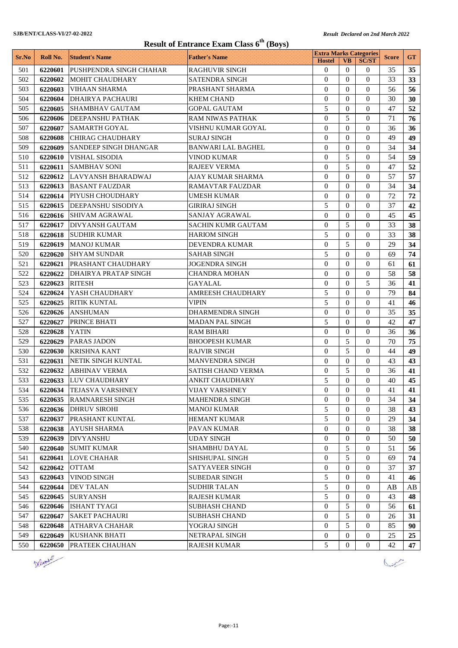|       | <b>Result of Entrance Exam Class 6<sup>th</sup> (Boys)</b> |                              |                           |                                                |                  |                  |              |                 |
|-------|------------------------------------------------------------|------------------------------|---------------------------|------------------------------------------------|------------------|------------------|--------------|-----------------|
| Sr.No | Roll No.                                                   | <b>Student's Name</b>        | <b>Father's Name</b>      | <b>Extra Marks Categories</b><br><b>Hostel</b> | <b>VB</b>        | <b>SC/ST</b>     | <b>Score</b> | <b>GT</b>       |
| 501   | 6220601                                                    | PUSHPENDRA SINGH CHAHAR      | RAGHUVIR SINGH            | $\overline{0}$                                 | $\theta$         | 0                | 35           | 35 <sub>1</sub> |
| 502   | 6220602                                                    | <b>MOHIT CHAUDHARY</b>       | <b>SATENDRA SINGH</b>     | $\Omega$                                       | $\Omega$         | $\Omega$         | 33           | 33              |
| 503   | 6220603                                                    | <b>VIHAAN SHARMA</b>         | PRASHANT SHARMA           | $\overline{0}$                                 | $\Omega$         | $\theta$         | 56           | 56              |
| 504   | 6220604                                                    | <b>DHAIRYA PACHAURI</b>      | <b>KHEM CHAND</b>         | $\Omega$                                       | $\Omega$         | $\theta$         | 30           | 30              |
| 505   | 6220605                                                    | <b>SHAMBHAV GAUTAM</b>       | <b>GOPAL GAUTAM</b>       | 5                                              | $\overline{0}$   | 0                | 47           | 52              |
| 506   | 6220606                                                    | DEEPANSHU PATHAK             | RAM NIWAS PATHAK          | $\theta$                                       | 5                | $\theta$         | 71           | 76              |
| 507   | 6220607                                                    | <b>SAMARTH GOYAL</b>         | VISHNU KUMAR GOYAL        | $\overline{0}$                                 | $\theta$         | $\theta$         | 36           | 36              |
| 508   | 6220608                                                    | <b>CHIRAG CHAUDHARY</b>      | <b>SURAJ SINGH</b>        | $\theta$                                       | $\Omega$         | $\theta$         | 49           | 49              |
| 509   | 6220609                                                    | <b>SANDEEP SINGH DHANGAR</b> | <b>BANWARI LAL BAGHEL</b> | $\theta$                                       | $\Omega$         | $\Omega$         | 34           | 34              |
| 510   | 6220610                                                    | <b>VISHAL SISODIA</b>        | <b>VINOD KUMAR</b>        | $\theta$                                       | 5                | 0                | 54           | 59              |
| 511   | 6220611                                                    | <b>SAMBHAV SONI</b>          | <b>RAJEEV VERMA</b>       | $\theta$                                       | 5                | 0                | 47           | 52              |
| 512   | 6220612                                                    | LAVYANSH BHARADWAJ           | AJAY KUMAR SHARMA         | $\theta$                                       | $\Omega$         | $\theta$         | 57           | 57              |
| 513   | 6220613                                                    | <b>BASANT FAUZDAR</b>        | <b>RAMAVTAR FAUZDAR</b>   | $\overline{0}$                                 | $\mathbf{0}$     | $\theta$         | 34           | 34              |
| 514   | 6220614                                                    | <b>PIYUSH CHOUDHARY</b>      | <b>UMESH KUMAR</b>        | $\theta$                                       | $\mathbf{0}$     | $\theta$         | 72           | 72              |
| 515   | 6220615                                                    | <b>DEEPANSHU SISODIYA</b>    | <b>GIRIRAJ SINGH</b>      | 5                                              | $\theta$         | $\Omega$         | 37           | 42              |
| 516   | 6220616                                                    | <b>SHIVAM AGRAWAL</b>        | SANJAY AGRAWAL            | $\overline{0}$                                 | $\theta$         | $\theta$         | 45           | 45              |
| 517   | 6220617                                                    | <b>DIVYANSH GAUTAM</b>       | <b>SACHIN KUMR GAUTAM</b> | $\overline{0}$                                 | 5                | $\theta$         | 33           | 38              |
| 518   | 6220618                                                    | <b>SUDHIR KUMAR</b>          | <b>HARIOM SINGH</b>       | 5                                              | $\Omega$         | $\theta$         | 33           | 38              |
| 519   | 6220619                                                    | <b>MANOJ KUMAR</b>           | <b>DEVENDRA KUMAR</b>     | $\theta$                                       | 5                | $\Omega$         | 29           | 34              |
| 520   | 6220620                                                    | <b>SHYAM SUNDAR</b>          | <b>SAHAB SINGH</b>        | 5                                              | $\mathbf{0}$     | 0                | 69           | 74              |
| 521   | 6220621                                                    | PRASHANT CHAUDHARY           | JOGENDRA SINGH            | $\theta$                                       | $\Omega$         | 0                | 61           | 61              |
| 522   | 6220622                                                    | <b>DHAIRYA PRATAP SINGH</b>  | <b>CHANDRA MOHAN</b>      | $\Omega$                                       | $\Omega$         | $\theta$         | 58           | 58              |
| 523   | 6220623                                                    | <b>RITESH</b>                | <b>GAYALAL</b>            | $\theta$                                       | $\Omega$         | 5                | 36           | 41              |
| 524   | 6220624                                                    | YASH CHAUDHARY               | <b>AMREESH CHAUDHARY</b>  | 5                                              | $\Omega$         | $\theta$         | 79           | 84              |
| 525   | 6220625                                                    | <b>RITIK KUNTAL</b>          | <b>VIPIN</b>              | 5                                              | $\overline{0}$   | 0                | 41           | 46              |
| 526   | 6220626                                                    | <b>ANSHUMAN</b>              | DHARMENDRA SINGH          | $\theta$                                       | $\Omega$         | 0                | 35           | 35              |
| 527   | 6220627                                                    | PRINCE BHATI                 | <b>MADAN PAL SINGH</b>    | 5                                              | $\Omega$         | $\theta$         | 42           | 47              |
| 528   | 6220628                                                    | <b>YATIN</b>                 | RAM BIHARI                | $\Omega$                                       | $\Omega$         | $\theta$         | 36           | 36              |
| 529   | 6220629                                                    | <b>PARAS JADON</b>           | <b>BHOOPESH KUMAR</b>     | $\Omega$                                       | 5                | $\Omega$         | 70           | 75              |
| 530   | 6220630                                                    | <b>KRISHNA KANT</b>          | RAJVIR SINGH              | $\theta$                                       | 5                | 0                | 44           | 49              |
| 531   | 6220631                                                    | <b>NETIK SINGH KUNTAL</b>    | <b>MANVENDRA SINGH</b>    | $\mathbf{0}$                                   | $\Omega$         | 0                | 43           | 43              |
| 532   | 6220632                                                    | <b>ABHINAV VERMA</b>         | <b>SATISH CHAND VERMA</b> | $\overline{0}$                                 | 5                | $\overline{0}$   | 36           | 41              |
| 533   |                                                            | 6220633 LUV CHAUDHARY        | ANKIT CHAUDHARY           | 5                                              | $\boldsymbol{0}$ | $\boldsymbol{0}$ | $40\,$       | 45              |
| 534   | 6220634                                                    | <b>TEJASVA VARSHNEY</b>      | VIJAY VARSHNEY            | $\overline{0}$                                 | $\overline{0}$   | 0                | 41           | 41              |
| 535   | 6220635                                                    | <b>RAMNARESH SINGH</b>       | <b>MAHENDRA SINGH</b>     | $\overline{0}$                                 | $\theta$         | 0                | 34           | 34              |
| 536   | 6220636                                                    | <b>DHRUV SIROHI</b>          | <b>MANOJ KUMAR</b>        | 5                                              | $\mathbf{0}$     | 0                | 38           | 43              |
| 537   | 6220637                                                    | <b>PRASHANT KUNTAL</b>       | <b>HEMANT KUMAR</b>       | 5                                              | $\mathbf{0}$     | 0                | 29           | 34              |
| 538   | 6220638                                                    | <b>AYUSH SHARMA</b>          | PAVAN KUMAR               | $\mathbf{0}$                                   | $\mathbf{0}$     | $\Omega$         | 38           | 38              |
| 539   | 6220639                                                    | <b>DIVYANSHU</b>             | <b>UDAY SINGH</b>         | $\overline{0}$                                 | $\mathbf{0}$     | 0                | 50           | 50              |
| 540   | 6220640                                                    | <b>SUMIT KUMAR</b>           | SHAMBHU DAYAL             | $\mathbf{0}$                                   | 5                | 0                | 51           | 56              |
| 541   | 6220641                                                    | <b>LOVE CHAHAR</b>           | SHISHUPAL SINGH           | $\mathbf{0}$                                   | 5                | 0                | 69           | 74              |
| 542   | 6220642                                                    | <b>OTTAM</b>                 | SATYAVEER SINGH           | $\mathbf{0}$                                   | $\mathbf{0}$     | 0                | 37           | 37              |
| 543   | 6220643                                                    | <b>VINOD SINGH</b>           | <b>SUBEDAR SINGH</b>      | 5                                              | $\mathbf{0}$     | 0                | 41           | 46              |
| 544   | 6220644                                                    | <b>DEV TALAN</b>             | <b>SUDHIR TALAN</b>       | 5                                              | $\mathbf{0}$     | 0                | AB           | AB              |
| 545   | 6220645                                                    | <b>SURYANSH</b>              | <b>RAJESH KUMAR</b>       | 5                                              | $\mathbf{0}$     | 0                | 43           | 48              |
| 546   | 6220646                                                    | <b>ISHANT TYAGI</b>          | <b>SUBHASH CHAND</b>      | $\overline{0}$                                 | 5                | 0                | 56           | 61              |
| 547   | 6220647                                                    | <b>SAKET PACHAURI</b>        | SUBHASH CHAND             | $\overline{0}$                                 | 5                | $\mathbf{0}$     | 26           | 31              |
| 548   | 6220648                                                    | <b>ATHARVA CHAHAR</b>        | YOGRAJ SINGH              | $\overline{0}$                                 | 5                | $\Omega$         | 85           | 90              |
| 549   | 6220649                                                    | <b>KUSHANK BHATI</b>         | NETRAPAL SINGH            | $\overline{0}$                                 | $\overline{0}$   | $\overline{0}$   | 25           | 25              |
| 550   | 6220650                                                    | <b>PRATEEK CHAUHAN</b>       | RAJESH KUMAR              | 5                                              | 0                | 0                | 42           | 47              |



 $\sqrt{\frac{1}{2}}$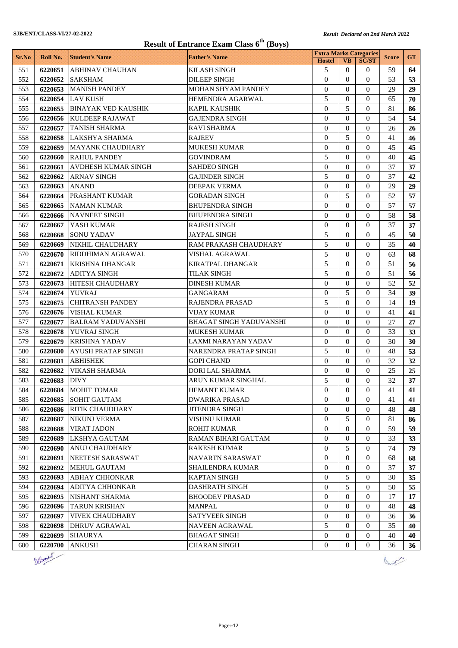| <b>Result of Entrance Exam Class 6th (Boys)</b> |                    |                                                |                                                  |                               |                      |                      |              |           |
|-------------------------------------------------|--------------------|------------------------------------------------|--------------------------------------------------|-------------------------------|----------------------|----------------------|--------------|-----------|
| Sr.No                                           | Roll No.           | <b>Student's Name</b>                          | <b>Father's Name</b>                             | <b>Extra Marks Categories</b> |                      |                      | <b>Score</b> | <b>GT</b> |
|                                                 |                    |                                                |                                                  | <b>Hostel</b>                 | <b>VB</b>            | <b>SC/ST</b>         |              |           |
| 551                                             | 6220651            | <b>ABHINAV CHAUHAN</b>                         | <b>KILASH SINGH</b>                              | 5                             | $\Omega$             | $\Omega$             | 59           | 64        |
| 552                                             | 6220652            | <b>SAKSHAM</b>                                 | <b>DILEEP SINGH</b><br><b>MOHAN SHYAM PANDEY</b> | $\overline{0}$                | $\Omega$             | $\Omega$             | 53           | 53        |
| 553                                             | 6220653            | MANISH PANDEY                                  |                                                  | $\overline{0}$<br>5           | $\Omega$             | $\Omega$             | 29           | 29        |
| 554                                             |                    | 6220654 LAV KUSH                               | HEMENDRA AGARWAL                                 | $\theta$                      | $\Omega$<br>5        | $\Omega$             | 65           | 70        |
| 555                                             | 6220655            | <b>BINAYAK VED KAUSHIK</b>                     | <b>KAPIL KAUSHIK</b>                             |                               |                      | $\Omega$             | 81           | 86        |
| 556                                             | 6220656            | <b>KULDEEP RAJAWAT</b>                         | <b>GAJENDRA SINGH</b>                            | $\Omega$                      | $\Omega$             | $\Omega$             | 54           | 54        |
| 557                                             | 6220657            | <b>TANISH SHARMA</b>                           | RAVI SHARMA                                      | $\overline{0}$                | $\Omega$<br>5        | $\Omega$             | 26           | 26        |
| 558                                             | 6220658            | <b>LAKSHYA SHARMA</b>                          | RAJEEV                                           | $\Omega$                      |                      | $\Omega$             | 41           | 46        |
| 559<br>560                                      | 6220659<br>6220660 | <b>MAYANK CHAUDHARY</b><br><b>RAHUL PANDEY</b> | MUKESH KUMAR<br><b>GOVINDRAM</b>                 | $\mathbf{0}$<br>5             | $\Omega$<br>$\Omega$ | $\Omega$<br>$\Omega$ | 45<br>40     | 45<br>45  |
| 561                                             | 6220661            | <b>AVDHESH KUMAR SINGH</b>                     | <b>SAHDEO SINGH</b>                              | $\mathbf{0}$                  | $\Omega$             | $\Omega$             | 37           | 37        |
|                                                 |                    |                                                |                                                  | 5                             | $\Omega$             | $\Omega$             | 37           |           |
| 562<br>563                                      | 6220662<br>6220663 | ARNAV SINGH<br><b>ANAND</b>                    | <b>GAJINDER SINGH</b><br><b>DEEPAK VERMA</b>     | $\Omega$                      | $\Omega$             | $\Omega$             | 29           | 42<br>29  |
| 564                                             |                    | <b>PRASHANT KUMAR</b>                          | <b>GORADAN SINGH</b>                             | $\Omega$                      | 5                    | $\Omega$             | 52           | 57        |
| 565                                             | 6220664<br>6220665 | <b>NAMAN KUMAR</b>                             | <b>BHUPENDRA SINGH</b>                           | $\theta$                      | $\Omega$             | $\Omega$             | 57           | 57        |
| 566                                             | 6220666            | <b>NAVNEET SINGH</b>                           | <b>BHUPENDRA SINGH</b>                           | $\theta$                      | $\Omega$             | $\Omega$             | 58           | 58        |
| 567                                             | 6220667            | YASH KUMAR                                     | RAJESH SINGH                                     | $\overline{0}$                | $\Omega$             | $\Omega$             | 37           | 37        |
| 568                                             | 6220668            | <b>SONU YADAV</b>                              | <b>JAYPAL SINGH</b>                              | 5                             | $\Omega$             | $\Omega$             | 45           | 50        |
| 569                                             | 6220669            | NIKHIL CHAUDHARY                               | RAM PRAKASH CHAUDHARY                            | 5                             | $\Omega$             | $\mathbf{0}$         | 35           | 40        |
| 570                                             | 6220670            | <b>RIDDHIMAN AGRAWAL</b>                       | VISHAL AGRAWAL                                   | 5                             | $\Omega$             | $\Omega$             | 63           | 68        |
| 571                                             | 6220671            | <b>KRISHNA DHANGAR</b>                         | <b>KIRATPAL DHANGAR</b>                          | 5                             | $\Omega$             | $\Omega$             | 51           | 56        |
| 572                                             | 6220672            | <b>ADITYA SINGH</b>                            | TILAK SINGH                                      | 5                             | $\Omega$             | $\Omega$             | 51           | 56        |
| 573                                             | 6220673            | <b>HITESH CHAUDHARY</b>                        | <b>DINESH KUMAR</b>                              | $\theta$                      | $\Omega$             | $\Omega$             | 52           | 52        |
| 574                                             | 6220674            | <b>YUVRAJ</b>                                  | <b>GANGARAM</b>                                  | $\overline{0}$                | 5                    | $\Omega$             | 34           | 39        |
| 575                                             | 6220675            | <b>CHITRANSH PANDEY</b>                        | <b>RAJENDRA PRASAD</b>                           | 5                             | $\Omega$             | $\Omega$             | 14           | 19        |
| 576                                             | 6220676            | <b>VISHAL KUMAR</b>                            | <b>VIJAY KUMAR</b>                               | $\mathbf{0}$                  | $\Omega$             | $\Omega$             | 41           | 41        |
| 577                                             | 6220677            | <b>BALRAM YADUVANSHI</b>                       | BHAGAT SINGH YADUVANSHI                          | $\Omega$                      | $\Omega$             | $\Omega$             | 27           | 27        |
| 578                                             | 6220678            | YUVRAJ SINGH                                   | <b>MUKESH KUMAR</b>                              | $\Omega$                      | $\Omega$             | $\Omega$             | 33           | 33        |
| 579                                             | 6220679            | <b>KRISHNA YADAV</b>                           | <b>LAXMI NARAYAN YADAV</b>                       | $\mathbf{0}$                  | $\Omega$             | $\Omega$             | 30           | 30        |
| 580                                             | 6220680            | <b>AYUSH PRATAP SINGH</b>                      | NARENDRA PRATAP SINGH                            | 5                             | $\Omega$             | $\Omega$             | 48           | 53        |
| 581                                             | 6220681            | <b>ABHISHEK</b>                                | <b>GOPI CHAND</b>                                | $\mathbf{0}$                  | $\mathbf{0}$         | $\Omega$             | 32           | 32        |
| 582                                             | 6220682            | <b>VIKASH SHARMA</b>                           | <b>DORI LAL SHARMA</b>                           | $\theta$                      | $\mathbf{0}$         | $\Omega$             | 25           | 25        |
| 583                                             | 6220683            | <b>DIVY</b>                                    | ARUN KUMAR SINGHAL                               | 5                             | $\theta$             | $\Omega$             | 32           | 37        |
| 584                                             | 6220684            | <b>MOHIT TOMAR</b>                             | <b>HEMANT KUMAR</b>                              | $\mathbf{0}$                  | $\overline{0}$       | 0                    | 41           | 41        |
| 585                                             | 6220685            | <b>SOHIT GAUTAM</b>                            | <b>DWARIKA PRASAD</b>                            | $\Omega$                      | $\Omega$             | $\Omega$             | 41           | 41        |
| 586                                             | 6220686            | RITIK CHAUDHARY                                | JITENDRA SINGH                                   | $\boldsymbol{0}$              | 0                    | 0                    | 48           | 48        |
| 587                                             | 6220687            | <b>NIKUNJ VERMA</b>                            | VISHNU KUMAR                                     | $\boldsymbol{0}$              | 5                    | 0                    | 81           | 86        |
| 588                                             | 6220688            | <b>VIRAT JADON</b>                             | <b>ROHIT KUMAR</b>                               | $\overline{0}$                | $\Omega$             | $\theta$             | 59           | 59        |
| 589                                             | 6220689            | LKSHYA GAUTAM                                  | RAMAN BIHARI GAUTAM                              | $\mathbf{0}$                  | $\overline{0}$       | $\overline{0}$       | 33           | 33        |
| 590                                             | 6220690            | <b>ANUJ CHAUDHARY</b>                          | <b>RAKESH KUMAR</b>                              | $\overline{0}$                | 5                    | $\overline{0}$       | 74           | 79        |
| 591                                             | 6220691            | NEETESH SARASWAT                               | NAVARTN SARASWAT                                 | $\mathbf{0}$                  | $\mathbf{0}$         | $\overline{0}$       | 68           | 68        |
| 592                                             | 6220692            | <b>MEHUL GAUTAM</b>                            | <b>SHAILENDRA KUMAR</b>                          | $\mathbf{0}$                  | $\overline{0}$       | $\overline{0}$       | 37           | 37        |
| 593                                             | 6220693            | <b>ABHAY CHHONKAR</b>                          | <b>KAPTAN SINGH</b>                              | $\mathbf{0}$                  | 5                    | $\Omega$             | 30           | 35        |
| 594                                             | 6220694            | <b>ADITYA CHHONKAR</b>                         | <b>DASHRATH SINGH</b>                            | $\overline{0}$                | 5                    | $\theta$             | 50           | 55        |
| 595                                             | 6220695            | NISHANT SHARMA                                 | <b>BHOODEV PRASAD</b>                            | $\overline{0}$                | $\overline{0}$       | $\Omega$             | 17           | 17        |
| 596                                             | 6220696            | <b>TARUN KRISHAN</b>                           | <b>MANPAL</b>                                    | $\boldsymbol{0}$              | $\theta$             | 0                    | 48           | 48        |
| 597                                             | 6220697            | <b>VIVEK CHAUDHARY</b>                         | SATYVEER SINGH                                   | $\boldsymbol{0}$              | $\overline{0}$       | 0                    | 36           | 36        |
| 598                                             | 6220698            | <b>DHRUV AGRAWAL</b>                           | <b>NAVEEN AGRAWAL</b>                            | 5                             | $\Omega$             | $\theta$             | 35           | 40        |
| 599                                             | 6220699            | <b>SHAURYA</b>                                 | <b>BHAGAT SINGH</b>                              | $\mathbf{0}$                  | $\overline{0}$       | 0                    | 40           | 40        |
| 600                                             | 6220700            | <b>ANKUSH</b>                                  | <b>CHARAN SINGH</b>                              | $\overline{0}$                | 0                    | $\overline{0}$       | 36           | 36        |



Live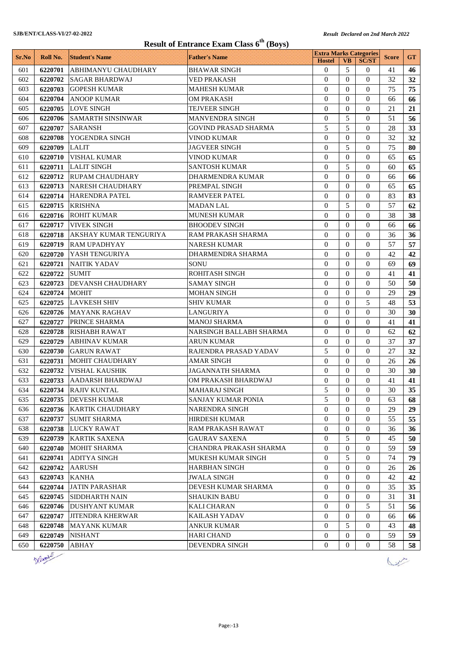|       |          |                            | <b>Result of Entrance Exam Class 6<sup>th</sup> (Boys)</b> |                  | <b>Extra Marks Categories</b> |                  |              |           |
|-------|----------|----------------------------|------------------------------------------------------------|------------------|-------------------------------|------------------|--------------|-----------|
| Sr.No | Roll No. | <b>Student's Name</b>      | <b>Father's Name</b>                                       | <b>Hostel</b>    | <b>VB</b>                     | <b>SC/ST</b>     | <b>Score</b> | <b>GT</b> |
| 601   | 6220701  | <b>ABHIMANYU CHAUDHARY</b> | <b>BHAWAR SINGH</b>                                        | $\theta$         | 5                             | $\overline{0}$   | 41           | 46        |
| 602   | 6220702  | <b>SAGAR BHARDWAJ</b>      | <b>VED PRAKASH</b>                                         | $\theta$         | $\Omega$                      | $\Omega$         | 32           | 32        |
| 603   | 6220703  | <b>GOPESH KUMAR</b>        | <b>MAHESH KUMAR</b>                                        | $\overline{0}$   | $\Omega$                      | $\Omega$         | 75           | 75        |
| 604   | 6220704  | <b>ANOOP KUMAR</b>         | <b>OM PRAKASH</b>                                          | $\Omega$         | $\Omega$                      | $\Omega$         | 66           | 66        |
| 605   | 6220705  | <b>LOVE SINGH</b>          | TEJVEER SINGH                                              | $\theta$         | $\Omega$                      | $\Omega$         | 21           | 21        |
| 606   | 6220706  | <b>SAMARTH SINSINWAR</b>   | <b>MANVENDRA SINGH</b>                                     | $\theta$         | 5                             | $\Omega$         | 51           | 56        |
| 607   | 6220707  | <b>SARANSH</b>             | <b>GOVIND PRASAD SHARMA</b>                                | 5                | 5                             | $\Omega$         | 28           | 33        |
| 608   | 6220708  | YOGENDRA SINGH             | VINOD KUMAR                                                | $\overline{0}$   | $\Omega$                      | $\Omega$         | 32           | 32        |
| 609   | 6220709  | <b>LALIT</b>               | <b>JAGVEER SINGH</b>                                       | $\theta$         | 5                             | $\Omega$         | 75           | 80        |
| 610   | 6220710  | <b>VISHAL KUMAR</b>        | <b>VINOD KUMAR</b>                                         | $\mathbf{0}$     | $\Omega$                      | $\overline{0}$   | 65           | 65        |
| 611   | 6220711  | <b>LALIT SINGH</b>         | <b>SANTOSH KUMAR</b>                                       | $\theta$         | 5                             | $\Omega$         | 60           | 65        |
| 612   | 6220712  | <b>RUPAM CHAUDHARY</b>     | <b>DHARMENDRA KUMAR</b>                                    | $\overline{0}$   | $\Omega$                      | $\overline{0}$   | 66           | 66        |
| 613   | 6220713  | <b>NARESH CHAUDHARY</b>    | PREMPAL SINGH                                              | $\overline{0}$   | $\Omega$                      | $\Omega$         | 65           | 65        |
| 614   | 6220714  | <b>HARENDRA PATEL</b>      | <b>RAMVEER PATEL</b>                                       | $\overline{0}$   | $\Omega$                      | $\Omega$         | 83           | 83        |
| 615   | 6220715  | <b>KRISHNA</b>             | <b>MADAN LAL</b>                                           | $\theta$         | 5                             | $\Omega$         | 57           | 62        |
| 616   | 6220716  | <b>ROHIT KUMAR</b>         | <b>MUNESH KUMAR</b>                                        | $\Omega$         | $\Omega$                      | $\Omega$         | 38           | 38        |
| 617   | 6220717  | <b>VIVEK SINGH</b>         | <b>BHOODEV SINGH</b>                                       | $\Omega$         | $\Omega$                      | $\Omega$         | 66           | 66        |
| 618   | 6220718  | AKSHAY KUMAR TENGURIYA     | RAM PRAKASH SHARMA                                         | $\overline{0}$   | $\Omega$                      | $\Omega$         | 36           | 36        |
| 619   | 6220719  | <b>RAM UPADHYAY</b>        | <b>NARESH KUMAR</b>                                        | $\theta$         | $\Omega$                      | $\Omega$         | 57           | 57        |
| 620   | 6220720  | <b>YASH TENGURIYA</b>      | DHARMENDRA SHARMA                                          | $\mathbf{0}$     | $\Omega$                      | $\overline{0}$   | 42           | 42        |
| 621   | 6220721  | <b>NAITIK YADAV</b>        | <b>SONU</b>                                                | $\Omega$         | $\Omega$                      | $\Omega$         | 69           | 69        |
| 622   | 6220722  | <b>SUMIT</b>               | ROHITASH SINGH                                             | $\overline{0}$   | $\Omega$                      | $\Omega$         | 41           | 41        |
| 623   | 6220723  | <b>DEVANSH CHAUDHARY</b>   | <b>SAMAY SINGH</b>                                         | $\overline{0}$   | $\Omega$                      | $\Omega$         | 50           | 50        |
| 624   | 6220724  | <b>MOHIT</b>               | <b>MOHAN SINGH</b>                                         | $\theta$         | $\Omega$                      | $\Omega$         | 29           | 29        |
| 625   | 6220725  | <b>LAVKESH SHIV</b>        | <b>SHIV KUMAR</b>                                          | $\theta$         | $\Omega$                      | 5                | 48           | 53        |
| 626   | 6220726  | <b>MAYANK RAGHAV</b>       | <b>LANGURIYA</b>                                           | $\Omega$         | $\Omega$                      | $\Omega$         | 30           | 30        |
| 627   | 6220727  | PRINCE SHARMA              | <b>MANOJ SHARMA</b>                                        | $\Omega$         | $\Omega$                      | $\Omega$         | 41           | 41        |
| 628   | 6220728  | <b>RISHABH RAWAT</b>       | NARSINGH BALLABH SHARMA                                    | $\overline{0}$   | $\Omega$                      | $\Omega$         | 62           | 62        |
| 629   | 6220729  | <b>ABHINAV KUMAR</b>       | <b>ARUN KUMAR</b>                                          | $\theta$         | $\Omega$                      | $\Omega$         | 37           | 37        |
|       | 6220730  | <b>GARUN RAWAT</b>         | RAJENDRA PRASAD YADAV                                      | 5                | $\overline{0}$                | $\overline{0}$   | 27           | 32        |
| 630   |          |                            |                                                            |                  |                               |                  |              |           |
| 631   | 6220731  | <b>MOHIT CHAUDHARY</b>     | <b>AMAR SINGH</b>                                          | $\Omega$         | $\Omega$                      | $\Omega$         | 26           | 26        |
| 632   | 6220732  | <b>VISHAL KAUSHIK</b>      | <b>JAGANNATH SHARMA</b>                                    | $\theta$         | $\Omega$                      | $\overline{0}$   | 30           | 30        |
| 633   |          | 6220733 AADARSH BHARDWAJ   | OM PRAKASH BHARDWAJ                                        | $\boldsymbol{0}$ | $\boldsymbol{0}$              | $\boldsymbol{0}$ | 41           | 41        |
| 634   | 6220734  | <b>RAJIV KUNTAL</b>        | <b>MAHARAJ SINGH</b>                                       | 5                | $\Omega$                      | $\Omega$         | 30           | 35        |
| 635   |          | 6220735   DEVESH KUMAR     | SANJAY KUMAR PONIA                                         | 5                | $\Omega$                      | $\Omega$         | 63           | 68        |
| 636   | 6220736  | <b>KARTIK CHAUDHARY</b>    | <b>NARENDRA SINGH</b>                                      | $\theta$         | $\Omega$                      | $\Omega$         | 29           | 29        |
| 637   | 6220737  | <b>SUMIT SHARMA</b>        | HIRDESH KUMAR                                              | $\boldsymbol{0}$ | $\Omega$                      | $\overline{0}$   | 55           | 55        |
| 638   | 6220738  | <b>LUCKY RAWAT</b>         | RAM PRAKASH RAWAT                                          | 0                | $\overline{0}$                | $\overline{0}$   | 36           | 36        |
| 639   | 6220739  | <b>KARTIK SAXENA</b>       | <b>GAURAV SAXENA</b>                                       | $\overline{0}$   | 5                             | $\Omega$         | 45           | 50        |
| 640   | 6220740  | <b>MOHIT SHARMA</b>        | CHANDRA PRAKASH SHARMA                                     | 0                | $\overline{0}$                | $\overline{0}$   | 59           | 59        |
| 641   | 6220741  | <b>ADITYA SINGH</b>        | MUKESH KUMAR SINGH                                         | $\overline{0}$   | 5                             | $\overline{0}$   | 74           | 79        |
| 642   | 6220742  | <b>AARUSH</b>              | <b>HARBHAN SINGH</b>                                       | 0                | $\overline{0}$                | $\overline{0}$   | 26           | 26        |
| 643   | 6220743  | KANHA                      | <b>JWALA SINGH</b>                                         | 0                | $\overline{0}$                | $\overline{0}$   | 42           | 42        |
| 644   | 6220744  | <b>JATIN PARASHAR</b>      | DEVESH KUMAR SHARMA                                        | $\theta$         | $\Omega$                      | $\Omega$         | 35           | 35        |
| 645   | 6220745  | <b>SIDDHARTH NAIN</b>      | <b>SHAUKIN BABU</b>                                        | $\mathbf{0}$     | $\Omega$                      | $\overline{0}$   | 31           | 31        |
| 646   | 6220746  | <b>DUSHYANT KUMAR</b>      | <b>KALI CHARAN</b>                                         | $\theta$         | $\Omega$                      | 5                | 51           | 56        |
| 647   | 6220747  | <b>JITENDRA KHERWAR</b>    | KAILASH YADAV                                              | 0                | $\overline{0}$                | $\overline{0}$   | 66           | 66        |
| 648   | 6220748  | <b>MAYANK KUMAR</b>        | <b>ANKUR KUMAR</b>                                         | 0                | 5                             | $\overline{0}$   | 43           | 48        |
| 649   | 6220749  | <b>NISHANT</b>             | <b>HARI CHAND</b>                                          | $\overline{0}$   | $\Omega$                      | $\Omega$         | 59           | 59        |
| 650   | 6220750  | ABHAY                      | <b>DEVENDRA SINGH</b>                                      | $\overline{0}$   | $\Omega$                      | $\overline{0}$   | 58           | 58        |
|       |          |                            |                                                            |                  |                               |                  |              |           |



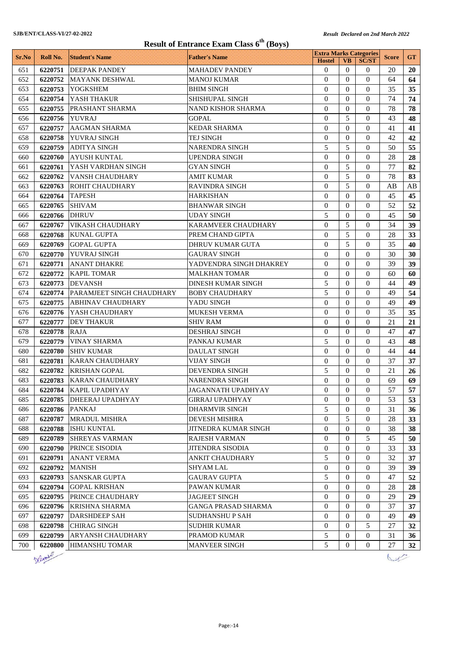| <b>Result of Entrance Exam Class 6<sup>th</sup> (Boys)</b> |          |                                  |                           |                               |                       |                   |              |           |  |
|------------------------------------------------------------|----------|----------------------------------|---------------------------|-------------------------------|-----------------------|-------------------|--------------|-----------|--|
| Sr.No                                                      | Roll No. | <b>Student's Name</b>            | <b>Father's Name</b>      | <b>Extra Marks Categories</b> |                       |                   | <b>Score</b> | <b>GT</b> |  |
| 651                                                        | 6220751  | <b>DEEPAK PANDEY</b>             | <b>MAHADEV PANDEY</b>     | <b>Hostel</b><br>$\Omega$     | <b>VB</b><br>$\Omega$ | <b>SC/ST</b><br>0 | 20           | 20        |  |
| 652                                                        | 6220752  | <b>MAYANK DESHWAL</b>            | MANOJ KUMAR               | $\theta$                      | $\Omega$              | $\Omega$          | 64           | 64        |  |
| 653                                                        | 6220753  | <b>YOGKSHEM</b>                  | <b>BHIM SINGH</b>         | $\Omega$                      | $\Omega$              | $\Omega$          | 35           | 35        |  |
| 654                                                        | 6220754  | YASH THAKUR                      | SHISHUPAL SINGH           | $\mathbf{0}$                  | $\overline{0}$        | $\Omega$          | 74           | 74        |  |
| 655                                                        | 6220755  | PRASHANT SHARMA                  | NAND KISHOR SHARMA        | $\Omega$                      | $\Omega$              | $\theta$          | 78           | 78        |  |
| 656                                                        | 6220756  | <b>YUVRAJ</b>                    | <b>GOPAL</b>              | $\theta$                      | 5                     | $\Omega$          | 43           | 48        |  |
| 657                                                        | 6220757  | <b>AAGMAN SHARMA</b>             | <b>KEDAR SHARMA</b>       | $\overline{0}$                | $\theta$              | $\theta$          | 41           | 41        |  |
| 658                                                        | 6220758  | <b>YUVRAJ SINGH</b>              | TEJ SINGH                 | $\overline{0}$                | $\Omega$              | $\Omega$          | 42           | 42        |  |
| 659                                                        | 6220759  | <b>ADITYA SINGH</b>              | NARENDRA SINGH            | 5                             | 5                     | $\Omega$          | 50           | 55        |  |
| 660                                                        | 6220760  | <b>AYUSH KUNTAL</b>              | <b>UPENDRA SINGH</b>      | $\theta$                      | $\Omega$              | $\Omega$          | 28           | 28        |  |
| 661                                                        | 6220761  | YASH VARDHAN SINGH               | GYAN SINGH                | $\theta$                      | 5                     | $\Omega$          | 77           | 82        |  |
| 662                                                        | 6220762  | VANSH CHAUDHARY                  | AMIT KUMAR                | $\overline{0}$                | 5                     | $\Omega$          | 78           | 83        |  |
| 663                                                        | 6220763  | <b>ROHIT CHAUDHARY</b>           | <b>RAVINDRA SINGH</b>     | $\theta$                      | 5                     | $\Omega$          | AB           | AB        |  |
| 664                                                        | 6220764  | <b>TAPESH</b>                    | <b>HARKISHAN</b>          | $\mathbf{0}$                  | $\Omega$              | $\Omega$          | 45           | 45        |  |
| 665                                                        | 6220765  | <b>SHIVAM</b>                    | <b>BHANWAR SINGH</b>      | $\theta$                      | $\Omega$              | $\Omega$          | 52           | 52        |  |
| 666                                                        | 6220766  | <b>DHRUV</b>                     | <b>UDAY SINGH</b>         | 5                             | $\mathbf{0}$          | $\Omega$          | 45           | 50        |  |
| 667                                                        | 6220767  | <b>VIKASH CHAUDHARY</b>          | KARAMVEER CHAUDHARY       | $\theta$                      | 5                     | $\theta$          | 34           | 39        |  |
| 668                                                        | 6220768  | <b>KUNAL GUPTA</b>               | PREM CHAND GIPTA          | $\Omega$                      | 5                     | $\Omega$          | 28           | 33        |  |
| 669                                                        | 6220769  | <b>GOPAL GUPTA</b>               | DHRUV KUMAR GUTA          | $\theta$                      | 5                     | $\Omega$          | 35           | 40        |  |
| 670                                                        | 6220770  | <b>YUVRAJ SINGH</b>              | <b>GAURAV SINGH</b>       | $\theta$                      | $\Omega$              | $\theta$          | 30           | 30        |  |
| 671                                                        | 6220771  | <b>ANANT DHAKRE</b>              | YADVENDRA SINGH DHAKREY   | $\Omega$                      | $\Omega$              | $\Omega$          | 39           | 39        |  |
| 672                                                        | 6220772  | <b>KAPIL TOMAR</b>               | MALKHAN TOMAR             | $\overline{0}$                | $\theta$              | $\theta$          | 60           | 60        |  |
| 673                                                        | 6220773  | <b>DEVANSH</b>                   | <b>DINESH KUMAR SINGH</b> | 5                             | $\Omega$              | $\theta$          | 44           | 49        |  |
| 674                                                        | 6220774  | <b>PARAMJEET SINGH CHAUDHARY</b> | <b>BOBY CHAUDHARY</b>     | 5                             | $\Omega$              | $\theta$          | 49           | 54        |  |
| 675                                                        | 6220775  | <b>ABHINAV CHAUDHARY</b>         | YADU SINGH                | $\Omega$                      | $\Omega$              | $\theta$          | 49           | 49        |  |
| 676                                                        | 6220776  | YASH CHAUDHARY                   | <b>MUKESH VERMA</b>       | $\theta$                      | $\Omega$              | $\Omega$          | 35           | 35        |  |
| 677                                                        | 6220777  | <b>DEV THAKUR</b>                | SHIV RAM                  | $\overline{0}$                | $\theta$              | $\theta$          | 21           | 21        |  |
| 678                                                        | 6220778  | <b>RAJA</b>                      | <b>DESHRAJ SINGH</b>      | $\overline{0}$                | $\Omega$              | $\theta$          | 47           | 47        |  |
| 679                                                        | 6220779  | <b>VINAY SHARMA</b>              | PANKAJ KUMAR              | 5                             | $\Omega$              | $\theta$          | 43           | 48        |  |
| 680                                                        | 6220780  | <b>SHIV KUMAR</b>                | <b>DAULAT SINGH</b>       | $\theta$                      | $\Omega$              | $\Omega$          | 44           | 44        |  |
| 681                                                        | 6220781  | <b>KARAN CHAUDHARY</b>           | VIJAY SINGH               | $\theta$                      | $\Omega$              | $\Omega$          | 37           | 37        |  |
| 682                                                        | 6220782  | <b>KRISHAN GOPAL</b>             | DEVENDRA SINGH            | 5                             | $\mathbf{0}$          | $\theta$          | 21           | 26        |  |
| 683                                                        |          | 6220783 KARAN CHAUDHARY          | NARENDRA SINGH            | $\Omega$                      | $\Omega$              | $\Omega$          | 69           | 69        |  |
| 684                                                        | 6220784  | <b>KAPIL UPADHYAY</b>            | JAGANNATH UPADHYAY        | $\overline{0}$                | $\overline{0}$        | $\overline{0}$    | 57           | 57        |  |
| 685                                                        | 6220785  | <b>DHEERAJ UPADHYAY</b>          | <b>GIRRAJ UPADHYAY</b>    | $\overline{0}$                | $\Omega$              | $\overline{0}$    | 53           | 53        |  |
| 686                                                        | 6220786  | <b>PANKAJ</b>                    | DHARMVIR SINGH            | 5                             | $\mathbf{0}$          | $\theta$          | 31           | 36        |  |
| 687                                                        | 6220787  | <b>MRADUL MISHRA</b>             | DEVESH MISHRA             | $\overline{0}$                | 5                     | $\theta$          | 28           | 33        |  |
| 688                                                        | 6220788  | <b>ISHU KUNTAL</b>               | JITNEDRA KUMAR SINGH      | $\overline{0}$                | $\Omega$              | $\theta$          | 38           | 38        |  |
| 689                                                        | 6220789  | <b>SHREYAS VARMAN</b>            | RAJESH VARMAN             | $\overline{0}$                | $\mathbf{0}$          | 5                 | 45           | 50        |  |
| 690                                                        | 6220790  | PRINCE SISODIA                   | <b>JITENDRA SISODIA</b>   | $\overline{0}$                | $\mathbf{0}$          | $\theta$          | 33           | 33        |  |
| 691                                                        | 6220791  | <b>ANANT VERMA</b>               | ANKIT CHAUDHARY           | 5                             | $\theta$              | 0                 | 32           | 37        |  |
| 692                                                        | 6220792  | <b>MANISH</b>                    | SHYAM LAL                 | $\boldsymbol{0}$              | $\mathbf{0}$          | 0                 | 39           | 39        |  |
| 693                                                        | 6220793  | <b>SANSKAR GUPTA</b>             | <b>GAURAV GUPTA</b>       | 5                             | $\mathbf{0}$          | $\theta$          | 47           | 52        |  |
| 694                                                        | 6220794  | <b>GOPAL KRISHAN</b>             | PAWAN KUMAR               | $\mathbf{0}$                  | $\overline{0}$        | $\overline{0}$    | 28           | 28        |  |
| 695                                                        | 6220795  | PRINCE CHAUDHARY                 | <b>JAGJEET SINGH</b>      | $\overline{0}$                | $\overline{0}$        | $\overline{0}$    | 29           | 29        |  |
| 696                                                        | 6220796  | <b>KRISHNA SHARMA</b>            | GANGA PRASAD SHARMA       | $\overline{0}$                | $\mathbf{0}$          | $\theta$          | 37           | 37        |  |
| 697                                                        | 6220797  | <b>DARSHDEEP SAH</b>             | SUDHANSHU P SAH           | $\boldsymbol{0}$              | $\mathbf{0}$          | $\theta$          | 49           | 49        |  |
| 698                                                        | 6220798  | <b>CHIRAG SINGH</b>              | <b>SUDHIR KUMAR</b>       | $\overline{0}$                | $\mathbf{0}$          | 5                 | 27           | 32        |  |
| 699                                                        | 6220799  | ARYANSH CHAUDHARY                | PRAMOD KUMAR              | 5                             | $\overline{0}$        | $\boldsymbol{0}$  | 31           | 36        |  |
| 700                                                        | 6220800  | <b>HIMANSHU TOMAR</b>            | <b>MANVEER SINGH</b>      | 5                             | $\overline{0}$        | $\overline{0}$    | 27           | 32        |  |



 $\sqrt{2\pi}$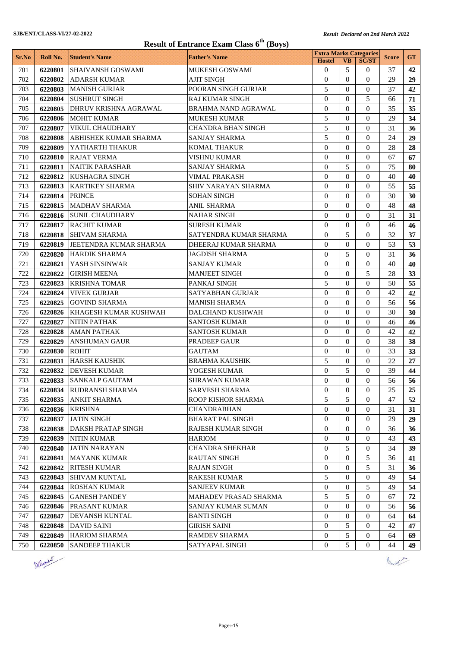| <b>Result of Entrance Exam Class 6th (Boys)</b> |          |                                               |                               |                                                |                       |                              |              |           |
|-------------------------------------------------|----------|-----------------------------------------------|-------------------------------|------------------------------------------------|-----------------------|------------------------------|--------------|-----------|
| Sr.No                                           | Roll No. | <b>Student's Name</b>                         | <b>Father's Name</b>          | <b>Extra Marks Categories</b><br><b>Hostel</b> | <b>VB</b>             | <b>SC/ST</b>                 | <b>Score</b> | <b>GT</b> |
| 701                                             | 6220801  | <b>SHAIVANSH GOSWAMI</b>                      | MUKESH GOSWAMI                | $\mathbf{0}$                                   | 5                     | $\theta$                     | 37           | 42        |
| 702                                             | 6220802  | <b>ADARSH KUMAR</b>                           | <b>AJIT SINGH</b>             | $\theta$                                       | $\Omega$              | $\Omega$                     | 29           | 29        |
| 703                                             | 6220803  | <b>MANISH GURJAR</b>                          | POORAN SINGH GURJAR           | 5                                              | $\Omega$              | $\Omega$                     | 37           | 42        |
| 704                                             | 6220804  | <b>SUSHRUT SINGH</b>                          | <b>RAJ KUMAR SINGH</b>        | $\overline{0}$                                 | $\Omega$              | 5                            | 66           | 71        |
| 705                                             | 6220805  | <b>DHRUV KRISHNA AGRAWAL</b>                  | BRAHMA NAND AGRAWAL           | $\Omega$                                       | $\Omega$              | $\Omega$                     | 35           | 35        |
| 706                                             | 6220806  | <b>MOHIT KUMAR</b>                            | <b>MUKESH KUMAR</b>           | 5                                              | $\Omega$              | $\Omega$                     | 29           | 34        |
| 707                                             | 6220807  | <b>VIKUL CHAUDHARY</b>                        | <b>CHANDRA BHAN SINGH</b>     | 5                                              | $\theta$              | $\theta$                     | 31           | 36        |
| 708                                             | 6220808  | <b>ABHISHEK KUMAR SHARMA</b>                  | <b>SANJAY SHARMA</b>          | 5                                              | $\Omega$              | $\Omega$                     | 24           | 29        |
| 709                                             | 6220809  | YATHARTH THAKUR                               | KOMAL THAKUR                  | $\theta$                                       | $\Omega$              | $\Omega$                     | 28           | 28        |
| 710                                             | 6220810  | <b>RAJAT VERMA</b>                            | VISHNU KUMAR                  | $\Omega$                                       | $\Omega$              | $\Omega$                     | 67           | 67        |
| 711                                             | 6220811  | <b>NAITIK PARASHAR</b>                        | <b>SANJAY SHARMA</b>          | $\mathbf{0}$                                   | 5                     | $\Omega$                     | 75           | 80        |
| 712                                             | 6220812  | <b>KUSHAGRA SINGH</b>                         | <b>VIMAL PRAKASH</b>          | $\theta$                                       | $\Omega$              | $\theta$                     | 40           | 40        |
| 713                                             | 6220813  | <b>KARTIKEY SHARMA</b>                        | SHIV NARAYAN SHARMA           | $\theta$                                       | $\Omega$              | $\Omega$                     | 55           | 55        |
| 714                                             | 6220814  | <b>PRINCE</b>                                 | <b>SOHAN SINGH</b>            | $\mathbf{0}$                                   | $\Omega$              | $\Omega$                     | 30           | 30        |
| 715                                             |          | 6220815   MADHAV SHARMA                       | <b>ANIL SHARMA</b>            | $\theta$                                       | $\Omega$              | $\Omega$                     | 48           | 48        |
| 716                                             |          | 6220816 SUNIL CHAUDHARY                       | <b>NAHAR SINGH</b>            | $\overline{0}$                                 | $\Omega$              | $\Omega$                     | 31           | 31        |
| 717                                             |          | 6220817 RACHIT KUMAR                          | <b>SURESH KUMAR</b>           | $\theta$                                       | $\theta$              | $\Omega$                     | 46           | 46        |
| 718                                             | 6220818  | <b>SHIVAM SHARMA</b>                          | SATYENDRA KUMAR SHARMA        | $\Omega$                                       | 5                     | $\Omega$                     | 32           | 37        |
| 719                                             | 6220819  | JEETENDRA KUMAR SHARMA                        | DHEERAJ KUMAR SHARMA          | $\mathbf{0}$                                   | $\Omega$              | $\Omega$                     | 53           | 53        |
| 720                                             | 6220820  | <b>HARDIK SHARMA</b>                          | <b>JAGDISH SHARMA</b>         | $\Omega$                                       | 5                     | $\Omega$                     | 31           | 36        |
| 721                                             | 6220821  | YASH SINSINWAR                                | <b>SANJAY KUMAR</b>           | $\mathbf{0}$                                   | $\Omega$              | $\Omega$                     | 40           | 40        |
| 722                                             | 6220822  | <b>GIRISH MEENA</b>                           | <b>MANJEET SINGH</b>          | $\theta$                                       | $\Omega$              | 5                            | 28           | 33        |
| 723                                             | 6220823  | <b>KRISHNA TOMAR</b>                          | PANKAJ SINGH                  | 5                                              | $\Omega$              | $\Omega$                     | 50           | 55        |
| 724                                             | 6220824  | <b>VIVEK GURJAR</b>                           | <b>SATYABHAN GURJAR</b>       | $\Omega$                                       | $\Omega$              | $\Omega$                     | 42           | 42        |
| 725                                             | 6220825  | <b>GOVIND SHARMA</b>                          | <b>MANISH SHARMA</b>          | $\Omega$                                       | $\Omega$              | $\Omega$                     | 56           | 56        |
| 726                                             | 6220826  | <b>KHAGESH KUMAR KUSHWAH</b>                  | DALCHAND KUSHWAH              | $\mathbf{0}$                                   | $\Omega$              | $\Omega$                     | 30           | 30        |
| 727                                             | 6220827  | <b>NITIN PATHAK</b>                           | <b>SANTOSH KUMAR</b>          | $\theta$                                       | $\theta$              | $\theta$                     | 46           | 46        |
| 728                                             | 6220828  | <b>AMAN PATHAK</b>                            | <b>SANTOSH KUMAR</b>          | $\Omega$                                       | $\Omega$              | $\Omega$                     | 42           | 42        |
| 729                                             | 6220829  | <b>ANSHUMAN GAUR</b>                          | <b>PRADEEP GAUR</b>           | $\theta$                                       | $\Omega$              | $\Omega$                     | 38           | 38        |
| 730                                             | 6220830  | <b>ROHIT</b>                                  | GAUTAM                        | $\mathbf{0}$                                   | $\Omega$              | $\Omega$                     | 33           | 33        |
| 731                                             | 6220831  | <b>HARSH KAUSHIK</b>                          | <b>BRAHMA KAUSHIK</b>         | 5                                              | $\Omega$              | $\overline{0}$               | 22           | 27        |
| 732<br>733                                      | 6220832  | <b>DEVESH KUMAR</b><br>6220833 SANKALP GAUTAM | YOGESH KUMAR<br>SHRAWAN KUMAR | $\boldsymbol{0}$                               | 5<br>$\boldsymbol{0}$ | $\theta$<br>$\boldsymbol{0}$ | 39<br>56     | 44<br>56  |
|                                                 |          | 6220834 RUDRANSH SHARMA                       | <b>SARVESH SHARMA</b>         | $\boldsymbol{0}$<br>$\overline{0}$             | $\theta$              | $\Omega$                     | 25           | 25        |
| 734<br>735                                      |          | 6220835 ANKIT SHARMA                          | ROOP KISHOR SHARMA            | 5                                              | 5                     | $\Omega$                     | 47           | 52        |
| 736                                             | 6220836  | <b>KRISHNA</b>                                | <b>CHANDRABHAN</b>            | $\theta$                                       | $\overline{0}$        | $\overline{0}$               | 31           | 31        |
| 737                                             |          | 6220837 JATIN SINGH                           | <b>BHARAT PAL SINGH</b>       | $\overline{0}$                                 | $\Omega$              | $\overline{0}$               | 29           | 29        |
| 738                                             | 6220838  | <b>DAKSH PRATAP SINGH</b>                     | <b>RAJESH KUMAR SINGH</b>     | $\overline{0}$                                 | $\Omega$              | $\overline{0}$               | 36           | 36        |
| 739                                             | 6220839  | <b>NITIN KUMAR</b>                            | HARIOM                        | 0                                              | $\overline{0}$        | $\overline{0}$               | 43           | 43        |
| 740                                             | 6220840  | <b>JATIN NARAYAN</b>                          | <b>CHANDRA SHEKHAR</b>        | $\overline{0}$                                 | 5                     | $\overline{0}$               | 34           | 39        |
| 741                                             | 6220841  | <b>MAYANK KUMAR</b>                           | <b>RAUTAN SINGH</b>           | 0                                              | $\overline{0}$        | 5                            | 36           | 41        |
| 742                                             | 6220842  | <b>RITESH KUMAR</b>                           | <b>RAJAN SINGH</b>            | 0                                              | $\overline{0}$        | 5                            | 31           | 36        |
| 743                                             | 6220843  | SHIVAM KUNTAL                                 | <b>RAKESH KUMAR</b>           | 5                                              | $\Omega$              | $\Omega$                     | 49           | 54        |
| 744                                             | 6220844  | <b>ROSHAN KUMAR</b>                           | <b>SANJEEV KUMAR</b>          | $\overline{0}$                                 | $\overline{0}$        | 5                            | 49           | 54        |
| 745                                             | 6220845  | <b>GANESH PANDEY</b>                          | MAHADEV PRASAD SHARMA         | 5                                              | 5                     | $\overline{0}$               | 67           | 72        |
| 746                                             | 6220846  | <b>PRASANT KUMAR</b>                          | SANJAY KUMAR SUMAN            | $\mathbf{0}$                                   | $\overline{0}$        | $\overline{0}$               | 56           | 56        |
| 747                                             |          | 6220847 DEVANSH KUNTAL                        | <b>BANTI SINGH</b>            | $\overline{0}$                                 | $\mathbf{0}$          | $\overline{0}$               | 64           | 64        |
| 748                                             | 6220848  | <b>DAVID SAINI</b>                            | <b>GIRISH SAINI</b>           | $\overline{0}$                                 | 5                     | $\Omega$                     | 42           | 47        |
| 749                                             | 6220849  | <b>HARIOM SHARMA</b>                          | <b>RAMDEV SHARMA</b>          | 0                                              | 5                     | $\overline{0}$               | 64           | 69        |
| 750                                             |          | 6220850 SANDEEP THAKUR                        | SATYAPAL SINGH                | $\overline{0}$                                 | 5                     | $\overline{0}$               | 44           | 49        |



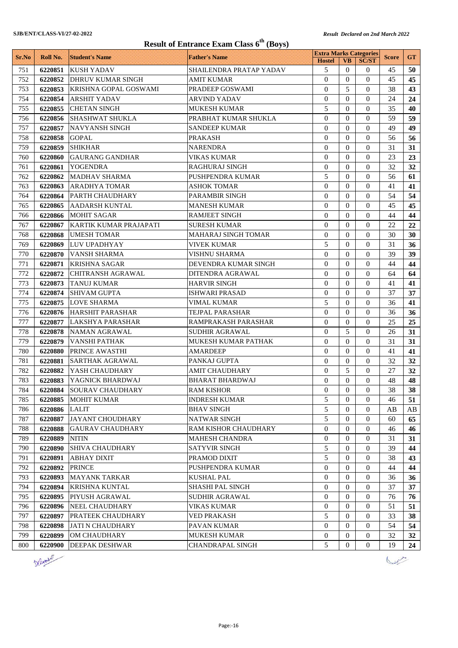| <b>Result of Entrance Exam Class 6th (Boys)</b> |          |                              |                         |                                                |                  |                  |              |           |  |
|-------------------------------------------------|----------|------------------------------|-------------------------|------------------------------------------------|------------------|------------------|--------------|-----------|--|
| Sr.No                                           | Roll No. | <b>Student's Name</b>        | <b>Father's Name</b>    | <b>Extra Marks Categories</b><br><b>Hostel</b> | <b>VB</b>        | <b>SC/ST</b>     | <b>Score</b> | <b>GT</b> |  |
| 751                                             | 6220851  | <b>KUSH YADAV</b>            | SHAILENDRA PRATAP YADAV | 5                                              | $\theta$         | 0                | 45           | 50        |  |
| 752                                             | 6220852  | <b>DHRUV KUMAR SINGH</b>     | <b>AMIT KUMAR</b>       | $\Omega$                                       | $\Omega$         | $\Omega$         | 45           | 45        |  |
| 753                                             | 6220853  | <b>KRISHNA GOPAL GOSWAMI</b> | PRADEEP GOSWAMI         | $\overline{0}$                                 | 5                | $\theta$         | 38           | 43        |  |
| 754                                             | 6220854  | <b>ARSHIT YADAV</b>          | <b>ARVIND YADAV</b>     | $\Omega$                                       | $\Omega$         | $\theta$         | 24           | 24        |  |
| 755                                             | 6220855  | <b>CHETAN SINGH</b>          | <b>MUKESH KUMAR</b>     | 5                                              | $\overline{0}$   | 0                | 35           | 40        |  |
| 756                                             | 6220856  | <b>SHASHWAT SHUKLA</b>       | PRABHAT KUMAR SHUKLA    | $\Omega$                                       | $\Omega$         | $\theta$         | 59           | 59        |  |
| 757                                             | 6220857  | <b>NAVYANSH SINGH</b>        | <b>SANDEEP KUMAR</b>    | $\Omega$                                       | $\Omega$         | $\theta$         | 49           | 49        |  |
| 758                                             | 6220858  | <b>GOPAL</b>                 | <b>PRAKASH</b>          | $\theta$                                       | $\Omega$         | $\theta$         | 56           | 56        |  |
| 759                                             | 6220859  | <b>SHIKHAR</b>               | NARENDRA                | $\theta$                                       | $\Omega$         | $\Omega$         | 31           | 31        |  |
| 760                                             | 6220860  | <b>GAURANG GANDHAR</b>       | VIKAS KUMAR             | $\Omega$                                       | $\overline{0}$   | 0                | 23           | 23        |  |
| 761                                             | 6220861  | <b>YOGENDRA</b>              | RAGHURAJ SINGH          | $\theta$                                       | $\Omega$         | 0                | 32           | 32        |  |
| 762                                             | 6220862  | <b>MADHAV SHARMA</b>         | PUSHPENDRA KUMAR        | 5                                              | $\Omega$         | $\theta$         | 56           | 61        |  |
| 763                                             | 6220863  | <b>ARADHYA TOMAR</b>         | <b>ASHOK TOMAR</b>      | $\overline{0}$                                 | $\mathbf{0}$     | $\theta$         | 41           | 41        |  |
| 764                                             | 6220864  | PARTH CHAUDHARY              | <b>PARAMBIR SINGH</b>   | $\theta$                                       | $\Omega$         | $\theta$         | 54           | 54        |  |
| 765                                             | 6220865  | <b>AADARSH KUNTAL</b>        | <b>MANESH KUMAR</b>     | $\theta$                                       | $\theta$         | $\theta$         | 45           | 45        |  |
| 766                                             | 6220866  | <b>MOHIT SAGAR</b>           | RAMJEET SINGH           | $\theta$                                       | $\theta$         | $\theta$         | 44           | 44        |  |
| 767                                             | 6220867  | KARTIK KUMAR PRAJAPATI       | <b>SURESH KUMAR</b>     | $\theta$                                       | $\theta$         | $\theta$         | 22           | 22        |  |
| 768                                             | 6220868  | <b>UMESH TOMAR</b>           | MAHARAJ SINGH TOMAR     | $\overline{0}$                                 | $\Omega$         | $\theta$         | 30           | 30        |  |
| 769                                             | 6220869  | <b>LUV UPADHYAY</b>          | <b>VIVEK KUMAR</b>      | 5                                              | $\Omega$         | $\Omega$         | 31           | 36        |  |
| 770                                             | 6220870  | VANSH SHARMA                 | VISHNU SHARMA           | $\theta$                                       | $\theta$         | 0                | 39           | 39        |  |
| 771                                             | 6220871  | <b>KRISHNA SAGAR</b>         | DEVENDRA KUMAR SINGH    | $\Omega$                                       | $\Omega$         | 0                | 44           | 44        |  |
| 772                                             | 6220872  | <b>CHITRANSH AGRAWAL</b>     | DITENDRA AGRAWAL        | $\Omega$                                       | $\theta$         | $\theta$         | 64           | 64        |  |
| 773                                             | 6220873  | <b>TANUJ KUMAR</b>           | <b>HARVIR SINGH</b>     | $\Omega$                                       | $\Omega$         | $\theta$         | 41           | 41        |  |
| 774                                             | 6220874  | <b>SHIVAM GUPTA</b>          | <b>ISHWARI PRASAD</b>   | $\theta$                                       | $\Omega$         | $\Omega$         | 37           | 37        |  |
| 775                                             | 6220875  | <b>LOVE SHARMA</b>           | VIMAL KUMAR             | 5                                              | $\overline{0}$   | 0                | 36           | 41        |  |
| 776                                             | 6220876  | <b>HARSHIT PARASHAR</b>      | TEJPAL PARASHAR         | $\Omega$                                       | $\Omega$         | 0                | 36           | 36        |  |
| 777                                             | 6220877  | LAKSHYA PARASHAR             | RAMPRAKASH PARASHAR     | $\Omega$                                       | $\Omega$         | $\theta$         | 25           | 25        |  |
| 778                                             | 6220878  | NAMAN AGRAWAL                | SUDHIR AGRAWAL          | $\theta$                                       | 5                | $\theta$         | 26           | 31        |  |
| 779                                             | 6220879  | <b>VANSHI PATHAK</b>         | MUKESH KUMAR PATHAK     | $\Omega$                                       | $\Omega$         | $\Omega$         | 31           | 31        |  |
| 780                                             | 6220880  | PRINCE AWASTHI               | AMARDEEP                | $\theta$                                       | $\overline{0}$   | 0                | 41           | 41        |  |
| 781                                             | 6220881  | <b>SARTHAK AGRAWAL</b>       | PANKAJ GUPTA            | $\mathbf{0}$                                   | $\Omega$         | 0                | 32           | 32        |  |
| 782                                             | 6220882  | <b>YASH CHAUDHARY</b>        | <b>AMIT CHAUDHARY</b>   | $\theta$                                       | 5                | $\overline{0}$   | 27           | 32        |  |
| 783                                             |          | 6220883 YAGNICK BHARDWAJ     | <b>BHARAT BHARDWAJ</b>  | $\boldsymbol{0}$                               | $\boldsymbol{0}$ | $\boldsymbol{0}$ | $\sqrt{48}$  | 48        |  |
| 784                                             | 6220884  | <b>SOURAV CHAUDHARY</b>      | <b>RAM KISHOR</b>       | $\overline{0}$                                 | $\overline{0}$   | 0                | 38           | 38        |  |
| 785                                             | 6220885  | MOHIT KUMAR                  | <b>INDRESH KUMAR</b>    | 5                                              | $\theta$         | 0                | 46           | 51        |  |
| 786                                             | 6220886  | <b>LALIT</b>                 | <b>BHAV SINGH</b>       | 5                                              | $\mathbf{0}$     | 0                | AВ           | AB        |  |
| 787                                             | 6220887  | <b>JAYANT CHOUDHARY</b>      | <b>NATWAR SINGH</b>     | 5                                              | $\theta$         | $\overline{0}$   | 60           | 65        |  |
| 788                                             | 6220888  | <b>GAURAV CHAUDHARY</b>      | RAM KISHOR CHAUDHARY    | $\overline{0}$                                 | $\mathbf{0}$     | $\Omega$         | 46           | 46        |  |
| 789                                             | 6220889  | <b>NITIN</b>                 | <b>MAHESH CHANDRA</b>   | $\overline{0}$                                 | $\mathbf{0}$     | 0                | 31           | 31        |  |
| 790                                             | 6220890  | <b>SHIVA CHAUDHARY</b>       | SATYVIR SINGH           | 5                                              | $\theta$         | 0                | 39           | 44        |  |
| 791                                             | 6220891  | <b>ABHAY DIXIT</b>           | PRAMOD DIXIT            | 5                                              | $\mathbf{0}$     | 0                | 38           | 43        |  |
| 792                                             | 6220892  | <b>PRINCE</b>                | PUSHPENDRA KUMAR        | $\boldsymbol{0}$                               | $\mathbf{0}$     | 0                | 44           | 44        |  |
| 793                                             | 6220893  | <b>MAYANK TARKAR</b>         | KUSHAL PAL              | $\overline{0}$                                 | $\mathbf{0}$     | 0                | 36           | 36        |  |
| 794                                             | 6220894  | <b>KRISHNA KUNTAL</b>        | <b>SHASHI PAL SINGH</b> | $\overline{0}$                                 | $\mathbf{0}$     | 0                | 37           | 37        |  |
| 795                                             | 6220895  | PIYUSH AGRAWAL               | SUDHIR AGRAWAL          | 0                                              | $\mathbf{0}$     | 0                | 76           | 76        |  |
| 796                                             | 6220896  | NEEL CHAUDHARY               | <b>VIKAS KUMAR</b>      | $\boldsymbol{0}$                               | $\mathbf{0}$     | 0                | 51           | 51        |  |
| 797                                             | 6220897  | <b>PRATEEK CHAUDHARY</b>     | <b>VED PRAKASH</b>      | 5                                              | $\mathbf{0}$     | $\mathbf{0}$     | 33           | 38        |  |
| 798                                             | 6220898  | <b>JATI N CHAUDHARY</b>      | PAVAN KUMAR             | $\overline{0}$                                 | $\Omega$         | $\Omega$         | 54           | 54        |  |
| 799                                             | 6220899  | OM CHAUDHARY                 | <b>MUKESH KUMAR</b>     | $\boldsymbol{0}$                               | $\mathbf{0}$     | $\mathbf{0}$     | 32           | 32        |  |
| 800                                             | 6220900  | <b>DEEPAK DESHWAR</b>        | <b>CHANDRAPAL SINGH</b> | 5                                              | 0                | 0                | 19           | 24        |  |



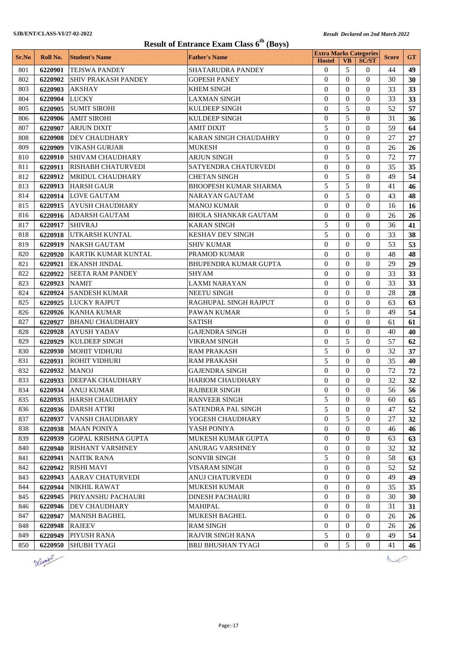|            |                    |                                       | <b>Result of Entrance Exam Class 6<sup>th</sup> (Boys)</b> |                                                |                          |                |              |           |
|------------|--------------------|---------------------------------------|------------------------------------------------------------|------------------------------------------------|--------------------------|----------------|--------------|-----------|
| Sr.No      | Roll No.           | <b>Student's Name</b>                 | <b>Father's Name</b>                                       | <b>Extra Marks Categories</b><br><b>Hostel</b> | <b>VB</b>                | <b>SC/ST</b>   | <b>Score</b> | <b>GT</b> |
| 801        | 6220901            | <b>TEJSWA PANDEY</b>                  | SHATARUDRA PANDEY                                          | $\Omega$                                       | 5                        | 0              | 44           | 49        |
| 802        | 6220902            | <b>SHIV PRAKASH PANDEY</b>            | GOPESH PANEY                                               | $\Omega$                                       | $\Omega$                 | $\Omega$       | 30           | 30        |
| 803        | 6220903            | <b>AKSHAY</b>                         | <b>KHEM SINGH</b>                                          | $\Omega$                                       | $\Omega$                 | $\Omega$       | 33           | 33        |
| 804        | 6220904            | LUCKY                                 | LAXMAN SINGH                                               | $\theta$                                       | $\Omega$                 | $\mathbf{0}$   | 33           | 33        |
| 805        | 6220905            | <b>SUMIT SIROHI</b>                   | <b>KULDEEP SINGH</b>                                       | $\Omega$                                       | 5                        | $\mathbf{0}$   | 52           | 57        |
| 806        | 6220906            | <b>AMIT SIROHI</b>                    | <b>KULDEEP SINGH</b>                                       | $\Omega$                                       | 5                        | $\mathbf{0}$   | 31           | 36        |
| 807        | 6220907            | ARJUN DIXIT                           | AMIT DIXIT                                                 | 5                                              | $\Omega$                 | $\theta$       | 59           | 64        |
| 808        | 6220908            | <b>DEV CHAUDHARY</b>                  | KARAN SINGH CHAUDAHRY                                      | $\Omega$                                       | $\Omega$                 | $\Omega$       | 27           | 27        |
| 809        | 6220909            | VIKASH GURJAR                         | <b>MUKESH</b>                                              | $\theta$                                       | $\Omega$                 | $\mathbf{0}$   | 26           | 26        |
| 810        | 6220910            | <b>SHIVAM CHAUDHARY</b>               | ARJUN SINGH                                                | $\theta$                                       | 5                        | $\Omega$       | 72           | 77        |
| 811        | 6220911            | RISHABH CHATURVEDI                    | SATYENDRA CHATURVEDI                                       | $\Omega$                                       | $\Omega$                 | $\mathbf{0}$   | 35           | 35        |
| 812        | 6220912            | MRIDUL CHAUDHARY                      | <b>CHETAN SINGH</b>                                        | $\Omega$                                       | 5                        | $\Omega$       | 49           | 54        |
| 813        | 6220913            | <b>HARSH GAUR</b>                     | <b>BHOOPESH KUMAR SHARMA</b>                               | 5                                              | 5                        | $\mathbf{0}$   | 41           | 46        |
| 814        | 6220914            | <b>LOVE GAUTAM</b>                    | NARAYAN GAUTAM                                             | $\overline{0}$                                 | 5                        | $\mathbf{0}$   | 43           | 48        |
| 815        | 6220915            | <b>AYUSH CHAUDHARY</b>                | <b>MANOJ KUMAR</b>                                         | $\Omega$                                       | $\Omega$                 | $\mathbf{0}$   | 16           | 16        |
| 816        | 6220916            | ADARSH GAUTAM                         | <b>BHOLA SHANKAR GAUTAM</b>                                | $\Omega$                                       | $\Omega$                 | $\mathbf{0}$   | 26           | 26        |
| 817        | 6220917            | <b>SHIVRAJ</b>                        | KARAN SINGH                                                | 5                                              | $\Omega$                 | $\theta$       | 36           | 41        |
| 818        | 6220918            | UTKARSH KUNTAL                        | <b>KESHAV DEV SINGH</b>                                    | 5                                              | $\Omega$                 | $\Omega$       | 33           | 38        |
| 819        | 6220919            | <b>NAKSH GAUTAM</b>                   | <b>SHIV KUMAR</b>                                          | $\Omega$                                       | $\Omega$                 | $\Omega$       | 53           | 53        |
| 820        | 6220920            | <b>KARTIK KUMAR KUNTAL</b>            | PRAMOD KUMAR                                               | $\Omega$                                       | $\Omega$                 | $\Omega$       | 48           | 48        |
| 821        | 6220921            | <b>EKANSH JINDAL</b>                  | BHUPENDRA KUMAR GUPTA                                      | $\Omega$                                       | $\Omega$                 | $\theta$       | 29           | 29        |
| 822        | 6220922            | <b>SEETA RAM PANDEY</b>               | SHYAM                                                      | $\Omega$                                       | $\Omega$                 | $\Omega$       | 33           | 33        |
| 823        | 6220923            | <b>NAMIT</b>                          | <b>LAXMI NARAYAN</b>                                       | $\Omega$                                       | $\Omega$                 | $\Omega$       | 33           | 33        |
| 824        | 6220924            | <b>SANDESH KUMAR</b>                  | <b>NEETU SINGH</b>                                         | $\mathbf{0}$                                   | $\Omega$                 | $\theta$       | 28           | 28        |
| 825        | 6220925            | <b>LUCKY RAJPUT</b>                   | RAGHUPAL SINGH RAJPUT                                      | $\Omega$                                       | $\Omega$                 | $\Omega$       | 63           | 63        |
| 826        | 6220926            | <b>KANHA KUMAR</b>                    | PAWAN KUMAR                                                | $\Omega$                                       | 5                        | $\theta$       | 49           | 54        |
| 827        | 6220927            | <b>BHANU CHAUDHARY</b>                | <b>SATISH</b>                                              | $\Omega$                                       | $\Omega$                 | $\Omega$       | 61           | 61        |
| 828        | 6220928            | <b>AYUSH YADAV</b>                    | <b>GAJENDRA SINGH</b>                                      | $\Omega$                                       | $\Omega$                 | $\Omega$       | 40           | 40        |
| 829        | 6220929            | <b>KULDEEP SINGH</b>                  | <b>VIKRAM SINGH</b>                                        | $\Omega$                                       | 5                        | $\Omega$       | 57           | 62        |
| 830        | 6220930            | <b>MOHIT VIDHURI</b>                  | <b>RAM PRAKASH</b>                                         | 5                                              | $\Omega$                 | $\Omega$       | 32           | 37        |
| 831        | 6220931            | <b>ROHIT VIDHURI</b>                  | RAM PRAKASH                                                | 5                                              | $\Omega$                 | 0              | 35           | 40        |
| 832        | 6220932            | MANOJ                                 | <b>GAJENDRA SINGH</b>                                      | $\Omega$                                       | $\Omega$                 | 0              | 72           | 72        |
| 833        |                    | 6220933 DEEPAK CHAUDHARY              | <b>HARIOM CHAUDHARY</b>                                    | $\Omega$                                       | $\Omega$                 | $\Omega$       | 32           | 32        |
| 834        |                    | <b>ANUJ KUMAR</b>                     | <b>RAJBEER SINGH</b>                                       | $\overline{0}$                                 | $\overline{0}$           | $\overline{0}$ |              |           |
| 835        | 6220934<br>6220935 |                                       | <b>RANVEER SINGH</b>                                       | 5                                              | $\Omega$                 | $\theta$       | 56<br>60     | 56        |
|            |                    | HARSH CHAUDHARY                       |                                                            | 5                                              |                          |                |              | 65        |
| 836        | 6220936            | <b>DARSH ATTRI</b><br>VANSH CHAUDHARY | SATENDRA PAL SINGH                                         |                                                | $\mathbf{0}$             | $\theta$       | 47           | 52        |
| 837        | 6220937            |                                       | YOGESH CHAUDHARY                                           | $\mathbf{0}$<br>$\mathbf{0}$                   | 5<br>$\mathbf{0}$        | $\theta$       | 27           | 32        |
| 838<br>839 | 6220938            | <b>MAAN PONIYA</b>                    | YASH PONIYA                                                |                                                |                          | $\theta$       | 46           | 46        |
|            | 6220939            | <b>GOPAL KRISHNA GUPTA</b>            | MUKESH KUMAR GUPTA                                         | $\mathbf{0}$                                   | $\mathbf{0}$<br>$\Omega$ | $\theta$       | 63           | 63        |
| 840        | 6220940            | <b>RISHANT VARSHNEY</b>               | ANURAG VARSHNEY                                            | $\mathbf{0}$                                   |                          | $\theta$       | 32           | 32        |
| 841        | 6220941            | <b>NAITIK RANA</b>                    | <b>SONVIR SINGH</b>                                        | 5                                              | $\Omega$                 | 0              | 58           | 63        |
| 842        | 6220942            | <b>RISHI MAVI</b>                     | VISARAM SINGH                                              | $\mathbf{0}$                                   | $\overline{0}$           | $\theta$       | 52           | 52        |
| 843        | 6220943            | <b>AARAV CHATURVEDI</b>               | ANUJ CHATURVEDI                                            | $\overline{0}$                                 | $\Omega$                 | $\Omega$       | 49           | 49        |
| 844        | 6220944            | <b>NIKHIL RAWAT</b>                   | MUKESH KUMAR                                               | $\mathbf{0}$                                   | $\overline{0}$           | $\mathbf{0}$   | 35           | 35        |
| 845        | 6220945            | PRIYANSHU PACHAURI                    | <b>DINESH PACHAURI</b>                                     | $\overline{0}$                                 | $\overline{0}$           | $\theta$       | 30           | 30        |
| 846        | 6220946            | DEV CHAUDHARY                         | <b>MAHIPAL</b>                                             | $\overline{0}$                                 | $\overline{0}$           | $\overline{0}$ | 31           | 31        |
| 847        | 6220947            | <b>MANISH BAGHEL</b>                  | MUKESH BAGHEL                                              | $\mathbf{0}$                                   | $\Omega$                 | $\theta$       | 26           | 26        |
| 848        | 6220948            | <b>RAJEEV</b>                         | <b>RAM SINGH</b>                                           | $\mathbf{0}$                                   | $\Omega$                 | $\mathbf{0}$   | 26           | 26        |
| 849        | 6220949            | PIYUSH RANA                           | RAJVIR SINGH RANA                                          | 5                                              | $\overline{0}$           | $\overline{0}$ | 49           | 54        |
| 850        | 6220950            | <b>SHUBH TYAGI</b>                    | <b>BRIJ BHUSHAN TYAGI</b>                                  | $\Omega$                                       | 5                        | $\overline{0}$ | 41           | 46        |
|            | Defamily           |                                       |                                                            |                                                |                          |                |              |           |

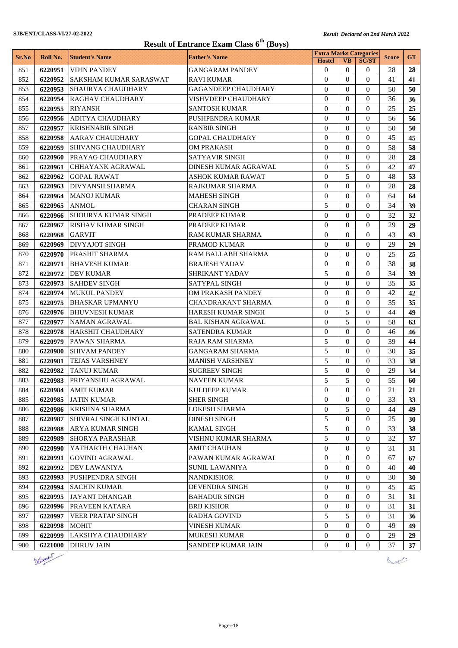| <b>Result of Entrance Exam Class 6<sup>th</sup> (Boys)</b> |          |                               |                            |                                                |                |                  |              |           |  |
|------------------------------------------------------------|----------|-------------------------------|----------------------------|------------------------------------------------|----------------|------------------|--------------|-----------|--|
| Sr.No                                                      | Roll No. | <b>Student's Name</b>         | <b>Father's Name</b>       | <b>Extra Marks Categories</b><br><b>Hostel</b> | <b>VB</b>      | <b>SC/ST</b>     | <b>Score</b> | <b>GT</b> |  |
| 851                                                        | 6220951  | <b>VIPIN PANDEY</b>           | GANGARAM PANDEY            | $\mathbf{0}$                                   | $\Omega$       | $\theta$         | 28           | 28        |  |
| 852                                                        | 6220952  | <b>SAKSHAM KUMAR SARASWAT</b> | <b>RAVI KUMAR</b>          | $\theta$                                       | $\Omega$       | $\Omega$         | 41           | 41        |  |
| 853                                                        | 6220953  | <b>SHAURYA CHAUDHARY</b>      | <b>GAGANDEEP CHAUDHARY</b> | $\theta$                                       | $\Omega$       | $\Omega$         | 50           | 50        |  |
| 854                                                        | 6220954  | RAGHAV CHAUDHARY              | <b>VISHVDEEP CHAUDHARY</b> | $\Omega$                                       | $\Omega$       | $\Omega$         | 36           | 36        |  |
| 855                                                        | 6220955  | <b>RIYANSH</b>                | <b>SANTOSH KUMAR</b>       | $\mathbf{0}$                                   | $\Omega$       | $\Omega$         | 25           | 25        |  |
| 856                                                        | 6220956  | <b>ADITYA CHAUDHARY</b>       | PUSHPENDRA KUMAR           | $\Omega$                                       | $\Omega$       | $\Omega$         | 56           | 56        |  |
| 857                                                        | 6220957  | <b>KRISHNABIR SINGH</b>       | <b>RANBIR SINGH</b>        | $\theta$                                       | $\Omega$       | $\Omega$         | 50           | 50        |  |
| 858                                                        | 6220958  | <b>AARAV CHAUDHARY</b>        | GOPAL CHAUDHARY            | $\Omega$                                       | $\Omega$       | $\Omega$         | 45           | 45        |  |
| 859                                                        | 6220959  | <b>SHIVANG CHAUDHARY</b>      | OM PRAKASH                 | $\Omega$                                       | $\Omega$       | $\Omega$         | 58           | 58        |  |
| 860                                                        | 6220960  | PRAYAG CHAUDHARY              | SATYAVIR SINGH             | 0                                              | $\Omega$       | $\Omega$         | 28           | 28        |  |
| 861                                                        | 6220961  | <b>CHHAYANK AGRAWAL</b>       | DINESH KUMAR AGRAWAL       | $\Omega$                                       | 5              | $\Omega$         | 42           | 47        |  |
| 862                                                        | 6220962  | <b>GOPAL RAWAT</b>            | <b>ASHOK KUMAR RAWAT</b>   | $\theta$                                       | 5              | $\Omega$         | 48           | 53        |  |
| 863                                                        | 6220963  | <b>DIVYANSH SHARMA</b>        | RAJKUMAR SHARMA            | $\mathbf{0}$                                   | $\Omega$       | $\Omega$         | 28           | 28        |  |
| 864                                                        | 6220964  | <b>MANOJ KUMAR</b>            | <b>MAHESH SINGH</b>        | $\overline{0}$                                 | $\Omega$       | $\Omega$         | 64           | 64        |  |
| 865                                                        | 6220965  | <b>ANMOL</b>                  | <b>CHARAN SINGH</b>        | 5                                              | $\Omega$       | $\theta$         | 34           | 39        |  |
| 866                                                        | 6220966  | <b>SHOURYA KUMAR SINGH</b>    | PRADEEP KUMAR              | $\Omega$                                       | $\theta$       | $\Omega$         | 32           | 32        |  |
| 867                                                        | 6220967  | <b>RISHAV KUMAR SINGH</b>     | PRADEEP KUMAR              | $\Omega$                                       | $\Omega$       | $\Omega$         | 29           | 29        |  |
| 868                                                        | 6220968  | <b>GARVIT</b>                 | RAM KUMAR SHARMA           | $\Omega$                                       | $\Omega$       | $\Omega$         | 43           | 43        |  |
| 869                                                        | 6220969  | <b>DIVYAJOT SINGH</b>         | PRAMOD KUMAR               | $\Omega$                                       | $\Omega$       | $\Omega$         | 29           | 29        |  |
| 870                                                        | 6220970  | PRASHIT SHARMA                | RAM BALLABH SHARMA         | 0                                              | $\Omega$       | $\Omega$         | 25           | 25        |  |
| 871                                                        | 6220971  | <b>BHAVESH KUMAR</b>          | BRAJESH YADAV              | $\mathbf{0}$                                   | $\Omega$       | $\Omega$         | 38           | 38        |  |
| 872                                                        | 6220972  | <b>DEV KUMAR</b>              | SHRIKANT YADAV             | 5                                              | $\Omega$       | $\Omega$         | 34           | 39        |  |
| 873                                                        | 6220973  | <b>SAHDEV SINGH</b>           | SATYPAL SINGH              | $\Omega$                                       | $\Omega$       | $\theta$         | 35           | 35        |  |
| 874                                                        | 6220974  | <b>MUKUL PANDEY</b>           | OM PRAKASH PANDEY          | $\theta$                                       | $\Omega$       | $\Omega$         | 42           | 42        |  |
| 875                                                        | 6220975  | <b>BHASKAR UPMANYU</b>        | CHANDRAKANT SHARMA         | $\mathbf{0}$                                   | $\theta$       | $\Omega$         | 35           | 35        |  |
| 876                                                        | 6220976  | <b>BHUVNESH KUMAR</b>         | HARESH KUMAR SINGH         | $\Omega$                                       | 5              | $\Omega$         | 44           | 49        |  |
| 877                                                        | 6220977  | <b>NAMAN AGRAWAL</b>          | BAL KISHAN AGRAWAL         | $\Omega$                                       | 5              | $\Omega$         | 58           | 63        |  |
| 878                                                        | 6220978  | <b>HARSHIT CHAUDHARY</b>      | SATENDRA KUMAR             | $\Omega$                                       | $\Omega$       | $\Omega$         | 46           | 46        |  |
| 879                                                        | 6220979  | PAWAN SHARMA                  | RAJA RAM SHARMA            | 5                                              | $\Omega$       | $\Omega$         | 39           | 44        |  |
| 880                                                        | 6220980  | <b>SHIVAM PANDEY</b>          | GANGARAM SHARMA            | 5                                              | $\Omega$       | $\Omega$         | 30           | 35        |  |
| 881                                                        | 6220981  | <b>TEJAS VARSHNEY</b>         | MANISH VARSHNEY            | 5                                              | $\Omega$       | $\Omega$         | 33           | 38        |  |
| 882                                                        | 6220982  | <b>TANUJ KUMAR</b>            | <b>SUGREEV SINGH</b>       | 5                                              | $\mathbf{0}$   | $\theta$         | 29           | 34        |  |
| 883                                                        |          | 6220983 PRIYANSHU AGRAWAL     | <b>NAVEEN KUMAR</b>        | 5                                              | $\mathfrak s$  | $\boldsymbol{0}$ | 55           | 60        |  |
| 884                                                        | 6220984  | <b>AMIT KUMAR</b>             | <b>KULDEEP KUMAR</b>       | $\overline{0}$                                 | $\Omega$       | $\Omega$         | 21           | 21        |  |
| 885                                                        | 6220985  | <b>JATIN KUMAR</b>            | <b>SHER SINGH</b>          | 0                                              | $\theta$       | $\Omega$         | 33           | 33        |  |
| 886                                                        | 6220986  | <b>KRISHNA SHARMA</b>         | <b>LOKESH SHARMA</b>       | $\theta$                                       | 5              | $\mathbf{0}$     | 44           | 49        |  |
| 887                                                        | 6220987  | <b>SHIVRAJ SINGH KUNTAL</b>   | <b>DINESH SINGH</b>        | 5                                              | $\mathbf{0}$   | $\mathbf{0}$     | 25           | 30        |  |
| 888                                                        | 6220988  | ARYA KUMAR SINGH              | KAMAL SINGH                | 5                                              | $\Omega$       | $\Omega$         | 33           | 38        |  |
| 889                                                        | 6220989  | <b>SHORYA PARASHAR</b>        | VISHNU KUMAR SHARMA        | 5                                              | $\Omega$       | $\Omega$         | 32           | 37        |  |
| 890                                                        | 6220990  | YATHARTH CHAUHAN              | AMIT CHAUHAN               | 0                                              | $\theta$       | $\theta$         | 31           | 31        |  |
| 891                                                        | 6220991  | <b>GOVIND AGRAWAL</b>         | PAWAN KUMAR AGRAWAL        | $\overline{0}$                                 | $\Omega$       | $\mathbf{0}$     | 67           | 67        |  |
| 892                                                        | 6220992  | DEV LAWANIYA                  | SUNIL LAWANIYA             | $\overline{0}$                                 | $\Omega$       | $\mathbf{0}$     | 40           | 40        |  |
| 893                                                        | 6220993  | PUSHPENDRA SINGH              | <b>NANDKISHOR</b>          | $\overline{0}$                                 | $\mathbf{0}$   | $\theta$         | 30           | 30        |  |
| 894                                                        | 6220994  | <b>SACHIN KUMAR</b>           | DEVENDRA SINGH             | $\overline{0}$                                 | $\mathbf{0}$   | $\mathbf{0}$     | 45           | 45        |  |
| 895                                                        | 6220995  | <b>JAYANT DHANGAR</b>         | BAHADUR SINGH              | 0                                              | $\mathbf{0}$   | $\mathbf{0}$     | 31           | 31        |  |
| 896                                                        | 6220996  | PRAVEEN KATARA                | BRIJ KISHOR                | $\mathbf{0}$                                   | $\mathbf{0}$   | $\mathbf{0}$     | 31           | 31        |  |
| 897                                                        | 6220997  | <b>VEER PRATAP SINGH</b>      | RADHA GOVIND               | 5                                              | 5              | $\Omega$         | 31           | 36        |  |
| 898                                                        | 6220998  | MOHIT                         | VINESH KUMAR               | $\overline{0}$                                 | $\Omega$       | $\Omega$         | 49           | 49        |  |
| 899                                                        | 6220999  | LAKSHYA CHAUDHARY             | <b>MUKESH KUMAR</b>        | 0                                              | $\overline{0}$ | $\mathbf{0}$     | 29           | 29        |  |
| 900                                                        | 6221000  | <b>DHRUV JAIN</b>             | SANDEEP KUMAR JAIN         | 0                                              | $\mathbf{0}$   | $\mathbf{0}$     | 37           | 37        |  |



Law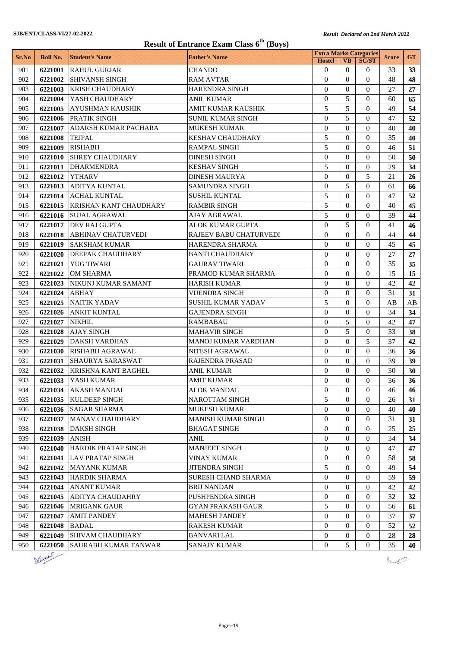# **Result of Entrance Exam Class 6th (Boys)**

|       |          |                               | Result of Entrance Exam Class 6 (DOYS) | <b>Extra Marks Categories</b> |                |                  |              |           |
|-------|----------|-------------------------------|----------------------------------------|-------------------------------|----------------|------------------|--------------|-----------|
| Sr.No | Roll No. | <b>Student's Name</b>         | <b>Father's Name</b>                   | <b>Hostel</b>                 | <b>VB</b>      | <b>SC/ST</b>     | <b>Score</b> | <b>GT</b> |
| 901   | 6221001  | <b>RAHUL GURJAR</b>           | <b>CHANDO</b>                          | $\overline{0}$                | $\Omega$       | $\Omega$         | 33           | 33        |
| 902   | 6221002  | <b>SHIVANSH SINGH</b>         | <b>RAM AVTAR</b>                       | $\overline{0}$                | $\Omega$       | $\Omega$         | 48           | 48        |
| 903   | 6221003  | <b>KRISH CHAUDHARY</b>        | <b>HARENDRA SINGH</b>                  | $\theta$                      | $\Omega$       | $\Omega$         | 27           | 27        |
| 904   | 6221004  | YASH CHAUDHARY                | <b>ANIL KUMAR</b>                      | $\theta$                      | 5              | $\Omega$         | 60           | 65        |
| 905   | 6221005  | <b>AYUSHMAN KAUSHIK</b>       | <b>AMIT KUMAR KAUSHIK</b>              | 5                             | 5              | $\Omega$         | 49           | 54        |
| 906   | 6221006  | PRATIK SINGH                  | <b>SUNIL KUMAR SINGH</b>               | $\theta$                      | 5              | $\Omega$         | 47           | 52        |
| 907   | 6221007  | ADARSH KUMAR PACHARA          | <b>MUKESH KUMAR</b>                    | $\overline{0}$                | $\Omega$       | $\Omega$         | 40           | 40        |
| 908   | 6221008  | <b>TEJPAL</b>                 | <b>KESHAV CHAUDHARY</b>                | 5                             | $\Omega$       | $\Omega$         | 35           | 40        |
| 909   | 6221009  | <b>RISHABH</b>                | <b>RAMPAL SINGH</b>                    | 5                             | $\Omega$       | $\Omega$         | 46           | 51        |
| 910   | 6221010  | <b>SHREY CHAUDHARY</b>        | <b>DINESH SINGH</b>                    | $\overline{0}$                | $\Omega$       | $\Omega$         | 50           | 50        |
| 911   | 6221011  | <b>DHARMENDRA</b>             | <b>KESHAV SINGH</b>                    | 5                             | $\Omega$       | $\Omega$         | 29           | 34        |
| 912   | 6221012  | <b>YTHARV</b>                 | <b>DINESH MAURYA</b>                   | $\overline{0}$                | $\Omega$       | 5                | 21           | 26        |
| 913   | 6221013  | <b>ADITYA KUNTAL</b>          | <b>SAMUNDRA SINGH</b>                  | $\overline{0}$                | 5              | $\Omega$         | 61           | 66        |
| 914   | 6221014  | <b>ACHAL KUNTAL</b>           | <b>SUSHIL KUNTAL</b>                   | 5                             | $\Omega$       | $\Omega$         | 47           | 52        |
| 915   | 6221015  | <b>KRISHAN KANT CHAUDHARY</b> | <b>RAMBIR SINGH</b>                    | 5                             | $\Omega$       | $\Omega$         | 40           | 45        |
| 916   | 6221016  | <b>SUJAL AGRAWAL</b>          | <b>AJAY AGRAWAL</b>                    | 5                             | $\Omega$       | $\Omega$         | 39           | 44        |
| 917   | 6221017  | DEV RAJ GUPTA                 | ALOK KUMAR GUPTA                       | $\overline{0}$                | 5              | $\Omega$         | 41           | 46        |
| 918   | 6221018  | <b>ABHINAV CHATURVEDI</b>     | RAJEEV BABU CHATURVEDI                 | $\overline{0}$                | $\Omega$       | $\Omega$         | 44           | 44        |
| 919   | 6221019  | <b>SAKSHAM KUMAR</b>          | HARENDRA SHARMA                        | $\overline{0}$                | $\Omega$       | $\Omega$         | 45           | 45        |
| 920   | 6221020  | <b>DEEPAK CHAUDHARY</b>       | <b>BANTI CHAUDHARY</b>                 | $\theta$                      | $\Omega$       | $\Omega$         | 27           | 27        |
| 921   | 6221021  | <b>YUG TIWARI</b>             | <b>GAURAV TIWARI</b>                   | $\overline{0}$                | $\Omega$       | $\Omega$         | 35           | 35        |
| 922   | 6221022  | <b>OM SHARMA</b>              | PRAMOD KUMAR SHARMA                    | $\overline{0}$                | $\Omega$       | $\Omega$         | 15           | 15        |
| 923   | 6221023  | NIKUNJ KUMAR SAMANT           | <b>HARISH KUMAR</b>                    | $\theta$                      | $\Omega$       | $\Omega$         | 42           | 42        |
| 924   | 6221024  | <b>ABHAY</b>                  | <b>VIJENDRA SINGH</b>                  | 0                             | $\Omega$       | $\Omega$         | 31           | 31        |
| 925   | 6221025  | <b>NAITIK YADAV</b>           | <b>SUSHIL KUMAR YADAV</b>              | 5                             | $\Omega$       | $\Omega$         | AB           | AB        |
| 926   | 6221026  | <b>ANKIT KUNTAL</b>           | <b>GAJENDRA SINGH</b>                  | $\overline{0}$                | $\Omega$       | $\Omega$         | 34           | 34        |
| 927   | 6221027  | <b>NIKHIL</b>                 | RAMBABAU                               | $\overline{0}$                | 5              | $\Omega$         | 42           | 47        |
| 928   | 6221028  | <b>AJAY SINGH</b>             | <b>MAHAVIR SINGH</b>                   | $\overline{0}$                | 5              | $\Omega$         | 33           | 38        |
| 929   | 6221029  | <b>DAKSH VARDHAN</b>          | MANOJ KUMAR VARDHAN                    | $\theta$                      | $\Omega$       | 5                | 37           | 42        |
| 930   | 6221030  | <b>RISHABH AGRAWAL</b>        | <b>NITESH AGRAWAL</b>                  | $\overline{0}$                | $\Omega$       | $\Omega$         | 36           | 36        |
| 931   | 6221031  | <b>SHAURYA SARASWAT</b>       | <b>RAJENDRA PRASAD</b>                 | $\overline{0}$                | $\Omega$       | $\mathbf{0}$     | 39           | 39        |
| 932   | 6221032  | <b>KRISHNA KANT BAGHEL</b>    | <b>ANIL KUMAR</b>                      | $\overline{0}$                | $\Omega$       | $\Omega$         | 30           | 30        |
| 933   | 6221033  | YASH KUMAR                    | AMIT KUMAR                             | $\overline{0}$                | $\mathbf{0}$   | $\mathbf{0}$     | 36           | 36        |
| 934   |          | 6221034 AKASH MANDAL          | <b>ALOK MANDAL</b>                     | $\mathbf{0}$                  | $\overline{0}$ | $\overline{0}$   | 46           | 46        |
| 935   | 6221035  | <b>KULDEEP SINGH</b>          | <b>NAROTTAM SINGH</b>                  | 5                             | $\Omega$       | $\Omega$         | 26           | 31        |
| 936   | 6221036  | <b>SAGAR SHARMA</b>           | <b>MUKESH KUMAR</b>                    | $\overline{0}$                | $\Omega$       | $\Omega$         | 40           | 40        |
| 937   | 6221037  | MANAV CHAUDHARY               | <b>MANISH KUMAR SINGH</b>              | 0                             | $\overline{0}$ | $\theta$         | 31           | 31        |
| 938   | 6221038  | DAKSH SINGH                   | <b>BHAGAT SINGH</b>                    | 0                             | $\Omega$       | $\Omega$         | 25           | 25        |
| 939   | 6221039  | <b>ANISH</b>                  | ANIL                                   | 0                             | $\theta$       | $\theta$         | 34           | 34        |
| 940   | 6221040  | <b>HARDIK PRATAP SINGH</b>    | <b>MANJEET SINGH</b>                   | 0                             | $\overline{0}$ | $\overline{0}$   | 47           | 47        |
| 941   | 6221041  | <b>LAV PRATAP SINGH</b>       | <b>VINAY KUMAR</b>                     | 0                             | $\overline{0}$ | $\overline{0}$   | 58           | 58        |
| 942   | 6221042  | MAYANK KUMAR                  | <b>JITENDRA SINGH</b>                  | 5                             | $\overline{0}$ | $\overline{0}$   | 49           | 54        |
| 943   | 6221043  | <b>HARDIK SHARMA</b>          | <b>SURESH CHAND SHARMA</b>             | $\overline{0}$                | $\Omega$       | $\Omega$         | 59           | 59        |
| 944   | 6221044  | <b>ANANT KUMAR</b>            | <b>BRIJ NANDAN</b>                     | 0                             | $\Omega$       | $\overline{0}$   | 42           | 42        |
| 945   | 6221045  | ADITYA CHAUDAHRY              | PUSHPENDRA SINGH                       | $\overline{0}$                | $\Omega$       | $\overline{0}$   | 32           | 32        |
| 946   | 6221046  | <b>MRIGANK GAUR</b>           | <b>GYAN PRAKASH GAUR</b>               | 5                             | $\Omega$       | $\Omega$         | 56           | 61        |
| 947   | 6221047  | <b>AMIT PANDEY</b>            | <b>MAHESH PANDEY</b>                   | 0                             | $\overline{0}$ | $\overline{0}$   | 37           | 37        |
| 948   | 6221048  | <b>BADAL</b>                  | <b>RAKESH KUMAR</b>                    | 0                             | $\Omega$       | $\theta$         | 52           | 52        |
| 949   | 6221049  | <b>SHIVAM CHAUDHARY</b>       | <b>BANVARI LAL</b>                     | 0                             | $\overline{0}$ | $\overline{0}$   | 28           | 28        |
| 950   | 6221050  | SAURABH KUMAR TANWAR          | SANAJY KUMAR                           | $\overline{0}$                | 5              | $\boldsymbol{0}$ | 35           | 40        |



Diet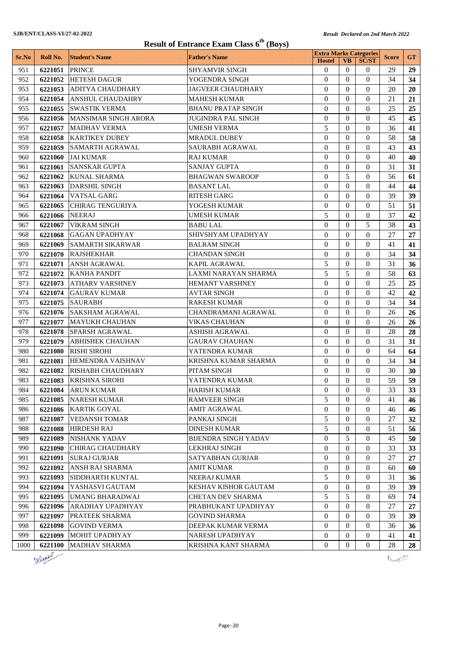|            |                |                                          | <b>Result of Entrance Exam Class 6<sup>th</sup> (Boys)</b> |                                                |                  |                  |              |           |
|------------|----------------|------------------------------------------|------------------------------------------------------------|------------------------------------------------|------------------|------------------|--------------|-----------|
| Sr.No      | Roll No.       | <b>Student's Name</b>                    | <b>Father's Name</b>                                       | <b>Extra Marks Categories</b><br><b>Hostel</b> | <b>VB</b>        | <b>SC/ST</b>     | <b>Score</b> | <b>GT</b> |
| 951        | 6221051        | <b>PRINCE</b>                            | <b>SHYAMVIR SINGH</b>                                      | $\mathbf{0}$                                   | $\Omega$         | $\Omega$         | 29           | 29        |
| 952        | 6221052        | <b>HETESH DAGUR</b>                      | YOGENDRA SINGH                                             | $\theta$                                       | $\theta$         | $\Omega$         | 34           | 34        |
| 953        |                | 6221053 ADITYA CHAUDHARY                 | <b>JAGVEER CHAUDHARY</b>                                   | $\theta$                                       | $\Omega$         | $\Omega$         | 20           | 20        |
| 954        | 6221054        | <b>ANSHUL CHAUDAHRY</b>                  | <b>MAHESH KUMAR</b>                                        | $\Omega$                                       | $\Omega$         | $\Omega$         | 21           | 21        |
| 955        | 6221055        | <b>SWASTIK VERMA</b>                     | <b>BHANU PRATAP SINGH</b>                                  | 0                                              | $\Omega$         | $\Omega$         | 25           | 25        |
| 956        | 6221056        | MANSIMAR SINGH ARORA                     | <b>JUGINDRA PAL SINGH</b>                                  | $\Omega$                                       | $\Omega$         | $\Omega$         | 45           | 45        |
| 957        | 6221057        | <b>MADHAV VERMA</b>                      | <b>UMESH VERMA</b>                                         | 5                                              | $\Omega$         | $\Omega$         | 36           | 41        |
| 958        | 6221058        | <b>KARTIKEY DUBEY</b>                    | <b>MRADUL DUBEY</b>                                        | $\theta$                                       | $\Omega$         | $\Omega$         | 58           | 58        |
| 959        | 6221059        | <b>SAMARTH AGRAWAL</b>                   | SAURABH AGRAWAL                                            | $\Omega$                                       | $\Omega$         | $\Omega$         | 43           | 43        |
| 960        | 6221060        | <b>JAI KUMAR</b>                         | <b>RAJ KUMAR</b>                                           | $\overline{0}$                                 | $\Omega$         | $\Omega$         | 40           | 40        |
| 961        | 6221061        | <b>SANSKAR GUPTA</b>                     | <b>SANJAY GUPTA</b>                                        | $\Omega$                                       | $\Omega$         | $\Omega$         | 31           | 31        |
| 962        | 6221062        | <b>KUNAL SHARMA</b>                      | <b>BHAGWAN SWAROOP</b>                                     | $\theta$                                       | 5                | $\Omega$         | 56           | 61        |
| 963        | 6221063        | <b>DARSHIL SINGH</b>                     | <b>BASANT LAL</b>                                          | $\theta$                                       | $\Omega$         | $\Omega$         | 44           | 44        |
| 964        | 6221064        | VATSAL GARG                              | <b>RITESH GARG</b>                                         | $\overline{0}$                                 | $\Omega$         | $\Omega$         | 39           | 39        |
| 965        | 6221065        | <b>CHIRAG TENGURIYA</b>                  | YOGESH KUMAR                                               | $\overline{0}$                                 | $\Omega$         | $\Omega$         | 51           | 51        |
| 966        | 6221066        | <b>NEERAJ</b>                            | <b>UMESH KUMAR</b>                                         | 5                                              | $\Omega$         | $\Omega$         | 37           | 42        |
| 967        | 6221067        | <b>VIKRAM SINGH</b>                      | <b>BABU LAL</b>                                            | $\Omega$                                       | $\Omega$         | 5                | 38           | 43        |
| 968        | 6221068        | <b>GAGAN UPADHYAY</b>                    | SHIVSHYAM UPADHYAY                                         | $\theta$                                       | $\Omega$         | $\Omega$         | 27           | 27        |
| 969        | 6221069        | <b>SAMARTH SIKARWAR</b>                  | <b>BALRAM SINGH</b>                                        | $\Omega$                                       | $\Omega$         | $\Omega$         | 41           | 41        |
| 970        | 6221070        | <b>RAJSHEKHAR</b>                        | <b>CHANDAN SINGH</b>                                       | 0                                              | $\Omega$         | $\Omega$         | 34           | 34        |
| 971        | 6221071        | ANSH AGRAWAL                             | KAPIL AGRAWAL                                              | 5                                              | $\Omega$         | $\Omega$         | 31           | 36        |
| 972        | 6221072        | <b>KANHA PANDIT</b>                      | LAXMI NARAYAN SHARMA                                       | 5                                              | 5                | $\Omega$         | 58           | 63        |
| 973        | 6221073        | <b>ATHARV VARSHNEY</b>                   | HEMANT VARSHNEY                                            | $\Omega$                                       | $\Omega$         | $\Omega$         | 25           | 25        |
| 974        | 6221074        | <b>GAURAV KUMAR</b>                      | <b>AVTAR SINGH</b>                                         | $\Omega$                                       | $\Omega$         | $\Omega$         | 42           | 42        |
| 975        |                |                                          |                                                            | 0                                              | $\Omega$         | $\Omega$         | 34           | 34        |
|            | 6221075        | <b>SAURABH</b><br><b>SAKSHAM AGRAWAL</b> | RAKESH KUMAR                                               | $\Omega$                                       | $\Omega$         | $\Omega$         |              |           |
| 976<br>977 | 6221076        | <b>MAYUKH CHAUHAN</b>                    | CHANDRAMANI AGRAWAL<br><b>VIKAS CHAUHAN</b>                | $\Omega$                                       | $\Omega$         | $\Omega$         | 26<br>26     | 26<br>26  |
| 978        | 6221077        | 6221078 SPARSH AGRAWAL                   |                                                            | $\Omega$                                       | $\Omega$         | $\Omega$         | 28           |           |
| 979        |                | <b>ABHISHEK CHAUHAN</b>                  | ASHISH AGRAWAL<br><b>GAURAV CHAUHAN</b>                    | $\Omega$                                       | $\Omega$         | $\Omega$         | 31           | 28<br>31  |
|            | 6221079        |                                          |                                                            |                                                | $\Omega$         | $\Omega$         |              |           |
| 980        | 6221080        | <b>RISHI SIROHI</b>                      | YATENDRA KUMAR                                             | 0                                              |                  |                  | 64           | 64        |
| 981        | 6221081        | HEMENDRA VAISHNAV                        | KRISHNA KUMAR SHARMA                                       | $\Omega$                                       | $\Omega$         | $\Omega$         | 34           | 34        |
| 982        | 6221082        | <b>RISHABH CHAUDHARY</b>                 | PITAM SINGH                                                | $\overline{0}$                                 | $\Omega$         | $\overline{0}$   | 30           | 30        |
| 983        |                | 6221083 KRISHNA SIROHI                   | YATENDRA KUMAR                                             | $\boldsymbol{0}$                               | $\boldsymbol{0}$ | $\boldsymbol{0}$ | 59           | 59        |
| 984        |                | 6221084 ARUN KUMAR                       | <b>HARISH KUMAR</b>                                        | $\overline{0}$                                 | $\Omega$         | $\Omega$         | 33           | 33        |
| 985        | 6221085        | <b>NARESH KUMAR</b>                      | <b>RAMVEER SINGH</b>                                       | 5                                              | $\overline{0}$   | $\Omega$         | 41           | 46        |
| 986        | 6221086        | <b>KARTIK GOYAL</b>                      | <b>AMIT AGRAWAL</b>                                        | $\overline{0}$                                 | $\mathbf{0}$     | $\overline{0}$   | 46           | 46        |
| 987        | 6221087        | <b>VEDANSH TOMAR</b>                     | PANKAJ SINGH                                               | 5                                              | $\Omega$         | $\overline{0}$   | 27           | 32        |
| 988        | 6221088        | <b>HIRDESH RAJ</b>                       | <b>DINESH KUMAR</b>                                        | 5                                              | $\mathbf{0}$     | $\overline{0}$   | 51           | 56        |
| 989        | 6221089        | <b>NISHANK YADAV</b>                     | <b>BIJENDRA SINGH YADAV</b>                                | $\boldsymbol{0}$                               | 5                | $\Omega$         | 45           | 50        |
| 990        | 6221090        | <b>CHIRAG CHAUDHARY</b>                  | LEKHRAJ SINGH                                              | 0                                              | $\overline{0}$   | 0                | 33           | 33        |
| 991        | 6221091        | <b>SURAJ GURJAR</b>                      | SATYABHAN GURJAR                                           | $\overline{0}$                                 | $\Omega$         | $\overline{0}$   | 27           | 27        |
| 992        | 6221092        | <b>ANSH RAJ SHARMA</b>                   | <b>AMIT KUMAR</b>                                          | 0                                              | $\overline{0}$   | $\overline{0}$   | 60           | 60        |
| 993        | 6221093        | SIDDHARTH KUNTAL                         | <b>NEERAJ KUMAR</b>                                        | 5                                              | $\overline{0}$   | $\overline{0}$   | 31           | 36        |
| 994        | 6221094        | YASHASVI GAUTAM                          | KESHAV KISHOR GAUTAM                                       | $\overline{0}$                                 | $\overline{0}$   | $\overline{0}$   | 39           | 39        |
| 995        | 6221095        | <b>UMANG BHARADWAJ</b>                   | CHETAN DEV SHARMA                                          | 5                                              | 5                | $\overline{0}$   | 69           | 74        |
| 996        | 6221096        | <b>ARADHAY UPADHYAY</b>                  | PRABHUKANT UPADHYAY                                        | $\overline{0}$                                 | $\mathbf{0}$     | $\overline{0}$   | 27           | 27        |
| 997        | 6221097        | <b>PRATEEK SHARMA</b>                    | <b>GOVIND SHARMA</b>                                       | $\theta$                                       | $\Omega$         | $\Omega$         | 39           | 39        |
| 998        | 6221098        | <b>GOVIND VERMA</b>                      | DEEPAK KUMAR VERMA                                         | $\overline{0}$                                 | $\Omega$         | $\overline{0}$   | 36           | 36        |
| 999        | 6221099        | MOHIT UPADHYAY                           | NARESH UPADHYAY                                            | 0                                              | $\overline{0}$   | $\overline{0}$   | 41           | 41        |
| 1000       | <b>6221100</b> | <b>MADHAV SHARMA</b>                     | KRISHNA KANT SHARMA                                        | 0                                              | $\Omega$         | 0                | 28           | 28        |
|            | Defanter       |                                          |                                                            |                                                |                  |                  | Com          |           |

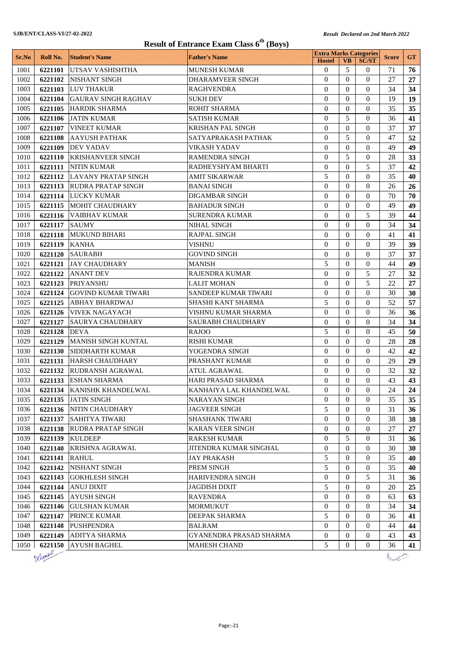|       | <b>Result of Entrance Exam Class 6<sup>th</sup> (Boys)</b> |                             |                          |                                                |                  |                  |              |           |  |
|-------|------------------------------------------------------------|-----------------------------|--------------------------|------------------------------------------------|------------------|------------------|--------------|-----------|--|
| Sr.No | Roll No.                                                   | <b>Student's Name</b>       | <b>Father's Name</b>     | <b>Extra Marks Categories</b><br><b>Hostel</b> | <b>VB</b>        | <b>SC/ST</b>     | <b>Score</b> | <b>GT</b> |  |
| 1001  | 6221101                                                    | UTSAV VASHISHTHA            | MUNESH KUMAR             | $\theta$                                       | 5                | 0                | 71           | 76        |  |
| 1002  | 6221102                                                    | NISHANT SINGH               | <b>DHARAMVEER SINGH</b>  | $\Omega$                                       | $\Omega$         | $\Omega$         | 27           | 27        |  |
| 1003  |                                                            | 6221103 LUV THAKUR          | <b>RAGHVENDRA</b>        | $\theta$                                       | $\Omega$         | $\Omega$         | 34           | 34        |  |
| 1004  | 6221104                                                    | <b>GAURAV SINGH RAGHAV</b>  | <b>SUKH DEV</b>          | $\Omega$                                       | $\Omega$         | $\Omega$         | 19           | 19        |  |
| 1005  | 6221105                                                    | <b>HARDIK SHARMA</b>        | <b>ROHIT SHARMA</b>      | $\theta$                                       | $\mathbf{0}$     | $\Omega$         | 35           | 35        |  |
| 1006  | 6221106                                                    | <b>JATIN KUMAR</b>          | <b>SATISH KUMAR</b>      | $\Omega$                                       | 5                | $\Omega$         | 36           | 41        |  |
| 1007  | 6221107                                                    | <b>VINEET KUMAR</b>         | <b>KRISHAN PAL SINGH</b> | $\Omega$                                       | $\Omega$         | $\Omega$         | 37           | 37        |  |
| 1008  | 6221108                                                    | <b>AAYUSH PATHAK</b>        | SATYAPRAKASH PATHAK      | $\theta$                                       | 5                | $\theta$         | 47           | 52        |  |
| 1009  | 6221109                                                    | <b>DEV YADAV</b>            | <b>VIKASH YADAV</b>      | $\theta$                                       | $\Omega$         | $\Omega$         | 49           | 49        |  |
| 1010  | 6221110                                                    | <b>KRISHANVEER SINGH</b>    | RAMENDRA SINGH           | $\theta$                                       | 5                | $\theta$         | 28           | 33        |  |
| 1011  | 6221111                                                    | <b>NITIN KUMAR</b>          | RADHEYSHYAM BHARTI       | $\overline{0}$                                 | $\Omega$         | 5                | 37           | 42        |  |
| 1012  |                                                            | 6221112 LAVANY PRATAP SINGH | <b>AMIT SIKARWAR</b>     | 5                                              | $\Omega$         | $\Omega$         | 35           | 40        |  |
| 1013  |                                                            | 6221113 RUDRA PRATAP SINGH  | <b>BANAI SINGH</b>       | $\theta$                                       | $\Omega$         | $\overline{0}$   | 26           | 26        |  |
| 1014  | 6221114                                                    | <b>LUCKY KUMAR</b>          | <b>DIGAMBAR SINGH</b>    | $\Omega$                                       | $\Omega$         | $\theta$         | 70           | 70        |  |
| 1015  |                                                            | 6221115 MOHIT CHAUDHARY     | <b>BAHADUR SINGH</b>     | $\theta$                                       | $\mathbf{0}$     | $\Omega$         | 49           | 49        |  |
| 1016  |                                                            | 6221116 VAIBHAV KUMAR       | SURENDRA KUMAR           | $\theta$                                       | $\Omega$         | 5                | 39           | 44        |  |
| 1017  | 6221117 SAUMY                                              |                             | <b>NIHAL SINGH</b>       | $\theta$                                       | $\Omega$         | $\Omega$         | 34           | 34        |  |
| 1018  | 6221118                                                    | <b>MUKUND BIHARI</b>        | <b>RAJPAL SINGH</b>      | $\theta$                                       | $\Omega$         | $\Omega$         | 41           | 41        |  |
| 1019  | 6221119                                                    | <b>KANHA</b>                | <b>VISHNU</b>            | $\theta$                                       | $\Omega$         | $\Omega$         | 39           | 39        |  |
| 1020  | <b>6221120</b>                                             | <b>SAURABH</b>              | <b>GOVIND SINGH</b>      | $\theta$                                       | $\Omega$         | $\Omega$         | 37           | 37        |  |
| 1021  | 6221121                                                    | <b>JAY CHAUDHARY</b>        | MANISH                   | 5                                              | $\Omega$         | $\Omega$         | 44           | 49        |  |
| 1022  | 6221122                                                    | <b>ANANT DEV</b>            | <b>RAJENDRA KUMAR</b>    | $\Omega$                                       | $\Omega$         | 5                | 27           | 32        |  |
| 1023  | 6221123                                                    | <b>PRIYANSHU</b>            | <b>LALIT MOHAN</b>       | $\Omega$                                       | $\Omega$         | 5                | 22           | 27        |  |
| 1024  | 6221124                                                    | <b>GOVIND KUMAR TIWARI</b>  | SANDEEP KUMAR TIWARI     | $\theta$                                       | $\Omega$         | $\Omega$         | 30           | 30        |  |
| 1025  | 6221125                                                    | <b>ABHAY BHARDWAJ</b>       | SHASHI KANT SHARMA       | 5                                              | $\Omega$         | $\Omega$         | 52           | 57        |  |
| 1026  | 6221126                                                    | <b>VIVEK NAGAYACH</b>       | VISHNU KUMAR SHARMA      | $\Omega$                                       | $\Omega$         | $\Omega$         | 36           | 36        |  |
| 1027  | 6221127                                                    | <b>SAURYA CHAUDHARY</b>     | SAURABH CHAUDHARY        | $\theta$                                       | $\Omega$         | $\Omega$         | 34           | 34        |  |
| 1028  | 6221128                                                    | <b>DEVA</b>                 | <b>RAJOO</b>             | 5                                              | $\Omega$         | $\theta$         | 45           | 50        |  |
| 1029  | 6221129                                                    | <b>MANISH SINGH KUNTAL</b>  | <b>RISHI KUMAR</b>       | $\theta$                                       | $\Omega$         | $\Omega$         | 28           | 28        |  |
| 1030  | 6221130                                                    | SIDDHARTH KUMAR             | YOGENDRA SINGH           | $\theta$                                       | $\mathbf{0}$     | $\Omega$         | 42           | 42        |  |
| 1031  | 6221131                                                    | <b>HARSH CHAUDHARY</b>      | PRASHANT KUMAR           | $\Omega$                                       | $\Omega$         | $\Omega$         | 29           | 29        |  |
| 1032  | 6221132                                                    | <b>RUDRANSH AGRAWAL</b>     | <b>ATUL AGRAWAL</b>      | $\theta$                                       | $\theta$         | $\theta$         | 32           | 32        |  |
| 1033  |                                                            | 6221133 ESHAN SHARMA        | HARI PRASAD SHARMA       | $\boldsymbol{0}$                               | $\boldsymbol{0}$ | $\boldsymbol{0}$ | 43           | 43        |  |
| 1034  |                                                            | 6221134 KANISHK KHANDELWAL  | KANHAIYA LAL KHANDELWAL  | $\Omega$                                       | $\Omega$         | $\Omega$         | 24           | 24        |  |
| 1035  |                                                            | 6221135 JATIN SINGH         | <b>NARAYAN SINGH</b>     | $\theta$                                       | $\theta$         | $\Omega$         | 35           | 35        |  |
| 1036  |                                                            | 6221136 NITIN CHAUDHARY     | <b>JAGVEER SINGH</b>     | 5                                              | $\mathbf{0}$     | $\mathbf{0}$     | 31           | 36        |  |
| 1037  |                                                            | 6221137 SAHITYA TIWARI      | <b>SHASHANK TIWARI</b>   | $\mathbf{0}$                                   | $\mathbf{0}$     | $\theta$         | 38           | 38        |  |
| 1038  | 6221138                                                    | <b>RUDRA PRATAP SINGH</b>   | <b>KARAN VEER SINGH</b>  | $\overline{0}$                                 | $\mathbf{0}$     | $\theta$         | 27           | 27        |  |
| 1039  | 6221139                                                    | <b>KULDEEP</b>              | RAKESH KUMAR             | $\mathbf{0}$                                   | 5                | $\mathbf{0}$     | 31           | 36        |  |
| 1040  | 6221140                                                    | KRISHNA AGRAWAL             | JITENDRA KUMAR SINGHAL   | $\boldsymbol{0}$                               | $\theta$         | 0                | 30           | 30        |  |
| 1041  | 6221141                                                    | <b>RAHUL</b>                | JAY PRAKASH              | 5                                              | $\mathbf{0}$     | 0                | 35           | 40        |  |
| 1042  |                                                            | 6221142 NISHANT SINGH       | PREM SINGH               | 5                                              | $\mathbf{0}$     | 0                | 35           | 40        |  |
| 1043  |                                                            | 6221143 GOKHLESH SINGH      | HARIVENDRA SINGH         | $\boldsymbol{0}$                               | $\mathbf{0}$     | 5                | 31           | 36        |  |
| 1044  | 6221144                                                    | <b>ANUJ DIXIT</b>           | <b>JAGDISH DIXIT</b>     | 5                                              | $\mathbf{0}$     | $\theta$         | 20           | 25        |  |
| 1045  |                                                            | 6221145   AYUSH SINGH       | <b>RAVENDRA</b>          | $\mathbf{0}$                                   | $\mathbf{0}$     | $\mathbf{0}$     | 63           | 63        |  |
| 1046  | 6221146                                                    | <b>GULSHAN KUMAR</b>        | MORMUKUT                 | $\mathbf{0}$                                   | $\overline{0}$   | $\mathbf{0}$     | 34           | 34        |  |
| 1047  |                                                            | 6221147 PRINCE KUMAR        | DEEPAK SHARMA            | 5                                              | $\mathbf{0}$     | $\theta$         | 36           | 41        |  |
| 1048  |                                                            | 6221148 PUSHPENDRA          | BALRAM                   | $\overline{0}$                                 | $\overline{0}$   | $\Omega$         | 44           | 44        |  |
| 1049  |                                                            | 6221149 ADITYA SHARMA       | GYANENDRA PRASAD SHARMA  | $\boldsymbol{0}$                               | $\overline{0}$   | $\overline{0}$   | 43           | 43        |  |
| 1050  |                                                            | 6221150 AYUSH BAGHEL        | <b>MAHESH CHAND</b>      | 5                                              | 0                | 0                | 36           | 41        |  |



 $\sqrt{2\pi}$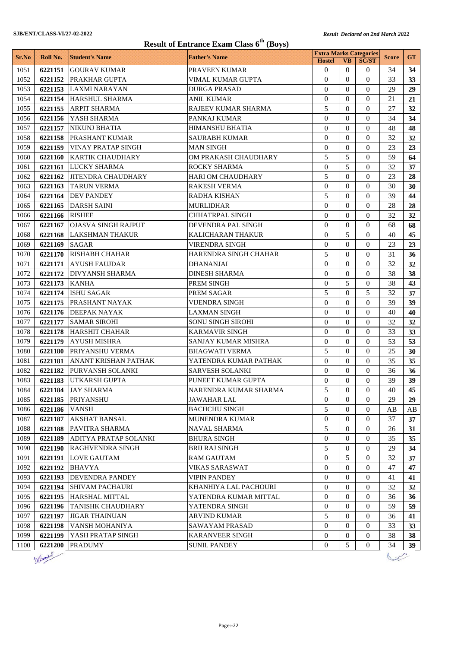| <b>Result of Entrance Exam Class 6th (Boys)</b> |                |                               |                          |                                                |                  |                  |              |           |
|-------------------------------------------------|----------------|-------------------------------|--------------------------|------------------------------------------------|------------------|------------------|--------------|-----------|
| Sr.No                                           | Roll No.       | <b>Student's Name</b>         | <b>Father's Name</b>     | <b>Extra Marks Categories</b><br><b>Hostel</b> | <b>VB</b>        | <b>SC/ST</b>     | <b>Score</b> | <b>GT</b> |
| 1051                                            | 6221151        | <b>GOURAV KUMAR</b>           | PRAVEEN KUMAR            | $\mathbf{0}$                                   | $\Omega$         | $\theta$         | 34           | 34        |
| 1052                                            |                | 6221152 PRAKHAR GUPTA         | VIMAL KUMAR GUPTA        | $\Omega$                                       | $\Omega$         | $\Omega$         | 33           | 33        |
| 1053                                            | 6221153        | LAXMI NARAYAN                 | <b>DURGA PRASAD</b>      | $\theta$                                       | $\Omega$         | $\Omega$         | 29           | 29        |
| 1054                                            | 6221154        | <b>HARSHUL SHARMA</b>         | <b>ANIL KUMAR</b>        | $\mathbf{0}$                                   | $\Omega$         | $\Omega$         | 21           | 21        |
| 1055                                            |                | 6221155 ARPIT SHARMA          | RAJEEV KUMAR SHARMA      | 5                                              | $\Omega$         | $\Omega$         | 27           | 32        |
| 1056                                            | 6221156        | IYASH SHARMA                  | PANKAJ KUMAR             | $\theta$                                       | $\Omega$         | $\Omega$         | 34           | 34        |
| 1057                                            | 6221157        | <b>NIKUNJ BHATIA</b>          | <b>HIMANSHU BHATIA</b>   | $\theta$                                       | $\theta$         | $\Omega$         | 48           | 48        |
| 1058                                            | 6221158        | <b>PRASHANT KUMAR</b>         | <b>SAURABH KUMAR</b>     | $\Omega$                                       | $\Omega$         | $\Omega$         | 32           | 32        |
| 1059                                            | 6221159        | VINAY PRATAP SINGH            | <b>MAN SINGH</b>         | $\mathbf{0}$                                   | $\Omega$         | $\Omega$         | 23           | 23        |
| 1060                                            |                | 6221160 KARTIK CHAUDHARY      | OM PRAKASH CHAUDHARY     | 5                                              | 5                | $\Omega$         | 59           | 64        |
| 1061                                            | 6221161        | <b>LUCKY SHARMA</b>           | <b>ROCKY SHARMA</b>      | $\mathbf{0}$                                   | 5                | $\Omega$         | 32           | 37        |
| 1062                                            |                | 6221162 JITENDRA CHAUDHARY    | <b>HARI OM CHAUDHARY</b> | 5                                              | $\Omega$         | $\Omega$         | 23           | 28        |
| 1063                                            | 6221163        | <b>TARUN VERMA</b>            | <b>RAKESH VERMA</b>      | $\theta$                                       | $\Omega$         | $\Omega$         | 30           | 30        |
| 1064                                            | 6221164        | <b>DEV PANDEY</b>             | RADHA KISHAN             | 5                                              | $\Omega$         | $\Omega$         | 39           | 44        |
| 1065                                            |                | 6221165 DARSH SAINI           | <b>MURLIDHAR</b>         | $\Omega$                                       | $\Omega$         | $\Omega$         | 28           | 28        |
| 1066                                            | 6221166 RISHEE |                               | <b>CHHATRPAL SINGH</b>   | $\mathbf{0}$                                   | $\Omega$         | $\Omega$         | 32           | 32        |
| 1067                                            |                | 6221167   OJASVA SINGH RAJPUT | DEVENDRA PAL SINGH       | $\theta$                                       | $\Omega$         | $\Omega$         | 68           | 68        |
| 1068                                            | 6221168        | <b>LAKSHMAN THAKUR</b>        | <b>KALICHARAN THAKUR</b> | $\Omega$                                       | 5                | $\Omega$         | 40           | 45        |
| 1069                                            | 6221169        | <b>SAGAR</b>                  | VIRENDRA SINGH           | $\mathbf{0}$                                   | $\Omega$         | $\Omega$         | 23           | 23        |
| 1070                                            |                | 6221170 RISHABH CHAHAR        | HARENDRA SINGH CHAHAR    | 5                                              | $\Omega$         | $\Omega$         | 31           | 36        |
| 1071                                            | 6221171        | <b>AYUSH FAUJDAR</b>          | <b>DHANANJAI</b>         | $\mathbf{0}$                                   | $\Omega$         | $\Omega$         | 32           | 32        |
| 1072                                            |                | 6221172 DIVYANSH SHARMA       | <b>DINESH SHARMA</b>     | $\theta$                                       | $\Omega$         | $\Omega$         | 38           | 38        |
| 1073                                            | 6221173        | <b>KANHA</b>                  | PREM SINGH               | $\theta$                                       | 5                | $\Omega$         | 38           | 43        |
| 1074                                            | 6221174        | <b>ISHU SAGAR</b>             | PREM SAGAR               | 5                                              | $\Omega$         | 5                | 32           | 37        |
| 1075                                            |                | 6221175 PRASHANT NAYAK        | VIJENDRA SINGH           | $\Omega$                                       | $\Omega$         | $\Omega$         | 39           | 39        |
| 1076                                            |                | 6221176 DEEPAK NAYAK          | <b>LAXMAN SINGH</b>      | $\mathbf{0}$                                   | $\Omega$         | $\Omega$         | 40           | 40        |
| 1077                                            | 6221177        | <b>SAMAR SIROHI</b>           | <b>SONU SINGH SIROHI</b> | $\theta$                                       | $\theta$         | $\Omega$         | 32           | 32        |
| 1078                                            | 6221178        | <b>HARSHIT CHAHAR</b>         | <b>KARMAVIR SINGH</b>    | $\Omega$                                       | $\Omega$         | $\Omega$         | 33           | 33        |
| 1079                                            | 6221179        | <b>AYUSH MISHRA</b>           | SANJAY KUMAR MISHRA      | $\mathbf{0}$                                   | $\Omega$         | $\Omega$         | 53           | 53        |
| 1080                                            |                | 6221180 PRIYANSHU VERMA       | <b>BHAGWATI VERMA</b>    | 5                                              | $\Omega$         | $\Omega$         | 25           | 30        |
| 1081                                            | 6221181        | <b>ANANT KRISHAN PATHAK</b>   | YATENDRA KUMAR PATHAK    | $\mathbf{0}$                                   | $\Omega$         | $\overline{0}$   | 35           | 35        |
| 1082                                            |                | 6221182 PURVANSH SOLANKI      | <b>SARVESH SOLANKI</b>   | $\theta$                                       | $\Omega$         | $\theta$         | 36           | 36        |
| 1083                                            |                | 6221183 UTKARSH GUPTA         | PUNEET KUMAR GUPTA       | $\boldsymbol{0}$                               | $\boldsymbol{0}$ | $\boldsymbol{0}$ | 39           | 39        |
| 1084                                            | 6221184        | <b>JAY SHARMA</b>             | NARENDRA KUMAR SHARMA    | 5                                              | $\Omega$         | $\Omega$         | 40           | 45        |
| 1085                                            | 6221185        | <b>PRIYANSHU</b>              | <b>JAWAHAR LAL</b>       | $\overline{0}$                                 | $\Omega$         | $\Omega$         | 29           | 29        |
| 1086                                            | 6221186        | <b>VANSH</b>                  | <b>BACHCHU SINGH</b>     | 5                                              | $\overline{0}$   | $\overline{0}$   | AВ           | AB        |
| 1087                                            | 6221187        | <b>AKSHAT BANSAL</b>          | <b>MUNENDRA KUMAR</b>    | $\theta$                                       | $\theta$         | $\Omega$         | 37           | 37        |
| 1088                                            | 6221188        | PAVITRA SHARMA                | NAVAL SHARMA             | 5                                              | $\Omega$         | $\overline{0}$   | 26           | 31        |
| 1089                                            | 6221189        | ADITYA PRATAP SOLANKI         | <b>BHURA SINGH</b>       | $\boldsymbol{0}$                               | $\overline{0}$   | $\overline{0}$   | 35           | 35        |
| 1090                                            | 6221190        | RAGHVENDRA SINGH              | <b>BRIJ RAJ SINGH</b>    | 5                                              | $\Omega$         | $\overline{0}$   | 29           | 34        |
| 1091                                            | 6221191        | <b>LOVE GAUTAM</b>            | <b>RAM GAUTAM</b>        | $\boldsymbol{0}$                               | 5                | $\overline{0}$   | 32           | 37        |
| 1092                                            | 6221192        | <b>BHAVYA</b>                 | <b>VIKAS SARASWAT</b>    | $\boldsymbol{0}$                               | $\overline{0}$   | $\overline{0}$   | 47           | 47        |
| 1093                                            | 6221193        | <b>DEVENDRA PANDEY</b>        | <b>VIPIN PANDEY</b>      | $\mathbf{0}$                                   | $\Omega$         | $\overline{0}$   | 41           | 41        |
| 1094                                            | 6221194        | <b>SHIVAM PACHAURI</b>        | KHANHIYA LAL PACHOURI    | $\mathbf{0}$                                   | $\overline{0}$   | $\overline{0}$   | 32           | 32        |
| 1095                                            |                | 6221195 HARSHAL MITTAL        | YATENDRA KUMAR MITTAL    | $\mathbf{0}$                                   | $\Omega$         | $\Omega$         | 36           | 36        |
| 1096                                            | 6221196        | <b>TANISHK CHAUDHARY</b>      | YATENDRA SINGH           | $\mathbf{0}$                                   | $\overline{0}$   | $\overline{0}$   | 59           | 59        |
| 1097                                            | 6221197        | <b>JIGAR THAINUAN</b>         | <b>ARVIND KUMAR</b>      | 5                                              | $\theta$         | $\overline{0}$   | 36           | 41        |
| 1098                                            | 6221198        | VANSH MOHANIYA                | SAWAYAM PRASAD           | $\overline{0}$                                 | $\Omega$         | $\Omega$         | 33           | 33        |
| 1099                                            | 6221199        | YASH PRATAP SINGH             | <b>KARANVEER SINGH</b>   | 0                                              | $\boldsymbol{0}$ | $\overline{0}$   | 38           | 38        |
| 1100                                            | 6221200        | <b>PRADUMY</b>                | <b>SUNIL PANDEY</b>      | $\overline{0}$                                 | 5                | $\overline{0}$   | 34           | 39        |

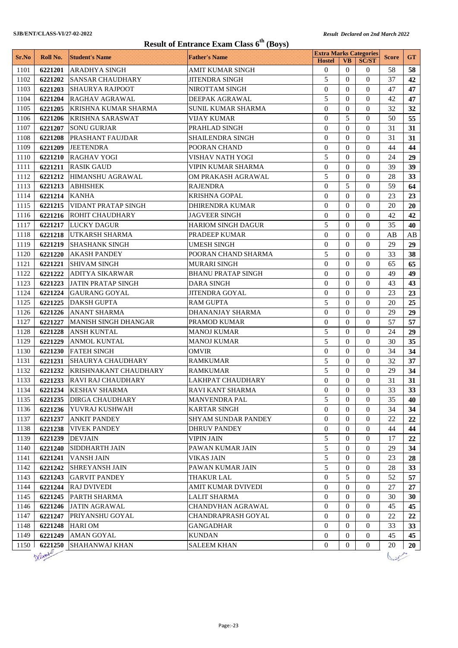|       | <b>Result of Entrance Exam Class <math>6^{th}</math> (Boys)</b> |                              |                           |                                                |                  |                  |              |                 |  |
|-------|-----------------------------------------------------------------|------------------------------|---------------------------|------------------------------------------------|------------------|------------------|--------------|-----------------|--|
| Sr.No | Roll No.                                                        | <b>Student's Name</b>        | <b>Father's Name</b>      | <b>Extra Marks Categories</b><br><b>Hostel</b> | <b>VB</b>        | <b>SC/ST</b>     | <b>Score</b> | <b>GT</b>       |  |
| 1101  | 6221201                                                         | ARADHYA SINGH                | AMIT KUMAR SINGH          | $\theta$                                       | $\Omega$         | 0                | 58           | 58              |  |
| 1102  | 6221202                                                         | <b>SANSAR CHAUDHARY</b>      | <b>JITENDRA SINGH</b>     | 5                                              | $\Omega$         | $\Omega$         | 37           | 42              |  |
| 1103  | 6221203                                                         | <b>SHAURYA RAJPOOT</b>       | NIROTTAM SINGH            | $\mathbf{0}$                                   | $\Omega$         | $\Omega$         | 47           | 47              |  |
| 1104  | 6221204                                                         | <b>RAGHAV AGRAWAL</b>        | DEEPAK AGRAWAL            | 5                                              | $\Omega$         | $\Omega$         | 42           | 47              |  |
| 1105  | 6221205                                                         | <b>KRISHNA KUMAR SHARMA</b>  | <b>SUNIL KUMAR SHARMA</b> | $\Omega$                                       | $\Omega$         | $\Omega$         | 32           | 32              |  |
| 1106  | 6221206                                                         | <b>KRISHNA SARASWAT</b>      | <b>VIJAY KUMAR</b>        | $\Omega$                                       | 5                | $\Omega$         | 50           | 55              |  |
| 1107  | 6221207                                                         | <b>SONU GURJAR</b>           | PRAHLAD SINGH             | $\theta$                                       | $\Omega$         | $\Omega$         | 31           | 31              |  |
| 1108  | 6221208                                                         | <b>PRASHANT FAUJDAR</b>      | SHAILENDRA SINGH          | $\theta$                                       | $\Omega$         | $\Omega$         | 31           | 31              |  |
| 1109  | 6221209                                                         | <b>JEETENDRA</b>             | POORAN CHAND              | $\theta$                                       | $\Omega$         | $\Omega$         | 44           | 44              |  |
| 1110  | 6221210                                                         | RAGHAV YOGI                  | VISHAV NATH YOGI          | 5                                              | $\Omega$         | $\Omega$         | 24           | 29              |  |
| 1111  | 6221211                                                         | <b>RASIK GAUD</b>            | VIPIN KUMAR SHARMA        | $\theta$                                       | $\Omega$         | $\Omega$         | 39           | 39              |  |
| 1112  | 6221212                                                         | <b>HIMANSHU AGRAWAL</b>      | OM PRAKASH AGRAWAL        | 5                                              | $\Omega$         | $\Omega$         | 28           | 33              |  |
| 1113  | 6221213                                                         | <b>ABHISHEK</b>              | <b>RAJENDRA</b>           | $\mathbf{0}$                                   | 5                | $\theta$         | 59           | 64              |  |
| 1114  | 6221214                                                         | <b>KANHA</b>                 | <b>KRISHNA GOPAL</b>      | $\Omega$                                       | $\Omega$         | $\Omega$         | 23           | 23              |  |
| 1115  | 6221215                                                         | <b>VIDANT PRATAP SINGH</b>   | <b>DHIRENDRA KUMAR</b>    | $\Omega$                                       | $\Omega$         | $\Omega$         | 20           | 20              |  |
| 1116  | 6221216                                                         | <b>ROHIT CHAUDHARY</b>       | <b>JAGVEER SINGH</b>      | $\overline{0}$                                 | $\Omega$         | $\Omega$         | 42           | 42              |  |
| 1117  | 6221217                                                         | <b>LUCKY DAGUR</b>           | <b>HARIOM SINGH DAGUR</b> | 5                                              | $\Omega$         | $\Omega$         | 35           | 40              |  |
| 1118  | 6221218                                                         | <b>UTKARSH SHARMA</b>        | PRADEEP KUMAR             | $\theta$                                       | $\Omega$         | $\Omega$         | AВ           | AВ              |  |
| 1119  | 6221219                                                         | <b>SHASHANK SINGH</b>        | <b>UMESH SINGH</b>        | $\theta$                                       | $\Omega$         | $\Omega$         | 29           | 29              |  |
| 1120  | 6221220                                                         | <b>AKASH PANDEY</b>          | POORAN CHAND SHARMA       | 5                                              | $\Omega$         | $\Omega$         | 33           | 38              |  |
| 1121  | 6221221                                                         | <b>SHIVAM SINGH</b>          | MURARI SINGH              | $\Omega$                                       | $\Omega$         | $\Omega$         | 65           | 65              |  |
| 1122  | 6221222                                                         | <b>ADITYA SIKARWAR</b>       | <b>BHANU PRATAP SINGH</b> | $\Omega$                                       | $\Omega$         | $\Omega$         | 49           | 49              |  |
| 1123  | 6221223                                                         | <b>JATIN PRATAP SINGH</b>    | <b>DARA SINGH</b>         | $\Omega$                                       | $\Omega$         | $\Omega$         | 43           | 43              |  |
| 1124  | 6221224                                                         | <b>GAURANG GOYAL</b>         | <b>JITENDRA GOYAL</b>     | $\mathbf{0}$                                   | $\Omega$         | $\Omega$         | 23           | 23              |  |
| 1125  | 6221225                                                         | <b>DAKSH GUPTA</b>           | <b>RAM GUPTA</b>          | 5                                              | $\Omega$         | $\Omega$         | 20           | 25              |  |
| 1126  | 6221226                                                         | ANANT SHARMA                 | DHANANJAY SHARMA          | $\Omega$                                       | $\Omega$         | $\Omega$         | 29           | 29              |  |
| 1127  | 6221227                                                         | MANISH SINGH DHANGAR         | PRAMOD KUMAR              | $\Omega$                                       | $\Omega$         | $\Omega$         | 57           | 57              |  |
| 1128  | 6221228                                                         | <b>ANSH KUNTAL</b>           | <b>MANOJ KUMAR</b>        | 5                                              | $\Omega$         | $\Omega$         | 24           | 29              |  |
| 1129  | 6221229                                                         | <b>ANMOL KUNTAL</b>          | <b>MANOJ KUMAR</b>        | 5                                              | $\Omega$         | $\Omega$         | 30           | 35              |  |
| 1130  | 6221230                                                         | <b>FATEH SINGH</b>           | <b>OMVIR</b>              | $\theta$                                       | $\Omega$         | $\Omega$         | 34           | 34              |  |
| 1131  | 6221231                                                         | SHAURYA CHAUDHARY            | <b>RAMKUMAR</b>           | 5                                              | $\Omega$         | $\Omega$         | 32           | 37              |  |
| 1132  | 6221232                                                         | <b>KRISHNAKANT CHAUDHARY</b> | <b>RAMKUMAR</b>           | 5                                              | $\Omega$         | $\theta$         | 29           | 34              |  |
| 1133  |                                                                 | 6221233 RAVI RAJ CHAUDHARY   | LAKHPAT CHAUDHARY         | $\boldsymbol{0}$                               | $\boldsymbol{0}$ | $\boldsymbol{0}$ | 31           | 31              |  |
| 1134  |                                                                 | 6221234 KESHAV SHARMA        | RAVI KANT SHARMA          | $\mathbf{0}$                                   | $\Omega$         | $\Omega$         | 33           | 33 <sup>2</sup> |  |
| 1135  |                                                                 | 6221235   DIRGA CHAUDHARY    | <b>MANVENDRA PAL</b>      | 5                                              | 0                | $\Omega$         | 35           | 40              |  |
| 1136  |                                                                 | 6221236 YUVRAJ KUSHWAH       | <b>KARTAR SINGH</b>       | $\mathbf{0}$                                   | $\overline{0}$   | $\theta$         | 34           | 34              |  |
| 1137  |                                                                 | 6221237 ANKIT PANDEY         | SHYAM SUNDAR PANDEY       | $\mathbf{0}$                                   | $\overline{0}$   | $\theta$         | 22           | 22              |  |
| 1138  |                                                                 | 6221238   VIVEK PANDEY       | <b>DHRUV PANDEY</b>       | $\mathbf{0}$                                   | 0                | $\Omega$         | 44           | 44              |  |
| 1139  | 6221239                                                         | <b>DEVJAIN</b>               | <b>VIPIN JAIN</b>         | 5                                              | 0                | $\overline{0}$   | 17           | 22              |  |
| 1140  | 6221240                                                         | <b>SIDDHARTH JAIN</b>        | PAWAN KUMAR JAIN          | 5                                              | $\overline{0}$   | 0                | 29           | 34              |  |
| 1141  | 6221241                                                         | <b>VANSH JAIN</b>            | <b>VIKAS JAIN</b>         | 5                                              | $\overline{0}$   | 0                | 23           | 28              |  |
| 1142  |                                                                 | 6221242 SHREYANSH JAIN       | PAWAN KUMAR JAIN          | 5                                              | $\overline{0}$   | $\overline{0}$   | 28           | 33              |  |
| 1143  |                                                                 | 6221243 GARVIT PANDEY        | <b>THAKUR LAL</b>         | $\overline{0}$                                 | 5                | $\overline{0}$   | 52           | 57              |  |
| 1144  | 6221244                                                         | <b>RAJ DVIVEDI</b>           | AMIT KUMAR DVIVEDI        | $\overline{0}$                                 | 0                | $\overline{0}$   | 27           | 27              |  |
| 1145  |                                                                 | 6221245 PARTH SHARMA         | <b>LALIT SHARMA</b>       | $\overline{0}$                                 | 0                | $\overline{0}$   | 30           | 30              |  |
| 1146  | 6221246                                                         | <b>JATIN AGRAWAL</b>         | CHANDVHAN AGRAWAL         | $\overline{0}$                                 | $\overline{0}$   | $\overline{0}$   | 45           | 45              |  |
| 1147  |                                                                 | 6221247 PRIYANSHU GOYAL      | CHANDRAPRASH GOYAL        | $\mathbf{0}$                                   | $\overline{0}$   | $\overline{0}$   | 22           | 22              |  |
| 1148  |                                                                 | 6221248 HARI OM              | <b>GANGADHAR</b>          | $\mathbf{0}$                                   | $\overline{0}$   | $\Omega$         | 33           | 33              |  |
| 1149  |                                                                 | 6221249 AMAN GOYAL           | KUNDAN                    | $\overline{0}$                                 | $\overline{0}$   | $\overline{0}$   | 45           | 45              |  |
| 1150  |                                                                 | 6221250 SHAHANWAJ KHAN       | <b>SALEEM KHAN</b>        | $\overline{0}$                                 | 0                | $\overline{0}$   | 20           | 20              |  |
|       | Defanter                                                        |                              |                           |                                                |                  |                  |              |                 |  |